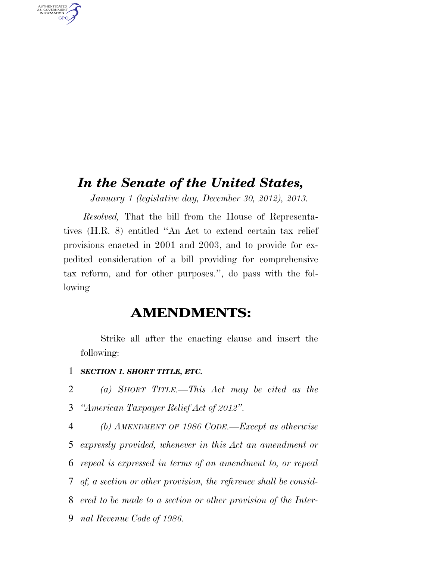# *In the Senate of the United States,*

*January 1 (legislative day, December 30, 2012), 2013.* 

*Resolved,* That the bill from the House of Representatives (H.R. 8) entitled ''An Act to extend certain tax relief provisions enacted in 2001 and 2003, and to provide for expedited consideration of a bill providing for comprehensive tax reform, and for other purposes.'', do pass with the following

## **AMENDMENTS:**

Strike all after the enacting clause and insert the following:

1 *SECTION 1. SHORT TITLE, ETC.* 

AUTHENTICATED<br>U.S. GOVERNMENT<br>INFORMATION **GPO** 

> 2 *(a) SHORT TITLE.—This Act may be cited as the*  3 *''American Taxpayer Relief Act of 2012''.*

> *(b) AMENDMENT OF 1986 CODE.—Except as otherwise expressly provided, whenever in this Act an amendment or repeal is expressed in terms of an amendment to, or repeal of, a section or other provision, the reference shall be consid- ered to be made to a section or other provision of the Inter-nal Revenue Code of 1986.*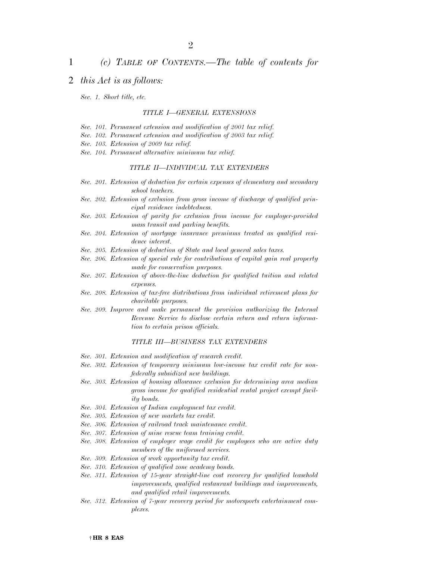## 1 *(c) TABLE OF CONTENTS.—The table of contents for*

## 2 *this Act is as follows:*

*Sec. 1. Short title, etc.* 

## *TITLE I—GENERAL EXTENSIONS*

- *Sec. 101. Permanent extension and modification of 2001 tax relief.*
- *Sec. 102. Permanent extension and modification of 2003 tax relief.*
- *Sec. 103. Extension of 2009 tax relief.*
- *Sec. 104. Permanent alternative minimum tax relief.*

## *TITLE II—INDIVIDUAL TAX EXTENDERS*

- *Sec. 201. Extension of deduction for certain expenses of elementary and secondary school teachers.*
- *Sec. 202. Extension of exclusion from gross income of discharge of qualified principal residence indebtedness.*
- *Sec. 203. Extension of parity for exclusion from income for employer-provided mass transit and parking benefits.*
- *Sec. 204. Extension of mortgage insurance premiums treated as qualified residence interest.*
- *Sec. 205. Extension of deduction of State and local general sales taxes.*
- *Sec. 206. Extension of special rule for contributions of capital gain real property made for conservation purposes.*
- *Sec. 207. Extension of above-the-line deduction for qualified tuition and related expenses.*
- *Sec. 208. Extension of tax-free distributions from individual retirement plans for charitable purposes.*
- *Sec. 209. Improve and make permanent the provision authorizing the Internal Revenue Service to disclose certain return and return information to certain prison officials.*

### *TITLE III—BUSINESS TAX EXTENDERS*

- *Sec. 301. Extension and modification of research credit.*
- *Sec. 302. Extension of temporary minimum low-income tax credit rate for nonfederally subsidized new buildings.*
- *Sec. 303. Extension of housing allowance exclusion for determining area median gross income for qualified residential rental project exempt facility bonds.*
- *Sec. 304. Extension of Indian employment tax credit.*
- *Sec. 305. Extension of new markets tax credit.*
- *Sec. 306. Extension of railroad track maintenance credit.*
- *Sec. 307. Extension of mine rescue team training credit.*
- *Sec. 308. Extension of employer wage credit for employees who are active duty members of the uniformed services.*
- *Sec. 309. Extension of work opportunity tax credit.*
- *Sec. 310. Extension of qualified zone academy bonds.*
- *Sec. 311. Extension of 15-year straight-line cost recovery for qualified leasehold improvements, qualified restaurant buildings and improvements, and qualified retail improvements.*
- *Sec. 312. Extension of 7-year recovery period for motorsports entertainment complexes.*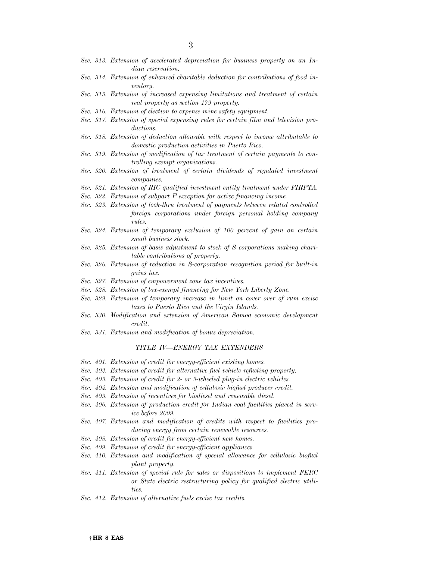- *Sec. 313. Extension of accelerated depreciation for business property on an Indian reservation.*
- *Sec. 314. Extension of enhanced charitable deduction for contributions of food inventory.*
- *Sec. 315. Extension of increased expensing limitations and treatment of certain real property as section 179 property.*
- *Sec. 316. Extension of election to expense mine safety equipment.*
- *Sec. 317. Extension of special expensing rules for certain film and television productions.*
- *Sec. 318. Extension of deduction allowable with respect to income attributable to domestic production activities in Puerto Rico.*
- *Sec. 319. Extension of modification of tax treatment of certain payments to controlling exempt organizations.*
- *Sec. 320. Extension of treatment of certain dividends of regulated investment companies.*
- *Sec. 321. Extension of RIC qualified investment entity treatment under FIRPTA.*
- *Sec. 322. Extension of subpart F exception for active financing income.*
- *Sec. 323. Extension of look-thru treatment of payments between related controlled foreign corporations under foreign personal holding company rules.*
- *Sec. 324. Extension of temporary exclusion of 100 percent of gain on certain small business stock.*
- *Sec. 325. Extension of basis adjustment to stock of S corporations making charitable contributions of property.*
- *Sec. 326. Extension of reduction in S-corporation recognition period for built-in gains tax.*
- *Sec. 327. Extension of empowerment zone tax incentives.*
- *Sec. 328. Extension of tax-exempt financing for New York Liberty Zone.*
- *Sec. 329. Extension of temporary increase in limit on cover over of rum excise taxes to Puerto Rico and the Virgin Islands.*
- *Sec. 330. Modification and extension of American Samoa economic development credit.*
- *Sec. 331. Extension and modification of bonus depreciation.*

### *TITLE IV—ENERGY TAX EXTENDERS*

- *Sec. 401. Extension of credit for energy-efficient existing homes.*
- *Sec. 402. Extension of credit for alternative fuel vehicle refueling property.*
- *Sec. 403. Extension of credit for 2- or 3-wheeled plug-in electric vehicles.*
- *Sec. 404. Extension and modification of cellulosic biofuel producer credit.*
- *Sec. 405. Extension of incentives for biodiesel and renewable diesel.*
- *Sec. 406. Extension of production credit for Indian coal facilities placed in service before 2009.*
- *Sec. 407. Extension and modification of credits with respect to facilities producing energy from certain renewable resources.*
- *Sec. 408. Extension of credit for energy-efficient new homes.*
- *Sec. 409. Extension of credit for energy-efficient appliances.*
- *Sec. 410. Extension and modification of special allowance for cellulosic biofuel plant property.*
- *Sec. 411. Extension of special rule for sales or dispositions to implement FERC or State electric restructuring policy for qualified electric utilities.*
- *Sec. 412. Extension of alternative fuels excise tax credits.*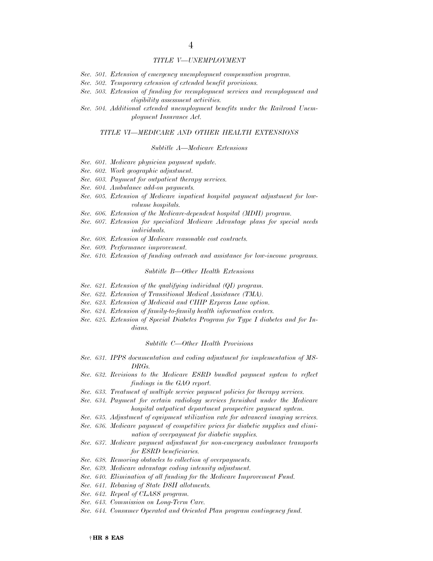#### *TITLE V—UNEMPLOYMENT*

- *Sec. 501. Extension of emergency unemployment compensation program.*
- *Sec. 502. Temporary extension of extended benefit provisions.*
- *Sec. 503. Extension of funding for reemployment services and reemployment and eligibility assessment activities.*
- *Sec. 504. Additional extended unemployment benefits under the Railroad Unemployment Insurance Act.*

#### *TITLE VI—MEDICARE AND OTHER HEALTH EXTENSIONS*

#### *Subtitle A—Medicare Extensions*

- *Sec. 601. Medicare physician payment update.*
- *Sec. 602. Work geographic adjustment.*
- *Sec. 603. Payment for outpatient therapy services.*
- *Sec. 604. Ambulance add-on payments.*
- *Sec. 605. Extension of Medicare inpatient hospital payment adjustment for lowvolume hospitals.*
- *Sec. 606. Extension of the Medicare-dependent hospital (MDH) program.*
- *Sec. 607. Extension for specialized Medicare Advantage plans for special needs individuals.*
- *Sec. 608. Extension of Medicare reasonable cost contracts.*
- *Sec. 609. Performance improvement.*
- *Sec. 610. Extension of funding outreach and assistance for low-income programs.*

#### *Subtitle B—Other Health Extensions*

- *Sec. 621. Extension of the qualifying individual (QI) program.*
- *Sec. 622. Extension of Transitional Medical Assistance (TMA).*
- *Sec. 623. Extension of Medicaid and CHIP Express Lane option.*
- *Sec. 624. Extension of family-to-family health information centers.*
- *Sec. 625. Extension of Special Diabetes Program for Type I diabetes and for Indians.*

#### *Subtitle C—Other Health Provisions*

- *Sec. 631. IPPS documentation and coding adjustment for implementation of MS-DRGs.*
- *Sec. 632. Revisions to the Medicare ESRD bundled payment system to reflect findings in the GAO report.*
- *Sec. 633. Treatment of multiple service payment policies for therapy services.*
- Sec. 634. Payment for certain radiology services furnished under the Medicare *hospital outpatient department prospective payment system.*
- *Sec. 635. Adjustment of equipment utilization rate for advanced imaging services.*
- *Sec. 636. Medicare payment of competitive prices for diabetic supplies and elimination of overpayment for diabetic supplies.*
- *Sec. 637. Medicare payment adjustment for non-emergency ambulance transports for ESRD beneficiaries.*
- *Sec. 638. Removing obstacles to collection of overpayments.*
- *Sec. 639. Medicare advantage coding intensity adjustment.*
- *Sec. 640. Elimination of all funding for the Medicare Improvement Fund.*
- *Sec. 641. Rebasing of State DSH allotments.*
- *Sec. 642. Repeal of CLASS program.*
- *Sec. 643. Commission on Long-Term Care.*
- *Sec. 644. Consumer Operated and Oriented Plan program contingency fund.*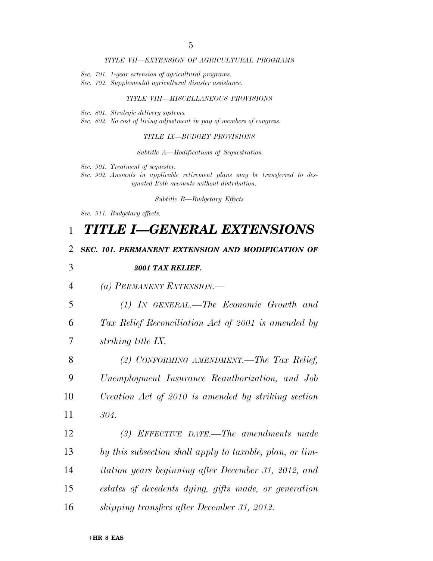## *TITLE VII—EXTENSION OF AGRICULTURAL PROGRAMS*

- *Sec. 701. 1-year extension of agricultural programs.*
- *Sec. 702. Supplemental agricultural disaster assistance.*

## *TITLE VIII—MISCELLANEOUS PROVISIONS*

- *Sec. 801. Strategic delivery systems.*
- *Sec. 802. No cost of living adjustment in pay of members of congress.*

## *TITLE IX—BUDGET PROVISIONS*

### *Subtitle A—Modifications of Sequestration*

- *Sec. 901. Treatment of sequester.*
- *Sec. 902. Amounts in applicable retirement plans may be transferred to designated Roth accounts without distribution.*

*Subtitle B—Budgetary Effects* 

*Sec. 911. Budgetary effects.* 

# 1 *TITLE I—GENERAL EXTENSIONS*

## 2 *SEC. 101. PERMANENT EXTENSION AND MODIFICATION OF*

| 3              | 2001 TAX RELIEF.                                            |
|----------------|-------------------------------------------------------------|
| $\overline{4}$ | (a) PERMANENT EXTENSION.—                                   |
| 5              | $(1)$ In GENERAL.—The Economic Growth and                   |
| 6              | Tax Relief Reconciliation Act of 2001 is amended by         |
| 7              | striking title IX.                                          |
| 8              | (2) CONFORMING AMENDMENT.—The Tax Relief,                   |
| 9              | Unemployment Insurance Reauthorization, and Job             |
| 10             | Creation Act of 2010 is amended by striking section         |
| 11             | 304.                                                        |
| 12             | (3) EFFECTIVE DATE.—The amendments made                     |
| 13             | by this subsection shall apply to taxable, plan, or lim-    |
| 14             | <i>itation years beginning after December 31, 2012, and</i> |
| 15             | estates of decedents dying, gifts made, or generation       |
| 16             | skipping transfers after December 31, 2012.                 |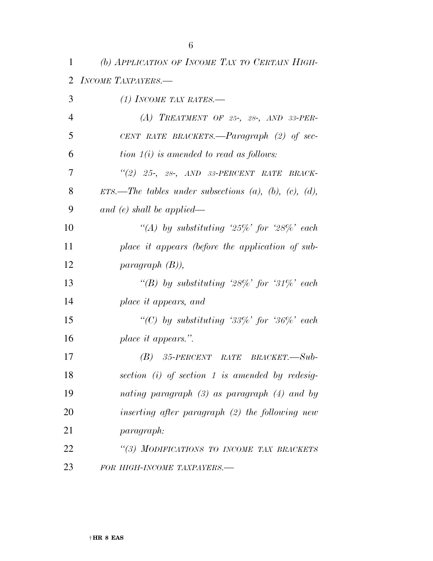*(b) APPLICATION OF INCOME TAX TO CERTAIN HIGH-*

|                | 2 INCOME TAXPAYERS.                                               |
|----------------|-------------------------------------------------------------------|
| 3              | (1) INCOME TAX RATES.—                                            |
| $\overline{4}$ | (A) TREATMENT OF 25-, 28-, AND 33-PER-                            |
| 5              | CENT RATE BRACKETS.— $Paragnaph$ (2) of sec-                      |
| 6              | tion $1(i)$ is amended to read as follows:                        |
| 7              | "(2) 25-, 28-, AND 33-PERCENT RATE BRACK-                         |
| 8              | ETS.—The tables under subsections $(a)$ , $(b)$ , $(c)$ , $(d)$ , |
| 9              | and $(e)$ shall be applied—                                       |
| 10             | "(A) by substituting '25%' for '28%' each                         |
| 11             | place it appears (before the application of sub-                  |
| 12             | paragnph(B),                                                      |
| 13             | "(B) by substituting '28%' for '31%' each                         |
| 14             | place it appears, and                                             |
| 15             | "(C) by substituting '33%' for '36%' each                         |
| 16             | place it appears.".                                               |
| 17             | $(B)$ 35-PERCENT RATE BRACKET. $-Sub$                             |
| 18             | section $(i)$ of section 1 is amended by redesig-                 |
| 19             | nating paragraph $(3)$ as paragraph $(4)$ and by                  |
| 20             | inserting after paragraph $(2)$ the following new                 |
| 21             | paragraph:                                                        |
| 22             | "(3) MODIFICATIONS TO INCOME TAX BRACKETS                         |
| 23             | FOR HIGH-INCOME TAXPAYERS.-                                       |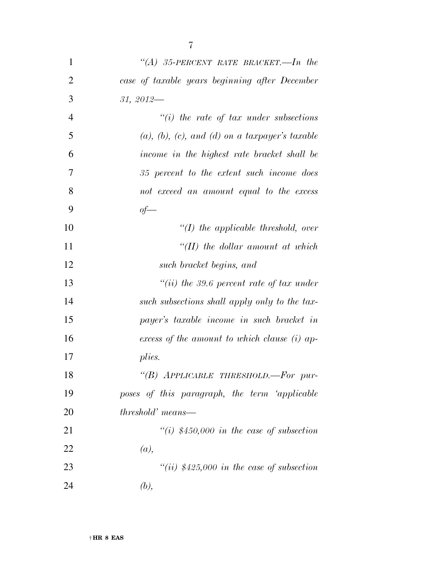| 1              | "(A) 35-PERCENT RATE BRACKET.—In the             |
|----------------|--------------------------------------------------|
| $\overline{2}$ | case of taxable years beginning after December   |
| 3              | $31, 2012$ —                                     |
| $\overline{4}$ | $``(i)$ the rate of tax under subsections        |
| 5              | $(a), (b), (c), and (d)$ on a taxpayer's taxable |
| 6              | income in the highest rate bracket shall be      |
| 7              | 35 percent to the extent such income does        |
| 8              | not exceed an amount equal to the excess         |
| 9              | $of$ —                                           |
| 10             | $\lq (I)$ the applicable threshold, over         |
| 11             | $H(H)$ the dollar amount at which                |
| 12             | such bracket begins, and                         |
| 13             | "(ii) the 39.6 percent rate of tax under         |
| 14             | such subsections shall apply only to the tax-    |
| 15             | payer's taxable income in such bracket in        |
| 16             | excess of the amount to which clause (i) ap-     |
| 17             | plies.                                           |
| 18             | "(B) APPLICABLE THRESHOLD.-For pur-              |
| 19             | poses of this paragraph, the term 'applicable    |
| 20             | <i>threshold'</i> means—                         |
| 21             | "(i) $$450,000$ in the case of subsection        |
| 22             | (a),                                             |
| 23             | "(ii) $$425,000$ in the case of subsection       |
| 24             | (b),                                             |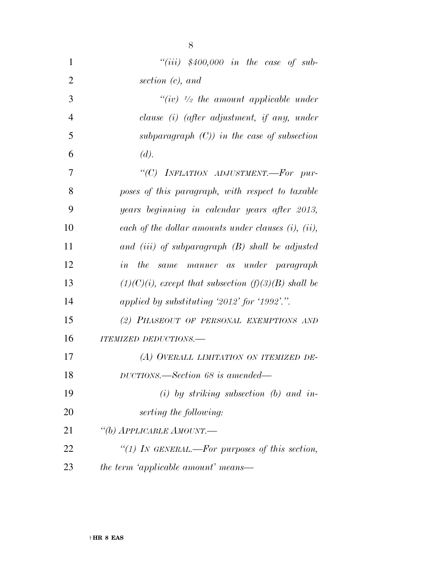| 1              | "(iii) $$400,000$ in the case of sub-                     |
|----------------|-----------------------------------------------------------|
| $\overline{2}$ | section $(c)$ , and                                       |
| 3              | "(iv) $\frac{1}{2}$ the amount applicable under           |
| $\overline{4}$ | clause (i) (after adjustment, if any, under               |
| 5              | subparagraph $(C)$ ) in the case of subsection            |
| 6              | (d).                                                      |
| 7              | "(C) INFLATION ADJUSTMENT.-For pur-                       |
| 8              | poses of this paragraph, with respect to taxable          |
| 9              | years beginning in calendar years after 2013,             |
| 10             | each of the dollar amounts under clauses $(i)$ , $(ii)$ , |
| 11             | and (iii) of subparagraph $(B)$ shall be adjusted         |
| 12             | in the same manner as under paragraph                     |
| 13             | $(1)(C)(i)$ , except that subsection $(f)(3)(B)$ shall be |
| 14             | applied by substituting '2012' for '1992'.".              |
| 15             | (2) PHASEOUT OF PERSONAL EXEMPTIONS AND                   |
| 16             | ITEMIZED DEDUCTIONS.-                                     |
| 17             | (A) OVERALL LIMITATION ON ITEMIZED DE-                    |
| 18             | DUCTIONS.—Section 68 is amended—                          |
| 19             | $(i)$ by striking subsection (b) and in-                  |
| 20             | serting the following:                                    |
| 21             | "(b) APPLICABLE AMOUNT.-                                  |
| 22             | "(1) IN GENERAL.—For purposes of this section,            |
| 23             | the term 'applicable amount' means—                       |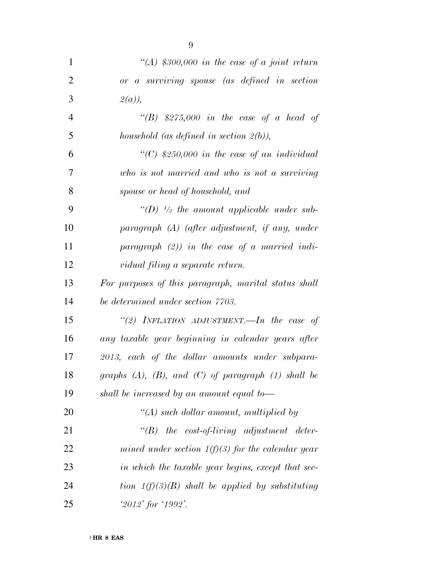| $\mathbf{1}$   | "(A) \$300,000 in the case of a joint return                 |
|----------------|--------------------------------------------------------------|
| $\overline{2}$ | or a surviving spouse (as defined in section                 |
| 3              | $2(a)$ ),                                                    |
| $\overline{4}$ | "(B) \$275,000 in the case of a head of                      |
| 5              | household (as defined in section $2(b)$ ),                   |
| 6              | "(C) $$250,000$ in the case of an individual                 |
| 7              | who is not married and who is not a surviving                |
| 8              | spouse or head of household, and                             |
| 9              | "(D) $\frac{1}{2}$ the amount applicable under sub-          |
| 10             | $paragnph$ (A) (after adjustment, if any, under              |
| 11             | paragraph $(2)$ ) in the case of a married indi-             |
| 12             | vidual filing a separate return.                             |
| 13             | For purposes of this paragraph, marital status shall         |
| 14             | be determined under section 7703.                            |
| 15             | "(2) INFLATION ADJUSTMENT.—In the case of                    |
| 16             | any taxable year beginning in calendar years after           |
| 17             | 2013, each of the dollar amounts under subpara-              |
| 18             | graphs $(A)$ , $(B)$ , and $(C)$ of paragraph $(1)$ shall be |
| 19             | shall be increased by an amount equal to-                    |
| 20             | $\lq (A)$ such dollar amount, multiplied by                  |
| 21             | $\lq\lq B$ the cost-of-living adjustment deter-              |
| 22             | mined under section $1(f)(3)$ for the calendar year          |
| 23             | in which the taxable year begins, except that sec-           |
| 24             | tion $1(f)(3)(B)$ shall be applied by substituting           |
| 25             | $2012'$ for $1992'.$                                         |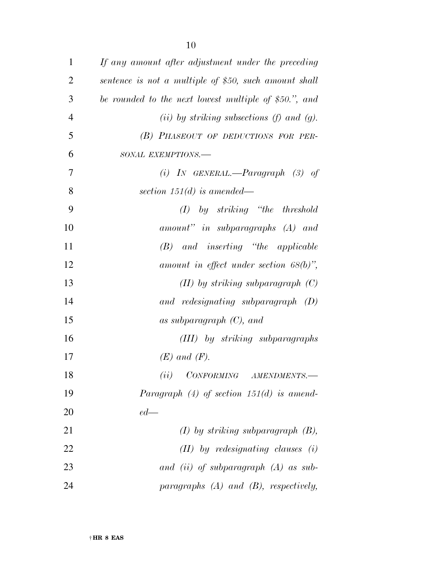| $\mathbf{1}$   | If any amount after adjustment under the preceding                                                                           |
|----------------|------------------------------------------------------------------------------------------------------------------------------|
| $\overline{2}$ | sentence is not a multiple of \$50, such amount shall                                                                        |
| 3              | be rounded to the next lowest multiple of \$50.", and                                                                        |
| $\overline{4}$ | (ii) by striking subsections (f) and (g).                                                                                    |
| 5              | (B) PHASEOUT OF DEDUCTIONS FOR PER-                                                                                          |
| 6              | SONAL EXEMPTIONS.-                                                                                                           |
| $\overline{7}$ | (i) IN GENERAL.— $Paragnph$ (3) of                                                                                           |
| 8              | section 151 $(d)$ is amended—                                                                                                |
| 9              | by striking "the threshold<br>(I)                                                                                            |
| 10             | amount" in subparagraphs (A) and                                                                                             |
| 11             | $(B)$ and inserting "the applicable"                                                                                         |
| 12             | amount in effect under section $68(b)$ ",                                                                                    |
| 13             | $(II)$ by striking subparagraph $(C)$                                                                                        |
| 14             | and redesignating subparagraph $(D)$                                                                                         |
| 15             | as subparagraph $(C)$ , and                                                                                                  |
| 16             | (III) by striking subparagraphs                                                                                              |
| 17             | $(E)$ and $(F)$ .                                                                                                            |
| 18             | $\begin{minipage}{0.9\linewidth} \textit{CONFORMING} \textit{ \quad} \textit{AMENDMENTS}\textit{---} \end{minipage}$<br>(ii) |
| 19             | Paragraph $(4)$ of section 151 $(d)$ is amend-                                                                               |
| 20             | $ed$ —                                                                                                                       |
| 21             | $(I)$ by striking subparagraph $(B)$ ,                                                                                       |
| 22             | $(II)$ by redesignating clauses $(i)$                                                                                        |
| 23             | and (ii) of subparagraph $(A)$ as sub-                                                                                       |
| 24             | paragraphs $(A)$ and $(B)$ , respectively,                                                                                   |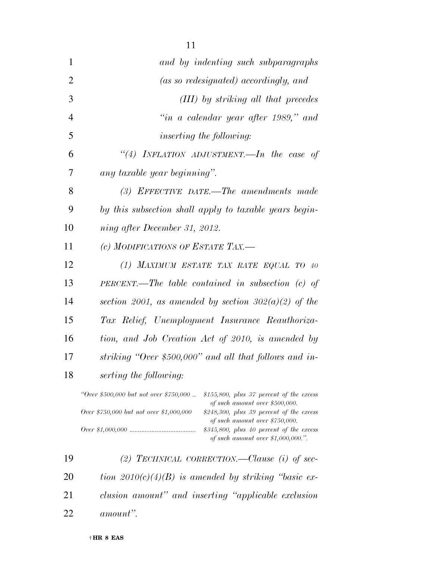| $\mathbf{1}$   | and by indenting such subparagraphs                                                                                                 |
|----------------|-------------------------------------------------------------------------------------------------------------------------------------|
| $\overline{2}$ | (as so redesignated) accordingly, and                                                                                               |
| 3              | (III) by striking all that precedes                                                                                                 |
| $\overline{4}$ | "in a calendar year after 1989," and                                                                                                |
| 5              | <i>inserting the following:</i>                                                                                                     |
| 6              | "(4) INFLATION ADJUSTMENT.—In the case of                                                                                           |
| 7              | any taxable year beginning".                                                                                                        |
| 8              | $(3)$ EFFECTIVE DATE.—The amendments made                                                                                           |
| 9              | by this subsection shall apply to taxable years begin-                                                                              |
| 10             | ning after December 31, 2012.                                                                                                       |
| 11             | (c) MODIFICATIONS OF ESTATE TAX.-                                                                                                   |
| 12             | (1) MAXIMUM ESTATE TAX RATE EQUAL TO 40                                                                                             |
| 13             | $PERCENT.$ The table contained in subsection (c) of                                                                                 |
| 14             | section 2001, as amended by section $302(a)(2)$ of the                                                                              |
| 15             | Tax Relief, Unemployment Insurance Reauthoriza-                                                                                     |
| 16             | tion, and Job Creation Act of 2010, is amended by                                                                                   |
| 17             | striking "Over \$500,000" and all that follows and in-                                                                              |
| 18             | serting the following:                                                                                                              |
|                | "Over \$500,000 but not over \$750,000<br>$$155,800$ , plus 37 percent of the excess                                                |
|                | of such amount over \$500,000.<br>$Q_{\text{VOP}}$ , \$750,000 but not over \$1,000,000<br>$$948,300$ plue 30 percent of the excess |

| "Over \$500,000 but not over \$750,000  | $$155,800$ , plus 37 percent of the excess                  |
|-----------------------------------------|-------------------------------------------------------------|
|                                         | of such amount over \$500,000.                              |
| Over \$750,000 but not over \$1,000,000 | $$248,300, \; plus \; 39 \; percent \; of \; the \; excess$ |

| of such amount over \$750,000.             |
|--------------------------------------------|
| $$345,800$ , plus 40 percent of the excess |
| of such amount over \$1,000,000.".         |

 *(2) TECHNICAL CORRECTION.—Clause (i) of sec- tion 2010(c)(4)(B) is amended by striking ''basic ex- clusion amount'' and inserting ''applicable exclusion amount''.*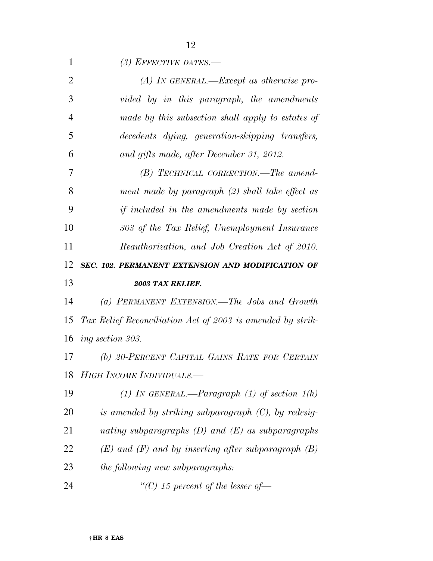| 1              | (3) EFFECTIVE DATES.—                                      |
|----------------|------------------------------------------------------------|
| $\overline{2}$ | $(A)$ In GENERAL.—Except as otherwise pro-                 |
| 3              | vided by in this paragraph, the amendments                 |
| $\overline{4}$ | made by this subsection shall apply to estates of          |
| 5              | decedents dying, generation-skipping transfers,            |
| 6              | and gifts made, after December 31, 2012.                   |
| 7              | $(B)$ TECHNICAL CORRECTION.—The amend-                     |
| 8              | ment made by paragraph (2) shall take effect as            |
| 9              | <i>if included in the amendments made by section</i>       |
| 10             | 303 of the Tax Relief, Unemployment Insurance              |
| 11             | Reauthorization, and Job Creation Act of 2010.             |
| 12             | SEC. 102. PERMANENT EXTENSION AND MODIFICATION OF          |
|                |                                                            |
| 13             | 2003 TAX RELIEF.                                           |
| 14             | (a) PERMANENT EXTENSION.—The Jobs and Growth               |
| 15             | Tax Relief Reconciliation Act of 2003 is amended by strik- |
| 16             | <i>ing section 303.</i>                                    |
| 17             | (b) 20-PERCENT CAPITAL GAINS RATE FOR CERTAIN              |
| 18             | HIGH INCOME INDIVIDUALS.-                                  |
| 19             | (1) In GENERAL.—Paragraph (1) of section $1(h)$            |
| 20             | is amended by striking subparagraph $(C)$ , by redesig-    |
| 21             | nating subparagraphs $(D)$ and $(E)$ as subparagraphs      |
| 22             | $(E)$ and $(F)$ and by inserting after subparagraph $(B)$  |
| 23             | <i>the following new subparagraphs:</i>                    |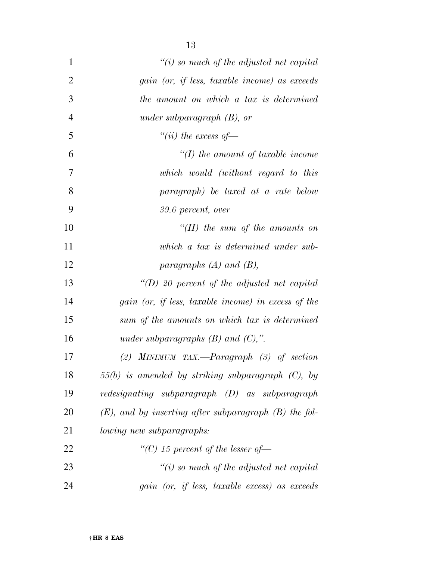| $\mathbf{1}$   | "(i) so much of the adjusted net capital                   |
|----------------|------------------------------------------------------------|
| $\overline{2}$ | gain (or, if less, taxable income) as exceeds              |
| 3              | the amount on which a tax is determined                    |
| $\overline{4}$ | under subparagraph $(B)$ , or                              |
| 5              | "(ii) the excess of $-$                                    |
| 6              | $\lq (I)$ the amount of taxable income                     |
| 7              | which would (without regard to this                        |
| 8              | paragraph) be taxed at a rate below                        |
| 9              | 39.6 percent, over                                         |
| 10             | $\lq (II)$ the sum of the amounts on                       |
| 11             | which a tax is determined under sub-                       |
| 12             | paragraphs $(A)$ and $(B)$ ,                               |
| 13             | "(D) 20 percent of the adjusted net capital                |
| 14             | gain (or, if less, taxable income) in excess of the        |
| 15             | sum of the amounts on which tax is determined              |
| 16             | under subparagraphs $(B)$ and $(C)$ ,".                    |
| 17             | (2) MINIMUM TAX.—Paragraph $(3)$ of section                |
| 18             | $55(b)$ is amended by striking subparagraph $(C)$ , by     |
| 19             | redesignating subparagraph (D) as subparagraph             |
| 20             | $(E)$ , and by inserting after subparagraph $(B)$ the fol- |
| 21             | <i>lowing new subparagraphs:</i>                           |
| 22             | "(C) 15 percent of the lesser of $-$                       |
| 23             | $\lq\lq(i)$ so much of the adjusted net capital            |
| 24             | gain (or, if less, taxable excess) as exceeds              |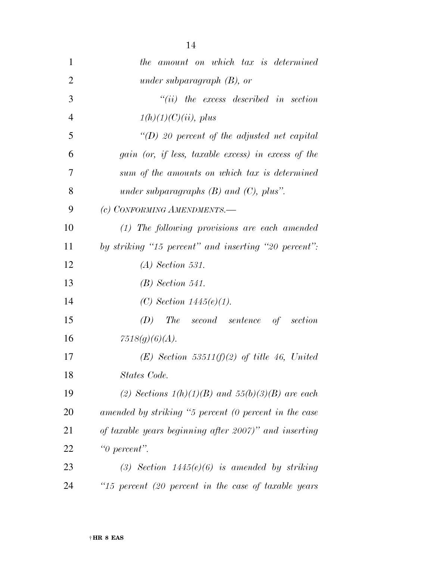| $\mathbf{1}$   | the amount on which tax is determined                 |
|----------------|-------------------------------------------------------|
| $\overline{2}$ | under subparagraph $(B)$ , or                         |
| 3              | $``(ii)$ the excess described in section              |
| $\overline{4}$ | $1(h)(1)(C)(ii)$ , plus                               |
| 5              | "(D) 20 percent of the adjusted net capital           |
| 6              | gain (or, if less, taxable excess) in excess of the   |
| 7              | sum of the amounts on which tax is determined         |
| 8              | under subparagraphs $(B)$ and $(C)$ , plus".          |
| 9              | (c) CONFORMING AMENDMENTS.-                           |
| 10             | (1) The following provisions are each amended         |
| 11             | by striking "15 percent" and inserting "20 percent":  |
| 12             | $(A)$ Section 531.                                    |
| 13             | $(B)$ Section 541.                                    |
| 14             | (C) Section $1445(e)(1)$ .                            |
| 15             | (D)<br>The second sentence of section                 |
| 16             | 7518(g)(6)(A).                                        |
| 17             | $(E)$ Section 53511(f)(2) of title 46, United         |
| 18             | States Code.                                          |
| 19             | (2) Sections $1(h)(1)(B)$ and $55(h)(3)(B)$ are each  |
| 20             | amended by striking "5 percent (0 percent in the case |
| 21             | of taxable years beginning after 2007)" and inserting |
| 22             | " $\theta$ percent".                                  |
| 23             | (3) Section $1445(e)(6)$ is amended by striking       |
| 24             | "15 percent (20 percent in the case of taxable years  |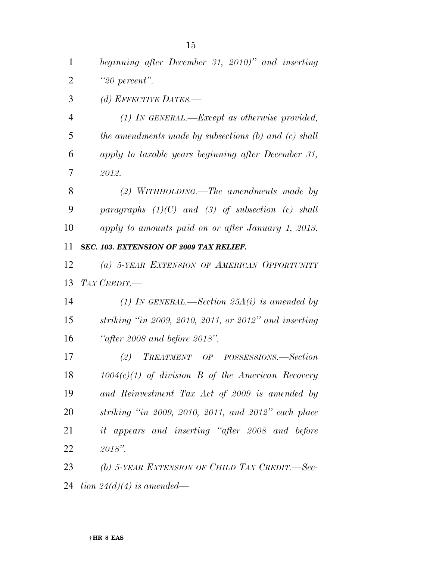*beginning after December 31, 2010)'' and inserting ''20 percent''.* 

*(d) EFFECTIVE DATES.—* 

 *(1) IN GENERAL.—Except as otherwise provided, the amendments made by subsections (b) and (c) shall apply to taxable years beginning after December 31, 2012.* 

 *(2) WITHHOLDING.—The amendments made by paragraphs (1)(C) and (3) of subsection (c) shall apply to amounts paid on or after January 1, 2013.* 

*SEC. 103. EXTENSION OF 2009 TAX RELIEF.* 

 *(a) 5-YEAR EXTENSION OF AMERICAN OPPORTUNITY TAX CREDIT.—* 

 *(1) IN GENERAL.—Section 25A(i) is amended by striking ''in 2009, 2010, 2011, or 2012'' and inserting ''after 2008 and before 2018''.* 

 *(2) TREATMENT OF POSSESSIONS.—Section 1004(c)(1) of division B of the American Recovery and Reinvestment Tax Act of 2009 is amended by striking ''in 2009, 2010, 2011, and 2012'' each place it appears and inserting ''after 2008 and before 2018''.* 

 *(b) 5-YEAR EXTENSION OF CHILD TAX CREDIT.—Sec-tion 24(d)(4) is amended—*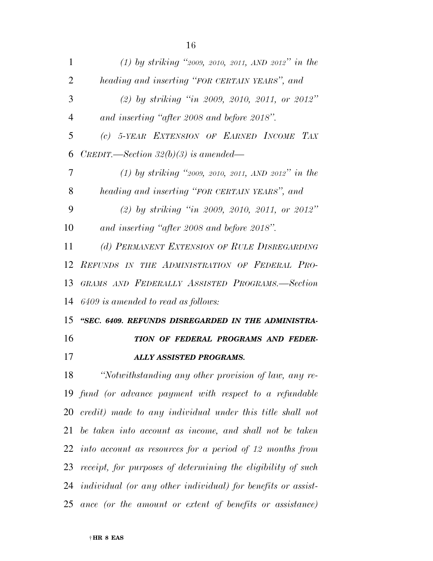| 1              | (1) by striking "2009, 2010, 2011, AND 2012" in the             |
|----------------|-----------------------------------------------------------------|
| $\overline{2}$ | heading and inserting "FOR CERTAIN YEARS", and                  |
| 3              | (2) by striking "in 2009, 2010, 2011, or 2012"                  |
| $\overline{4}$ | and inserting "after 2008 and before 2018".                     |
| 5              | (c) 5-YEAR EXTENSION OF EARNED INCOME TAX                       |
| 6              | $CREDIT.$ —Section 32(b)(3) is amended—                         |
| 7              | (1) by striking "2009, 2010, 2011, AND 2012" in the             |
| 8              | heading and inserting "FOR CERTAIN YEARS", and                  |
| 9              | (2) by striking "in 2009, 2010, 2011, or 2012"                  |
| 10             | and inserting "after 2008 and before 2018".                     |
| 11             | (d) PERMANENT EXTENSION OF RULE DISREGARDING                    |
| 12             | REFUNDS IN THE ADMINISTRATION OF FEDERAL PRO-                   |
| 13             | GRAMS AND FEDERALLY ASSISTED PROGRAMS.-Section                  |
|                |                                                                 |
|                | 14 6409 is amended to read as follows:                          |
|                | "SEC. 6409. REFUNDS DISREGARDED IN THE ADMINISTRA-              |
| 15<br>16       | TION OF FEDERAL PROGRAMS AND FEDER-                             |
| 17             | <b>ALLY ASSISTED PROGRAMS.</b>                                  |
| 18             | "Notwithstanding any other provision of law, any re-            |
|                | 19 fund (or advance payment with respect to a refundable        |
|                | $20$ credit) made to any individual under this title shall not  |
|                | 21 be taken into account as income, and shall not be taken      |
|                | 22 into account as resources for a period of 12 months from     |
|                | 23 receipt, for purposes of determining the eligibility of such |
|                | 24 individual (or any other individual) for benefits or assist- |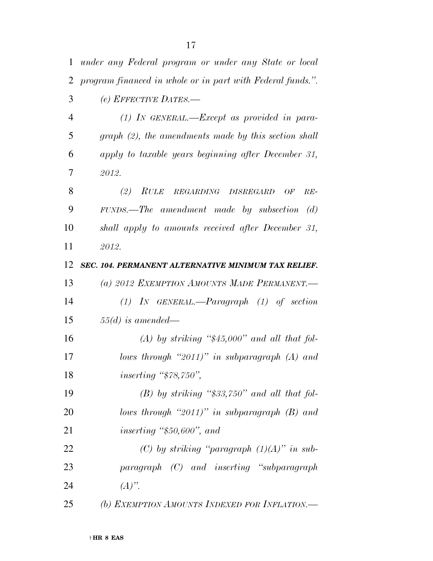| $\mathbf{1}$   | under any Federal program or under any State or local      |
|----------------|------------------------------------------------------------|
| 2              | program financed in whole or in part with Federal funds.". |
| 3              | (e) EFFECTIVE DATES.-                                      |
| $\overline{4}$ | $(1)$ IN GENERAL.—Except as provided in para-              |
| 5              | $graph (2)$ , the amendments made by this section shall    |
| 6              | apply to taxable years beginning after December 31,        |
| 7              | 2012.                                                      |
| 8              | (2) RULE REGARDING DISREGARD<br>OF<br>$RE-$                |
| 9              | $FUNDS.$ The amendment made by subsection (d)              |
| 10             | shall apply to amounts received after December 31,         |
| 11             | 2012.                                                      |
| 12             | SEC. 104. PERMANENT ALTERNATIVE MINIMUM TAX RELIEF.        |
| 13             | (a) 2012 EXEMPTION AMOUNTS MADE PERMANENT.-                |
| 14             | $(1)$ IN GENERAL.—Paragraph $(1)$ of section               |
| 15             | $55(d)$ is amended—                                        |
| 16             | $(A)$ by striking "\$45,000" and all that fol-             |
| 17             | lows through "2011)" in subparagraph $(A)$ and             |
| 18             | inserting " $$78,750"$ ,                                   |
| 19             | $(B)$ by striking "\$33,750" and all that fol-             |
| 20             | lows through "2011)" in subparagraph $(B)$ and             |
| 21             | inserting " $$50,600"$ , and                               |
| 22             | (C) by striking "paragraph $(1)(A)$ " in sub-              |
| 23             | paragraph (C) and inserting "subparagraph"                 |
| 24             | $(A)$ ".                                                   |
| 25             | (b) EXEMPTION AMOUNTS INDEXED FOR INFLATION.               |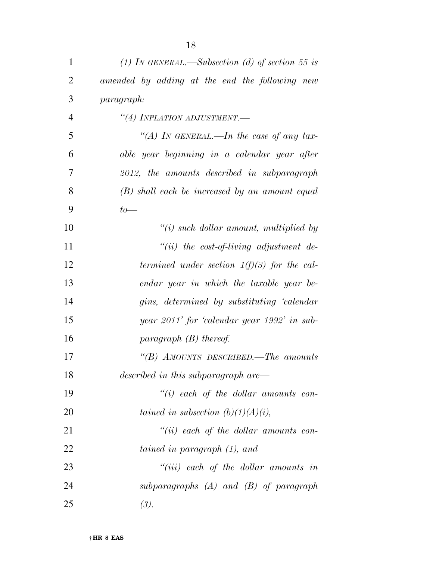| 1              | (1) IN GENERAL.—Subsection (d) of section 55 is  |
|----------------|--------------------------------------------------|
| $\overline{2}$ | amended by adding at the end the following new   |
| 3              | <i>paragraph:</i>                                |
| $\overline{4}$ | "(4) INFLATION ADJUSTMENT.-                      |
| 5              | "(A) IN GENERAL.—In the case of any tax-         |
| 6              | able year beginning in a calendar year after     |
| 7              | 2012, the amounts described in subparagraph      |
| 8              | $(B)$ shall each be increased by an amount equal |
| 9              | $to-$                                            |
| 10             | $"(i)$ such dollar amount, multiplied by         |
| 11             | "(ii) the cost-of-living adjustment de-          |
| 12             | termined under section $1(f)(3)$ for the cal-    |
| 13             | endar year in which the taxable year be-         |
| 14             | gins, determined by substituting 'calendar       |
| 15             | year 2011' for 'calendar year 1992' in sub-      |
| 16             | paragraph $(B)$ thereof.                         |
| 17             | "(B) AMOUNTS DESCRIBED.—The amounts              |
| 18             | described in this subparagraph are—              |
| 19             | $``(i)$ each of the dollar amounts con-          |
| 20             | tained in subsection $(b)(1)(A)(i)$ ,            |
| 21             | $``(ii)$ each of the dollar amounts con-         |
| 22             | tained in paragraph (1), and                     |
| 23             | $``(iii)$ each of the dollar amounts in          |
| 24             | subparagraphs $(A)$ and $(B)$ of paragraph       |
| 25             | (3).                                             |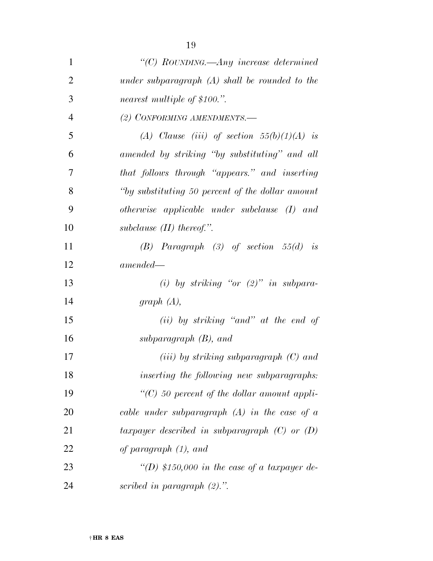| $\mathbf{1}$ | "(C) ROUNDING.—Any increase determined           |
|--------------|--------------------------------------------------|
| 2            | under subparagraph $(A)$ shall be rounded to the |
| 3            | nearest multiple of \$100.".                     |
| 4            | (2) CONFORMING AMENDMENTS.-                      |

| - 5               | (A) Clause (iii) of section $55(b)(1)(A)$ is      |
|-------------------|---------------------------------------------------|
| 6                 | amended by striking "by substituting" and all     |
| $7\phantom{.0}\,$ | that follows through "appears." and inserting     |
| 8                 | "by substituting 50 percent of the dollar amount" |
| -9                | otherwise applicable under subclause $(I)$ and    |
| 10                | subclause $(II)$ thereof.".                       |

 *(B) Paragraph (3) of section 55(d) is amended—* 

 *(i) by striking ''or (2)'' in subpara-graph (A),* 

 *(ii) by striking ''and'' at the end of subparagraph (B), and* 

 *(iii) by striking subparagraph (C) and inserting the following new subparagraphs: ''(C) 50 percent of the dollar amount appli- cable under subparagraph (A) in the case of a taxpayer described in subparagraph (C) or (D) of paragraph (1), and* 

 *''(D) \$150,000 in the case of a taxpayer de-scribed in paragraph (2).''.*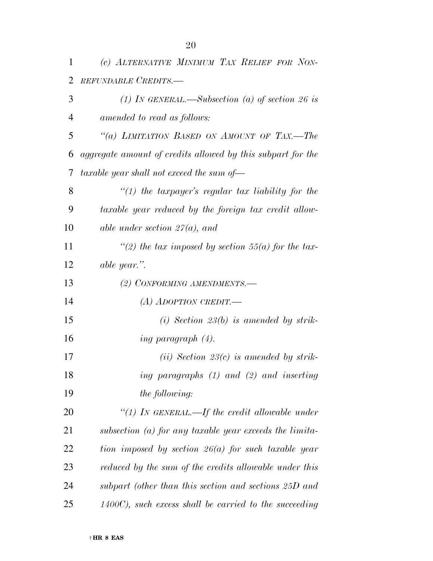| 1              | (c) ALTERNATIVE MINIMUM TAX RELIEF FOR NON-                 |
|----------------|-------------------------------------------------------------|
| 2              | REFUNDABLE CREDITS.-                                        |
| 3              | (1) IN GENERAL.—Subsection (a) of section 26 is             |
| $\overline{4}$ | amended to read as follows:                                 |
| 5              | "(a) LIMITATION BASED ON AMOUNT OF TAX.—The                 |
| 6              | aggregate amount of credits allowed by this subpart for the |
| 7              | taxable year shall not exceed the sum of-                   |
| 8              | "(1) the taxpayer's regular tax liability for the           |
| 9              | taxable year reduced by the foreign tax credit allow-       |
| 10             | able under section $27(a)$ , and                            |
| 11             | "(2) the tax imposed by section 55(a) for the tax-          |
| 12             | able year.".                                                |
| 13             | (2) CONFORMING AMENDMENTS.-                                 |
| 14             | (A) ADOPTION CREDIT.—                                       |
| 15             | (i) Section 23(b) is amended by strik-                      |
| 16             | ing paragraph $(4)$ .                                       |
| 17             | (ii) Section 23(c) is amended by strik-                     |
| 18             | ing paragraphs (1) and (2) and inserting                    |
| 19             | the following:                                              |
| 20             | "(1) In GENERAL.—If the credit allowable under              |
| 21             | subsection $(a)$ for any taxable year exceeds the limita-   |
| 22             | tion imposed by section $26(a)$ for such taxable year       |
| 23             | reduced by the sum of the credits allowable under this      |
| 24             | subpart (other than this section and sections 25D and       |
| 25             | $1400C$ , such excess shall be carried to the succeeding    |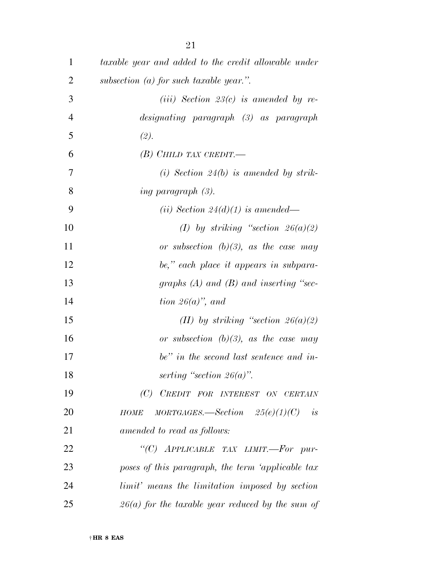| 1              | taxable year and added to the credit allowable under         |
|----------------|--------------------------------------------------------------|
| $\overline{2}$ | subsection $(a)$ for such taxable year.".                    |
| 3              | ( <i>iii</i> ) Section 23( <i>c</i> ) is amended by re-      |
| $\overline{4}$ | designating paragraph (3) as paragraph                       |
| 5              | (2).                                                         |
| 6              | $(B)$ Child tax credit.                                      |
| $\tau$         | (i) Section 24(b) is amended by strik-                       |
| 8              | <i>ing paragraph (3).</i>                                    |
| 9              | (ii) Section 24(d)(1) is amended—                            |
| 10             | (I) by striking "section $26(a)(2)$                          |
| 11             | or subsection $(b)(3)$ , as the case may                     |
| 12             | be," each place it appears in subpara-                       |
| 13             | graphs $(A)$ and $(B)$ and inserting "sec-                   |
| 14             | tion $26(a)$ , and                                           |
| 15             | (II) by striking "section $26(a)(2)$                         |
| 16             | or subsection $(b)(3)$ , as the case may                     |
| 17             | be" in the second last sentence and in-                      |
| 18             | serting "section $26(a)$ ".                                  |
| 19             | (C) CREDIT FOR INTEREST ON CERTAIN                           |
| 20             | $MORTGAGES. \text{—Section}$ $25(e)(1)(C)$ is<br><b>HOME</b> |
| 21             | amended to read as follows:                                  |
| 22             | "(C) APPLICABLE TAX LIMIT.-For pur-                          |
| 23             | poses of this paragraph, the term 'applicable tax            |
| 24             | limit' means the limitation imposed by section               |
| 25             | $26(a)$ for the taxable year reduced by the sum of           |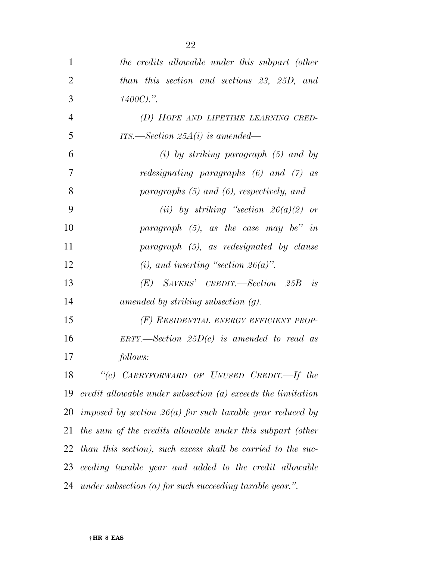| $\mathbf{1}$   | the credits allowable under this subpart (other                  |
|----------------|------------------------------------------------------------------|
| $\overline{2}$ | than this section and sections 23, 25D, and                      |
| 3              | $1400C$ ).".                                                     |
| $\overline{4}$ | (D) HOPE AND LIFETIME LEARNING CRED-                             |
| 5              | ITS.—Section $25A(i)$ is amended—                                |
| 6              | $(i)$ by striking paragraph $(5)$ and by                         |
| 7              | <i>redesignating paragraphs</i> $(6)$ <i>and</i> $(7)$ <i>as</i> |
| 8              | paragraphs $(5)$ and $(6)$ , respectively, and                   |
| 9              | (ii) by striking "section $26(a)(2)$ or                          |
| 10             | paragraph $(5)$ , as the case may be" in                         |
| 11             | paragraph (5), as redesignated by clause                         |
| 12             | (i), and inserting "section $26(a)$ ".                           |
| 13             | $(E)$ SAVERS' CREDIT. Section 25B<br>is                          |
| 14             | amended by striking subsection $(g)$ .                           |
| 15             | (F) RESIDENTIAL ENERGY EFFICIENT PROP-                           |
| 16             | ERTY.—Section $25D(c)$ is amended to read as                     |
| 17             | follows:                                                         |
| 18             | "(c) CARRYFORWARD OF UNUSED CREDIT.--- If the                    |
| 19             | credit allowable under subsection $(a)$ exceeds the limitation   |
|                | 20 imposed by section $26(a)$ for such taxable year reduced by   |
| 21             | the sum of the credits allowable under this subpart (other       |
| 22             | than this section), such excess shall be carried to the suc-     |
|                | 23 ceeding taxable year and added to the credit allowable        |
|                | 24 under subsection (a) for such succeeding taxable year.".      |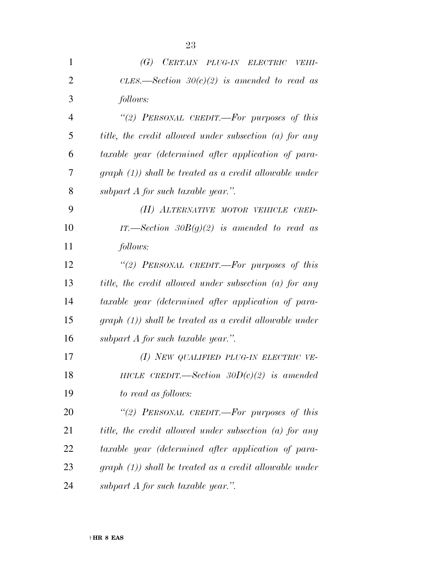| $\mathbf{1}$   | (G)<br>CERTAIN PLUG-IN ELECTRIC VEHI-                    |
|----------------|----------------------------------------------------------|
| $\overline{2}$ | CLES.—Section $30(c)(2)$ is amended to read as           |
| 3              | follows:                                                 |
| 4              | "(2) PERSONAL CREDIT.—For purposes of this               |
| 5              | title, the credit allowed under subsection (a) for any   |
| 6              | taxable year (determined after application of para-      |
| 7              | $graph (1)$ shall be treated as a credit allowable under |
| 8              | subpart $A$ for such taxable year.".                     |
| 9              | (H) ALTERNATIVE MOTOR VEHICLE CRED-                      |
| 10             | IT.—Section $30B(g)(2)$ is amended to read as            |
| 11             | follows:                                                 |
| 12             | "(2) PERSONAL CREDIT.-For purposes of this               |
| 13             | title, the credit allowed under subsection (a) for any   |
| 14             | taxable year (determined after application of para-      |
| 15             | $graph (1)$ shall be treated as a credit allowable under |
| 16             | subpart $A$ for such taxable year.".                     |
| 17             | (1) NEW QUALIFIED PLUG-IN ELECTRIC VE-                   |
| 18             | HICLE CREDIT.—Section $30D(c)(2)$ is amended             |
| 19             | to read as follows:                                      |
| 20             | "(2) PERSONAL CREDIT.—For purposes of this               |
| 21             | title, the credit allowed under subsection (a) for any   |
| 22             | taxable year (determined after application of para-      |
| 23             | $graph (1)$ shall be treated as a credit allowable under |
| 24             | subpart $A$ for such taxable year.".                     |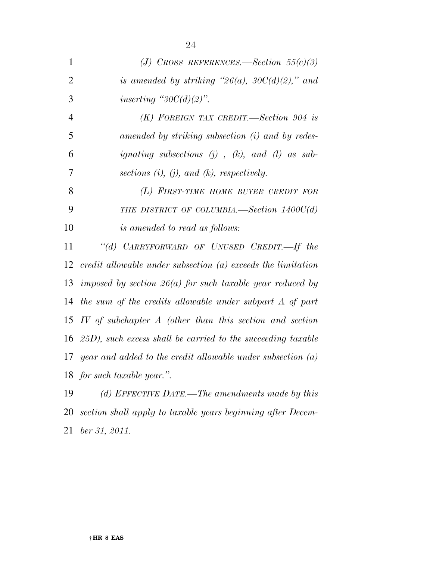| $\mathbf{1}$   | (J) CROSS REFERENCES.—Section $55(c)(3)$                                         |
|----------------|----------------------------------------------------------------------------------|
| $\overline{2}$ | is amended by striking " $26(a)$ , $30C(d)(2)$ ," and                            |
| 3              | inserting " $30C(d)(2)$ ".                                                       |
| $\overline{4}$ | $(K)$ FOREIGN TAX CREDIT.—Section 904 is                                         |
| 5              | amended by striking subsection (i) and by redes-                                 |
| 6              | <i>ignating subsections</i> ( <i>j</i> ), ( <i>k</i> ), and ( <i>l</i> ) as sub- |
| 7              | sections $(i)$ , $(j)$ , and $(k)$ , respectively.                               |
| 8              | (L) FIRST-TIME HOME BUYER CREDIT FOR                                             |
| 9              | THE DISTRICT OF COLUMBIA. Section $1400C(d)$                                     |
| 10             | is amended to read as follows:                                                   |
| 11             | "(d) CARRYFORWARD OF UNUSED CREDIT.—If the                                       |
| 12             | $credit$ allowable under subsection $(a)$ exceeds the limitation                 |
| 13             | imposed by section $26(a)$ for such taxable year reduced by                      |
| 14             | the sum of the credits allowable under subpart A of part                         |
| 15             | $IV$ of subchapter $A$ (other than this section and section                      |
| 16             | $(25D)$ , such excess shall be carried to the succeeding taxable                 |
| 17             | year and added to the credit allowable under subsection $(a)$                    |
| 18             | for such taxable year.".                                                         |
| 19             | (d) EFFECTIVE DATE.—The amendments made by this                                  |
|                | 20 section shall apply to taxable years beginning after Decem-                   |

*ber 31, 2011.*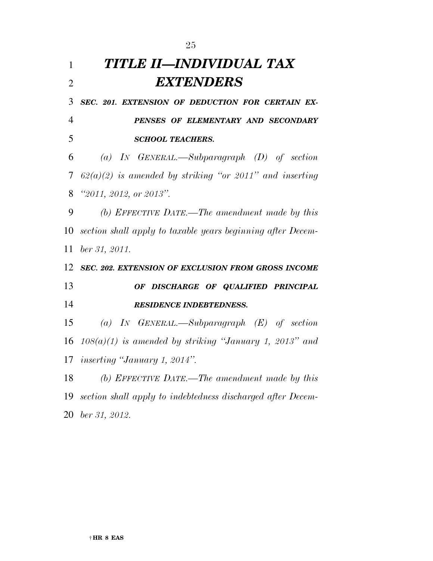| $\mathbf{1}$             | TITLE II—INDIVIDUAL TAX                                     |
|--------------------------|-------------------------------------------------------------|
| $\overline{2}$           | <b>EXTENDERS</b>                                            |
| 3                        | SEC. 201. EXTENSION OF DEDUCTION FOR CERTAIN EX-            |
| $\overline{4}$           | PENSES OF ELEMENTARY AND SECONDARY                          |
| 5                        | <b>SCHOOL TEACHERS.</b>                                     |
| 6                        | (a) IN GENERAL.—Subparagraph $(D)$ of section               |
| $\overline{\mathcal{L}}$ | $62(a)(2)$ is amended by striking "or 2011" and inserting   |
| 8                        | "2011, 2012, or 2013".                                      |
| 9                        | (b) EFFECTIVE DATE.—The amendment made by this              |
| 10                       | section shall apply to taxable years beginning after Decem- |
| 11                       | $ber\,31,\,2011.$                                           |
| 12                       | SEC. 202. EXTENSION OF EXCLUSION FROM GROSS INCOME          |
| 13                       | OF DISCHARGE OF QUALIFIED PRINCIPAL                         |
| 14                       | <b>RESIDENCE INDEBTEDNESS.</b>                              |
| 15                       | (a) IN GENERAL.—Subparagraph $(E)$ of section               |
| 16                       | $108(a)(1)$ is amended by striking "January 1, 2013" and    |
| 17                       | <i>inserting "January 1, 2014".</i>                         |
| 18                       | (b) EFFECTIVE DATE.—The amendment made by this              |
| 19                       | section shall apply to indebtedness discharged after Decem- |
|                          | 20 ber 31, 2012.                                            |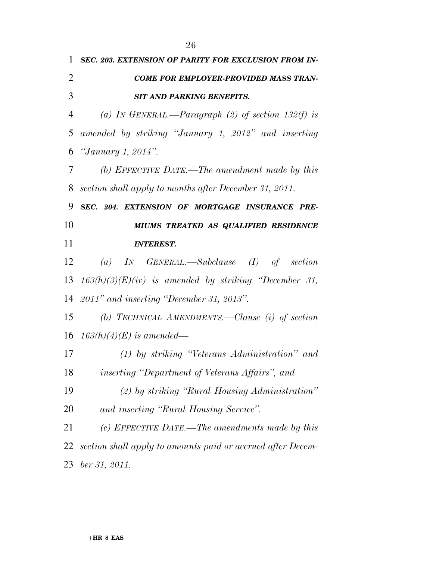|                | 26                                                          |
|----------------|-------------------------------------------------------------|
| $\mathbf{1}$   | SEC. 203. EXTENSION OF PARITY FOR EXCLUSION FROM IN-        |
| $\overline{2}$ | <b>COME FOR EMPLOYER-PROVIDED MASS TRAN-</b>                |
| 3              | <b>SIT AND PARKING BENEFITS.</b>                            |
| 4              | (a) IN GENERAL.—Paragraph (2) of section 132(f) is          |
| 5              | amended by striking "January 1, 2012" and inserting         |
| 6              | "January 1, 2014".                                          |
| 7              | (b) EFFECTIVE DATE.—The amendment made by this              |
| 8              | section shall apply to months after December 31, 2011.      |
| 9              | SEC. 204. EXTENSION OF MORTGAGE INSURANCE PRE-              |
| 10             | MIUMS TREATED AS QUALIFIED RESIDENCE                        |
| 11             | <b>INTEREST.</b>                                            |
| 12             | (a) IN GENERAL.—Subclause (I) of section                    |
| 13             | $163(h)(3)(E)(iv)$ is amended by striking "December 31,     |
|                | 14 2011" and inserting "December 31, 2013".                 |
| 15             | (b) TECHNICAL AMENDMENTS.—Clause (i) of section             |
|                | 16 $163(h)(4)(E)$ is amended—                               |
| 17             | $(1)$ by striking "Veterans Administration" and             |
| 18             |                                                             |
|                | inserting "Department of Veterans Affairs", and             |
| 19             | (2) by striking "Rural Housing Administration"              |
| 20             | and inserting "Rural Housing Service".                      |
| 21             | (c) EFFECTIVE DATE.—The amendments made by this             |
| 22             | section shall apply to amounts paid or accrued after Decem- |

*ber 31, 2011.*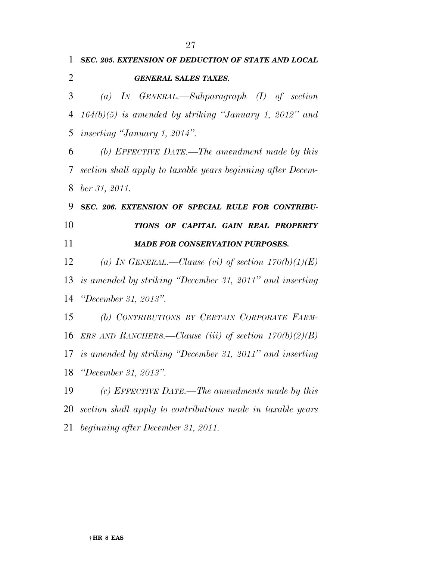*GENERAL SALES TAXES.* 

*SEC. 205. EXTENSION OF DEDUCTION OF STATE AND LOCAL* 

 *(a) IN GENERAL.—Subparagraph (I) of section 164(b)(5) is amended by striking ''January 1, 2012'' and inserting ''January 1, 2014''. (b) EFFECTIVE DATE.—The amendment made by this section shall apply to taxable years beginning after Decem- ber 31, 2011. SEC. 206. EXTENSION OF SPECIAL RULE FOR CONTRIBU- TIONS OF CAPITAL GAIN REAL PROPERTY MADE FOR CONSERVATION PURPOSES. (a) IN GENERAL.—Clause (vi) of section 170(b)(1)(E) is amended by striking ''December 31, 2011'' and inserting ''December 31, 2013''. (b) CONTRIBUTIONS BY CERTAIN CORPORATE FARM- ERS AND RANCHERS.—Clause (iii) of section 170(b)(2)(B) is amended by striking ''December 31, 2011'' and inserting ''December 31, 2013''. (c) EFFECTIVE DATE.—The amendments made by this section shall apply to contributions made in taxable years beginning after December 31, 2011.*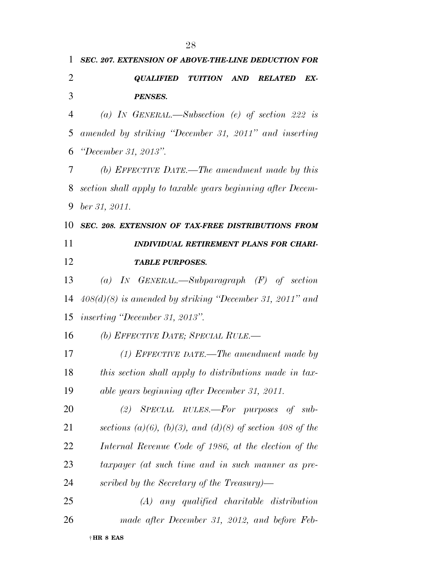| 1              | <b>SEC. 207. EXTENSION OF ABOVE-THE-LINE DEDUCTION FOR</b>      |
|----------------|-----------------------------------------------------------------|
| $\overline{2}$ | TUITION AND<br><i><b>QUALIFIED</b></i><br>EX-<br><b>RELATED</b> |
| 3              | <b>PENSES.</b>                                                  |
| 4              | (a) IN GENERAL.—Subsection (e) of section 222 is                |
| 5              | amended by striking "December 31, 2011" and inserting           |
| 6              | <i>"December 31, 2013".</i>                                     |
| 7              | (b) EFFECTIVE DATE.—The amendment made by this                  |
| 8              | section shall apply to taxable years beginning after Decem-     |
| 9              | ber 31, 2011.                                                   |
| 10             | SEC. 208. EXTENSION OF TAX-FREE DISTRIBUTIONS FROM              |
| 11             | <b>INDIVIDUAL RETIREMENT PLANS FOR CHARI-</b>                   |
| 12             | <b>TABLE PURPOSES.</b>                                          |
| 13             | (a) IN GENERAL.—Subparagraph $(F)$ of section                   |
| 14             | $408(d)(8)$ is amended by striking "December 31, 2011" and      |
| 15             | <i>inserting "December 31, 2013".</i>                           |
| 16             | (b) EFFECTIVE DATE; SPECIAL RULE.—                              |
| 17             | $(1)$ EFFECTIVE DATE.—The amendment made by                     |
| 18             | this section shall apply to distributions made in tax-          |
| 19             | able years beginning after December 31, 2011.                   |
| 20             | $(2)$ SPECIAL RULES.—For purposes of sub-                       |
| 21             | sections (a)(6), (b)(3), and (d)(8) of section 408 of the       |
| 22             | Internal Revenue Code of 1986, at the election of the           |
| 23             | taxpayer (at such time and in such manner as pre-               |
| 24             | scribed by the Secretary of the Treasury)—                      |
| 25             | $(A)$ any qualified charitable distribution                     |
| 26             | made after December 31, 2012, and before Feb-                   |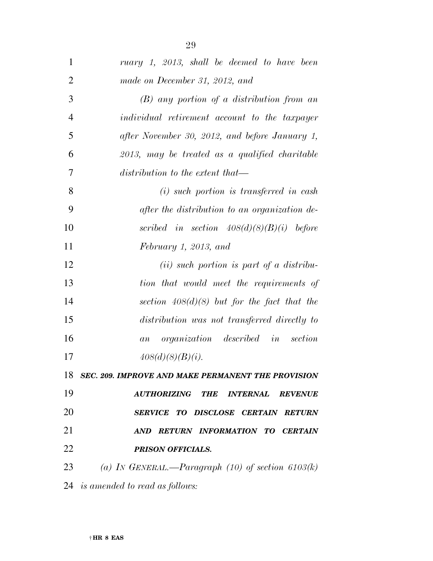| $\mathbf{1}$   | ruary 1, 2013, shall be deemed to have been           |
|----------------|-------------------------------------------------------|
| $\overline{2}$ | made on December 31, 2012, and                        |
| 3              | $(B)$ any portion of a distribution from an           |
| $\overline{4}$ | individual retirement account to the taxpayer         |
| 5              | after November 30, 2012, and before January 1,        |
| 6              | 2013, may be treated as a qualified charitable        |
| 7              | distribution to the extent that—                      |
| 8              | $(i)$ such portion is transferred in cash             |
| 9              | after the distribution to an organization de-         |
| 10             | scribed in section $408(d)(8)(B)(i)$ before           |
| 11             | February 1, 2013, and                                 |
| 12             | $(ii)$ such portion is part of a distribu-            |
| 13             | tion that would meet the requirements of              |
| 14             | section $408(d)(8)$ but for the fact that the         |
| 15             | distribution was not transferred directly to          |
| 16             | <i>organization described in</i><br>section<br>a n    |
| 17             | 408(d)(8)(B)(i).                                      |
|                | 18 SEC. 209. IMPROVE AND MAKE PERMANENT THE PROVISION |
| 19             | AUTHORIZING THE INTERNAL<br><b>REVENUE</b>            |
| 20             | SERVICE TO DISCLOSE CERTAIN RETURN                    |
| 21             | AND RETURN INFORMATION TO CERTAIN                     |
| 22             | <b>PRISON OFFICIALS.</b>                              |
| 23             | (a) IN GENERAL.—Paragraph $(10)$ of section $6103(k)$ |
|                | 24 is amended to read as follows:                     |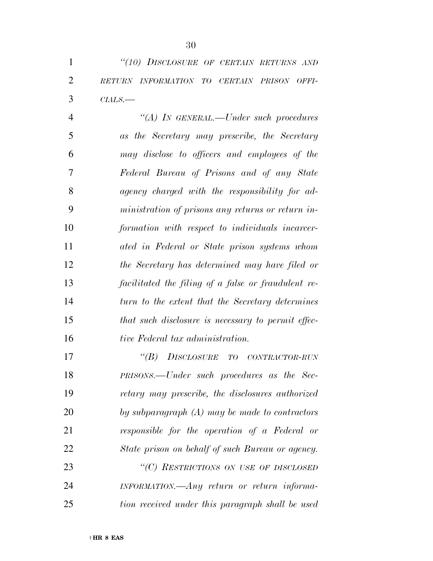*''(10) DISCLOSURE OF CERTAIN RETURNS AND RETURN INFORMATION TO CERTAIN PRISON OFFI-CIALS.—* 

 *''(A) IN GENERAL.—Under such procedures as the Secretary may prescribe, the Secretary may disclose to officers and employees of the Federal Bureau of Prisons and of any State agency charged with the responsibility for ad- ministration of prisons any returns or return in- formation with respect to individuals incarcer- ated in Federal or State prison systems whom the Secretary has determined may have filed or facilitated the filing of a false or fraudulent re- turn to the extent that the Secretary determines that such disclosure is necessary to permit effec-tive Federal tax administration.* 

 *''(B) DISCLOSURE TO CONTRACTOR-RUN PRISONS.—Under such procedures as the Sec- retary may prescribe, the disclosures authorized by subparagraph (A) may be made to contractors responsible for the operation of a Federal or State prison on behalf of such Bureau or agency. ''(C) RESTRICTIONS ON USE OF DISCLOSED INFORMATION.—Any return or return informa-tion received under this paragraph shall be used*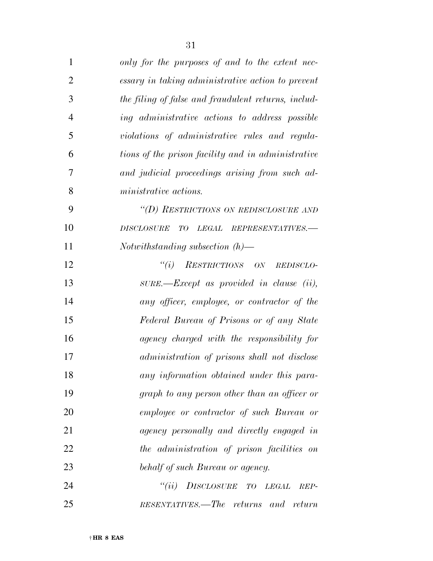| $\mathbf{1}$   | only for the purposes of and to the extent nec-     |
|----------------|-----------------------------------------------------|
| $\overline{2}$ | essary in taking administrative action to prevent   |
| 3              | the filing of false and fraudulent returns, includ- |
| $\overline{4}$ | ing administrative actions to address possible      |
| 5              | violations of administrative rules and regula-      |
| 6              | tions of the prison facility and in administrative  |
| 7              | and judicial proceedings arising from such ad-      |
| 8              | ministrative actions.                               |
| 9              | "(D) RESTRICTIONS ON REDISCLOSURE AND               |
| 10             | LEGAL REPRESENTATIVES.-<br><b>DISCLOSURE</b><br>T O |
| 11             | Notwithstanding subsection $(h)$ —                  |
| 12             | "(i) RESTRICTIONS ON REDISCLO-                      |
| 13             | SURE.-Except as provided in clause (ii),            |
| 14             | any officer, employee, or contractor of the         |
| 15             | Federal Bureau of Prisons or of any State           |
| 16             | agency charged with the responsibility for          |
| 17             | administration of prisons shall not disclose        |
| 18             | any information obtained under this para-           |
| 19             | graph to any person other than an officer or        |
| 20             | <i>employee or contractor of such Bureau or</i>     |
| 21             | agency personally and directly engaged in           |
| 22             | the administration of prison facilities on          |
| 23             | behalf of such Bureau or agency.                    |
| 24             | ``(ii)<br><b>DISCLOSURE</b><br>TO<br>LEGAL<br>REP-  |

*RESENTATIVES.—The returns and return*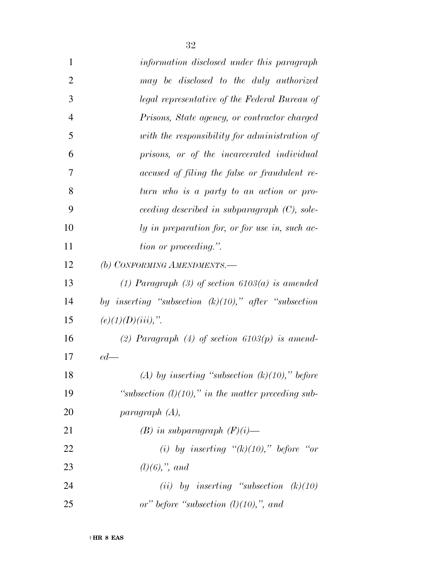| $\mathbf{1}$   | information disclosed under this paragraph              |
|----------------|---------------------------------------------------------|
| $\overline{2}$ | may be disclosed to the duly authorized                 |
| 3              | legal representative of the Federal Bureau of           |
| $\overline{4}$ | Prisons, State agency, or contractor charged            |
| 5              | with the responsibility for administration of           |
| 6              | prisons, or of the incarcerated individual              |
| 7              | accused of filing the false or fraudulent re-           |
| 8              | turn who is a party to an action or pro-                |
| 9              | ceeding described in subparagraph $(C)$ , sole-         |
| 10             | ly in preparation for, or for use in, such ac-          |
| 11             | tion or proceeding.".                                   |
| 12             | (b) CONFORMING AMENDMENTS.-                             |
| 13             | (1) Paragraph (3) of section $6103(a)$ is amended       |
| 14             | by inserting "subsection $(k)(10)$ ," after "subsection |
| 15             | $(e)(1)(D)(iii)$ ,".                                    |
| 16             | (2) Paragraph (4) of section $6103(p)$ is amend-        |
| 17             | $ed$ —                                                  |
| 18             | (A) by inserting "subsection $(k)(10)$ ," before        |
| 19             | "subsection $(l)(10)$ ," in the matter preceding sub-   |
| 20             | paragraph (A),                                          |
| 21             | $(B)$ in subparagraph $(F)(i)$ —                        |
| 22             | (i) by inserting " $(k)(10)$ ," before "or              |
| 23             | $(l)(6),$ ", and                                        |
| 24             | (ii) by inserting "subsection $(k)(10)$                 |
| 25             | or" before "subsection $(l)(10)$ ,", and                |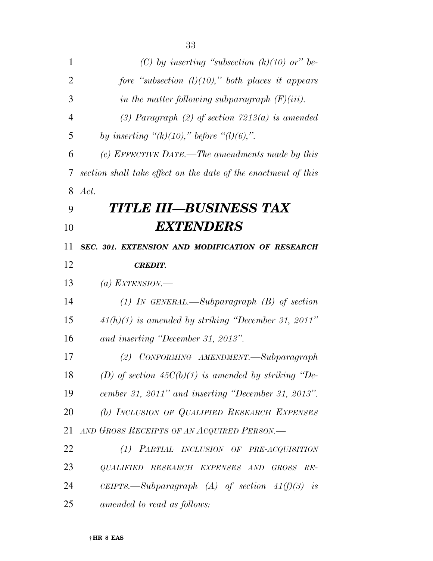| 1              | (C) by inserting "subsection $(k)(10)$ or" be-                 |
|----------------|----------------------------------------------------------------|
| $\overline{2}$ | fore "subsection $(l)(10)$ ," both places it appears           |
| 3              | in the matter following subparagraph $(F)(iii)$ .              |
| $\overline{4}$ | (3) Paragraph (2) of section $7213(a)$ is amended              |
| 5              | by inserting " $(k)(10)$ ," before " $(l)(6)$ ,".              |
| 6              | (c) EFFECTIVE DATE.—The amendments made by this                |
| 7              | section shall take effect on the date of the enactment of this |
| 8              | Act.                                                           |
| 9              | TITLE III—BUSINESS TAX                                         |
| 10             | <b>EXTENDERS</b>                                               |
| 11             | SEC. 301. EXTENSION AND MODIFICATION OF RESEARCH               |
| 12             | <b>CREDIT.</b>                                                 |
| 13             | (a) EXTENSION.—                                                |
| 14             | (1) In GENERAL.—Subparagraph $(B)$ of section                  |
| 15             | $41(h)(1)$ is amended by striking "December 31, 2011"          |
| 16             | and inserting "December 31, 2013".                             |
| 17             | CONFORMING AMENDMENT.-Subparagraph<br>(2)                      |
| 18             | (D) of section $45C(b)(1)$ is amended by striking "De-         |
| 19             | cember 31, 2011" and inserting "December 31, 2013".            |
| 20             | (b) INCLUSION OF QUALIFIED RESEARCH EXPENSES                   |
| 21             | AND GROSS RECEIPTS OF AN ACQUIRED PERSON.                      |
| 22             | (1) PARTIAL INCLUSION OF PRE-ACQUISITION                       |
| 23             | QUALIFIED RESEARCH EXPENSES AND<br><b>GROSS</b><br>$RE-$       |
| 24             | CEIPTS.—Subparagraph (A) of section $41(f)(3)$ is              |
| 25             | amended to read as follows:                                    |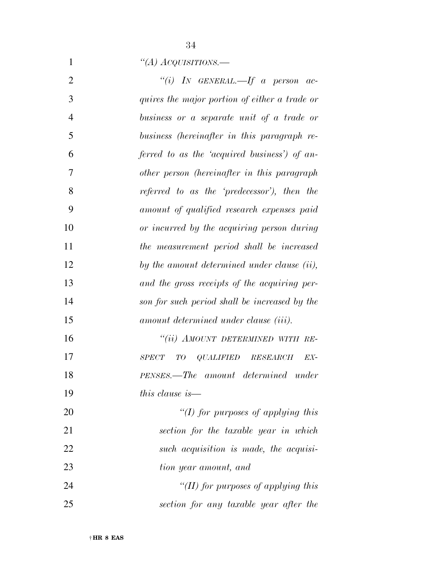*''(A) ACQUISITIONS.—* 

| $\overline{2}$ | "(i) IN GENERAL.—If a person ac-                    |
|----------------|-----------------------------------------------------|
| 3              | quires the major portion of either a trade or       |
| $\overline{4}$ | business or a separate unit of a trade or           |
| 5              | business (hereinafter in this paragraph re-         |
| 6              | ferred to as the 'acquired business') of an-        |
| 7              | other person (hereinafter in this paragraph         |
| 8              | referred to as the 'predecessor'), then the         |
| 9              | amount of qualified research expenses paid          |
| 10             | or incurred by the acquiring person during          |
| 11             | the measurement period shall be increased           |
| 12             | by the amount determined under clause $(ii)$ ,      |
| 13             | and the gross receipts of the acquiring per-        |
| 14             | son for such period shall be increased by the       |
| 15             | amount determined under clause (iii).               |
| 16             | "(ii) AMOUNT DETERMINED WITH RE-                    |
| 17             | $QLALIFIED$ $RESEARCH$<br>EX-<br><b>SPECT</b><br>TО |
| 18             | PENSES.—The amount determined under                 |
| 19             | this clause is $-$                                  |
| 20             | "(I) for purposes of applying this                  |
| 21             | section for the taxable year in which               |
| 22             | such acquisition is made, the acquisi-              |
| 23             | tion year amount, and                               |
| 24             | "(II) for purposes of applying this                 |
| 25             | section for any taxable year after the              |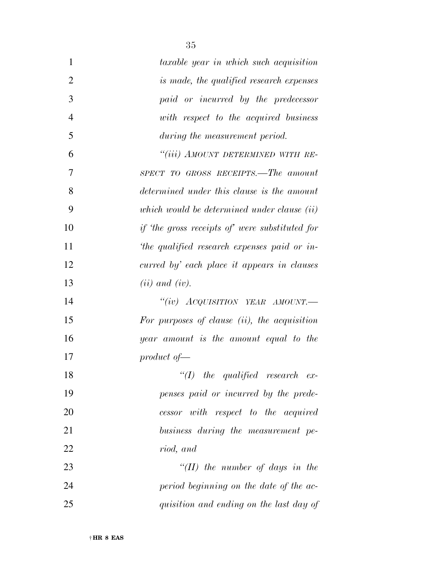| 1              | taxable year in which such acquisition               |
|----------------|------------------------------------------------------|
| $\overline{2}$ | is made, the qualified research expenses             |
| 3              | paid or incurred by the predecessor                  |
| $\overline{4}$ | with respect to the acquired business                |
| 5              | during the measurement period.                       |
| 6              | "(iii) AMOUNT DETERMINED WITH RE-                    |
| 7              | SPECT TO GROSS RECEIPTS.—The amount                  |
| 8              | determined under this clause is the amount           |
| 9              | which would be determined under clause $(ii)$        |
| 10             | <i>if the gross receipts of were substituted for</i> |
| 11             | the qualified research expenses paid or in-          |
| 12             | curred by' each place it appears in clauses          |
| 13             | $(ii)$ and $(iv)$ .                                  |
| 14             | "(iv) $Acquisttion$ YEAR AMOUNT.—                    |
| 15             | For purposes of clause (ii), the acquisition         |
| 16             | year amount is the amount equal to the               |
| 17             | $product \ of -$                                     |
| 18             | $\lq (I)$ the qualified research ex-                 |
| 19             | penses paid or incurred by the prede-                |
| 20             | cessor with respect to the acquired                  |
| 21             | business during the measurement pe-                  |
| 22             | riod, and                                            |
| 23             | $\lq (II)$ the number of days in the                 |
| 24             | period beginning on the date of the ac-              |
| 25             | quisition and ending on the last day of              |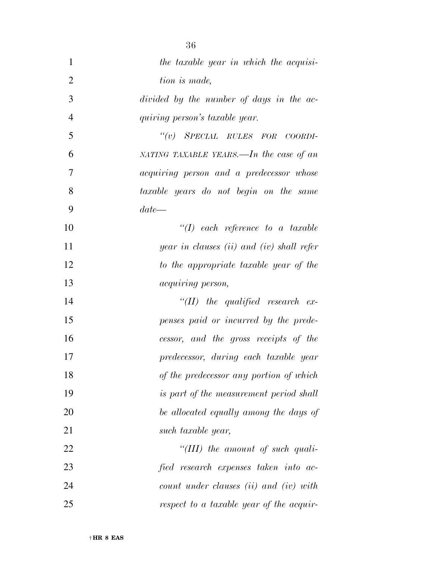| 1              | the taxable year in which the acquisi-          |
|----------------|-------------------------------------------------|
| $\overline{2}$ | tion is made,                                   |
| 3              | divided by the number of days in the ac-        |
| $\overline{4}$ | quiring person's taxable year.                  |
| 5              | "(v) SPECIAL RULES FOR COORDI-                  |
| 6              | NATING TAXABLE YEARS.—In the case of an         |
| 7              | <i>acquiring person and a predecessor whose</i> |
| 8              | taxable years do not begin on the same          |
| 9              | $date-$                                         |
| 10             | $\lq (I)$ each reference to a taxable           |
| 11             | year in clauses $(ii)$ and $(iv)$ shall refer   |
| 12             | to the appropriate taxable year of the          |
| 13             | <i>acquiring person,</i>                        |
| 14             | $\lq$ (II) the qualified research ex-           |
| 15             | penses paid or incurred by the prede-           |
| 16             | cessor, and the gross receipts of the           |
| 17             | predecessor, during each taxable year           |
| 18             | of the predecessor any portion of which         |
| 19             | is part of the measurement period shall         |
| 20             | be allocated equally among the days of          |
| 21             | such taxable year,                              |
| 22             | "(III) the amount of such quali-                |
| 23             | fied research expenses taken into ac-           |
| 24             | $count$ under clauses (ii) and (iv) with        |
| 25             | respect to a taxable year of the acquir-        |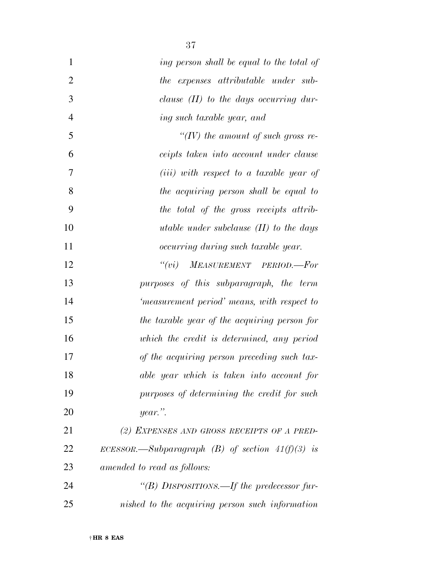| $\mathbf{1}$   | ing person shall be equal to the total of          |
|----------------|----------------------------------------------------|
| $\overline{2}$ | the expenses attributable under sub-               |
| 3              | clause $(II)$ to the days occurring dur-           |
| $\overline{4}$ | ing such taxable year, and                         |
| 5              | "(IV) the amount of such gross re-                 |
| 6              | ceipts taken into account under clause             |
| 7              | ( <i>iii</i> ) with respect to a taxable year of   |
| 8              | the acquiring person shall be equal to             |
| 9              | the total of the gross receipts attrib-            |
| 10             | utable under subclause $(II)$ to the days          |
| 11             | occurring during such taxable year.                |
| 12             | MEASUREMENT PERIOD.-For<br>``(vi)                  |
| 13             | purposes of this subparagraph, the term            |
| 14             | 'measurement period' means, with respect to        |
| 15             | the taxable year of the acquiring person for       |
| 16             | which the credit is determined, any period         |
| 17             | of the acquiring person preceding such tax-        |
| 18             | able year which is taken into account for          |
| 19             | purposes of determining the credit for such        |
| 20             | year.".                                            |
| 21             | (2) EXPENSES AND GROSS RECEIPTS OF A PRED-         |
| 22             | ECESSOR.—Subparagraph (B) of section $41(f)(3)$ is |
| 23             | amended to read as follows:                        |
| 24             | "(B) DISPOSITIONS.—If the predecessor fur-         |
| 25             | nished to the acquiring person such information    |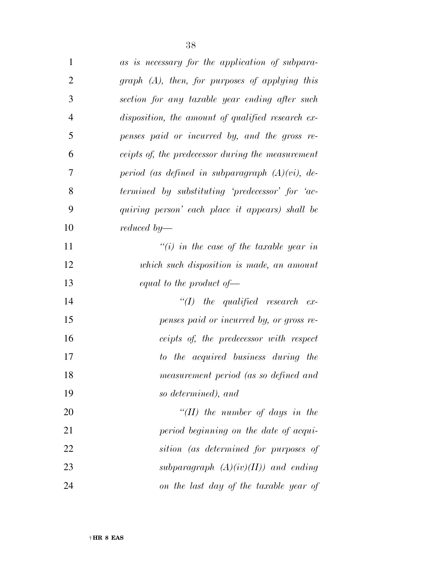| $\mathbf{1}$   | as is necessary for the application of subpara-     |
|----------------|-----------------------------------------------------|
| $\overline{2}$ | $graph$ $(A)$ , then, for purposes of applying this |
| 3              | section for any taxable year ending after such      |
| 4              | disposition, the amount of qualified research ex-   |
| 5              | penses paid or incurred by, and the gross re-       |
| 6              | ceipts of, the predecessor during the measurement   |
| 7              | period (as defined in subparagraph $(A)(vi)$ , de-  |
| 8              | termined by substituting 'predecessor' for 'ac-     |
| 9              | quiring person' each place it appears) shall be     |
| 10             | reduced by—                                         |
| 11             | $\tilde{f}(i)$ in the case of the taxable year in   |
| 12             | which such disposition is made, an amount           |
| 13             | equal to the product of $\rightarrow$               |
| 14             | $\lq (I)$ the qualified research ex-                |
| 15             | penses paid or incurred by, or gross re-            |
| 16             | ceipts of, the predecessor with respect             |
| 17             | to the acquired business during the                 |
| 18             | measurement period (as so defined and               |
| 19             | so determined), and                                 |
| 20             | "(II) the number of days in the                     |
| 21             | period beginning on the date of acqui-              |
| 22             | sition (as determined for purposes of               |
| 23             | subparagraph $(A)(iv)(II))$ and ending              |
| 24             | on the last day of the taxable year of              |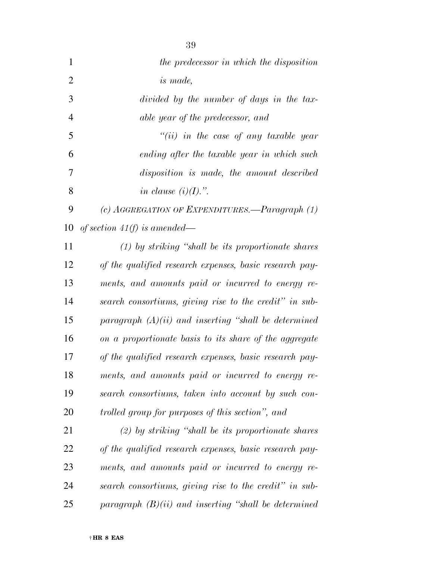| $\mathbf{1}$   | the predecessor in which the disposition                |
|----------------|---------------------------------------------------------|
| $\overline{2}$ | <i>is</i> made,                                         |
| 3              | divided by the number of days in the tax-               |
| 4              | able year of the predecessor, and                       |
| 5              | $``(ii)$ in the case of any taxable year                |
| 6              | ending after the taxable year in which such             |
| 7              | disposition is made, the amount described               |
| 8              | in clause $(i)(I)$ .".                                  |
| 9              | (c) AGGREGATION OF EXPENDITURES. $-$ Paragraph $(1)$    |
| 10             | of section 41(f) is amended—                            |
| 11             | $(1)$ by striking "shall be its proportionate shares"   |
| 12             | of the qualified research expenses, basic research pay- |
| 13             | ments, and amounts paid or incurred to energy re-       |
| 14             | search consortiums, giving rise to the credit" in sub-  |
| 15             | paragraph $(A)(ii)$ and inserting "shall be determined  |
| 16             | on a proportionate basis to its share of the aggregate  |
| 17             | of the qualified research expenses, basic research pay- |
| 18             | ments, and amounts paid or incurred to energy re-       |
| 19             | search consortiums, taken into account by such con-     |
| 20             | trolled group for purposes of this section", and        |
| 21             | $(2)$ by striking "shall be its proportionate shares"   |
| 22             | of the qualified research expenses, basic research pay- |
| 23             | ments, and amounts paid or incurred to energy re-       |
| 24             | search consortiums, giving rise to the credit" in sub-  |
| 25             | paragraph $(B)(ii)$ and inserting "shall be determined  |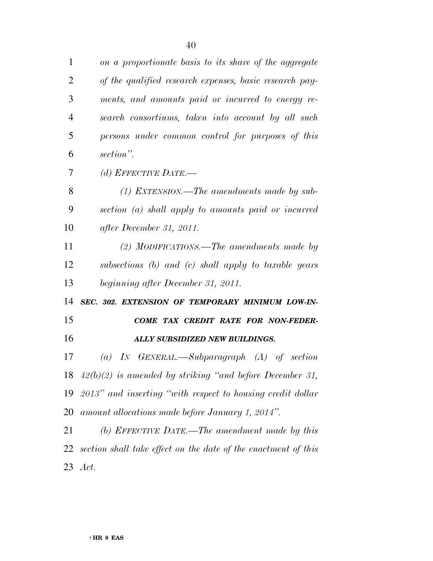| $\mathbf{1}$   | on a proportionate basis to its share of the aggregate         |
|----------------|----------------------------------------------------------------|
| $\overline{2}$ | of the qualified research expenses, basic research pay-        |
| 3              | ments, and amounts paid or incurred to energy re-              |
| $\overline{4}$ | search consortiums, taken into account by all such             |
| 5              | persons under common control for purposes of this              |
| 6              | section".                                                      |
| 7              | (d) EFFECTIVE DATE.—                                           |
| 8              | $(1)$ EXTENSION.—The amendments made by sub-                   |
| 9              | section (a) shall apply to amounts paid or incurred            |
| 10             | after December 31, 2011.                                       |
| 11             | (2) MODIFICATIONS.—The amendments made by                      |
| 12             | subsections (b) and (c) shall apply to taxable years           |
|                |                                                                |
| 13             | beginning after December 31, 2011.                             |
| 14             | SEC. 302. EXTENSION OF TEMPORARY MINIMUM LOW-IN-               |
| 15             | COME TAX CREDIT RATE FOR NON-FEDER-                            |
| 16             | ALLY SUBSIDIZED NEW BUILDINGS.                                 |
| 17             | (a) IN GENERAL.—Subparagraph $(A)$ of section                  |
|                | 18 $42(b)(2)$ is amended by striking "and before December 31,  |
| 19             | $2013$ " and inserting "with respect to housing credit dollar  |
| 20             | amount allocations made before January 1, 2014".               |
| 21             | (b) EFFECTIVE DATE.—The amendment made by this                 |
| 22             | section shall take effect on the date of the enactment of this |
|                | 23 Act.                                                        |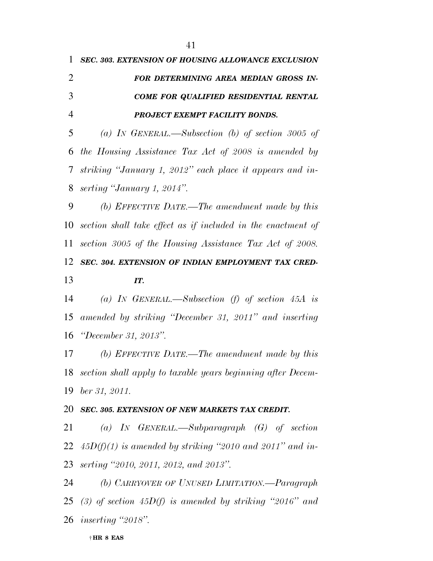| 1              | SEC. 303. EXTENSION OF HOUSING ALLOWANCE EXCLUSION            |
|----------------|---------------------------------------------------------------|
| $\overline{2}$ | FOR DETERMINING AREA MEDIAN GROSS IN-                         |
| 3              | COME FOR QUALIFIED RESIDENTIAL RENTAL                         |
| $\overline{4}$ | PROJECT EXEMPT FACILITY BONDS.                                |
| 5              | (a) IN GENERAL.—Subsection (b) of section 3005 of             |
| 6              | the Housing Assistance Tax Act of 2008 is amended by          |
| 7              | striking "January 1, 2012" each place it appears and in-      |
| 8              | serting "January 1, 2014".                                    |
| 9              | (b) EFFECTIVE DATE.—The amendment made by this                |
| 10             | section shall take effect as if included in the enactment of  |
| 11             | section 3005 of the Housing Assistance Tax Act of 2008.       |
| 12             | SEC. 304. EXTENSION OF INDIAN EMPLOYMENT TAX CRED-            |
| 13             | IT.                                                           |
| 14             | (a) IN GENERAL.—Subsection (f) of section $45A$ is            |
| 15             | amended by striking "December 31, 2011" and inserting         |
| 16             | "December 31, 2013".                                          |
| 17             | (b) EFFECTIVE DATE.—The amendment made by this                |
| 18             | section shall apply to taxable years beginning after Decem-   |
| 19             | ber 31, 2011.                                                 |
| 20             | <b>SEC. 305. EXTENSION OF NEW MARKETS TAX CREDIT.</b>         |
| 21             | (a) IN GENERAL.—Subparagraph $(G)$ of section                 |
|                | 22 $45D(f)(1)$ is amended by striking "2010 and 2011" and in- |
|                | 23 serting "2010, 2011, 2012, and 2013".                      |
| 24             | (b) CARRYOVER OF UNUSED LIMITATION.—Paragraph                 |
|                | 25 (3) of section 45D(f) is amended by striking "2016" and    |

*inserting ''2018''.*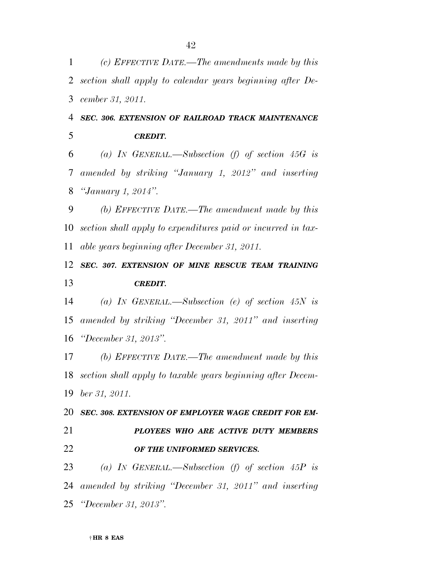† **HR 8 EAS**  *CREDIT. (a) IN GENERAL.—Subsection (f) of section 45G is amended by striking ''January 1, 2012'' and inserting ''January 1, 2014''. (b) EFFECTIVE DATE.—The amendment made by this section shall apply to expenditures paid or incurred in tax- able years beginning after December 31, 2011. SEC. 307. EXTENSION OF MINE RESCUE TEAM TRAINING CREDIT. (a) IN GENERAL.—Subsection (e) of section 45N is amended by striking ''December 31, 2011'' and inserting ''December 31, 2013''. (b) EFFECTIVE DATE.—The amendment made by this section shall apply to taxable years beginning after Decem- ber 31, 2011. SEC. 308. EXTENSION OF EMPLOYER WAGE CREDIT FOR EM- PLOYEES WHO ARE ACTIVE DUTY MEMBERS OF THE UNIFORMED SERVICES. (a) IN GENERAL.—Subsection (f) of section 45P is amended by striking ''December 31, 2011'' and inserting ''December 31, 2013''.* 

*(c) EFFECTIVE DATE.—The amendments made by this* 

*section shall apply to calendar years beginning after De-*

*SEC. 306. EXTENSION OF RAILROAD TRACK MAINTENANCE* 

*cember 31, 2011.*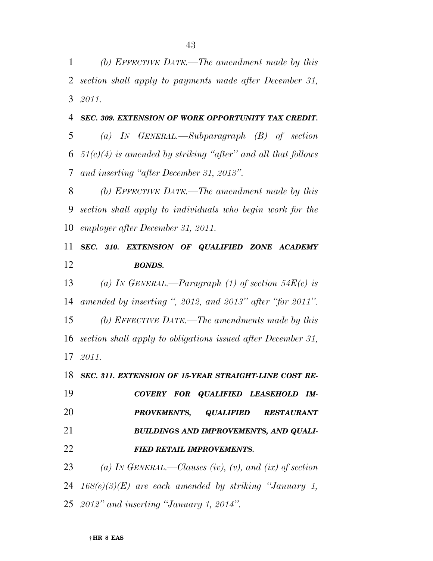*(b) EFFECTIVE DATE.—The amendment made by this section shall apply to payments made after December 31, 2011.* 

 *(a) IN GENERAL.—Subparagraph (B) of section 51(c)(4) is amended by striking ''after'' and all that follows and inserting ''after December 31, 2013''.* 

*SEC. 309. EXTENSION OF WORK OPPORTUNITY TAX CREDIT.* 

 *(b) EFFECTIVE DATE.—The amendment made by this section shall apply to individuals who begin work for the employer after December 31, 2011.* 

 *SEC. 310. EXTENSION OF QUALIFIED ZONE ACADEMY BONDS.* 

 *(a) IN GENERAL.—Paragraph (1) of section 54E(c) is amended by inserting '', 2012, and 2013'' after ''for 2011''. (b) EFFECTIVE DATE.—The amendments made by this section shall apply to obligations issued after December 31,* 

*2011.* 

*SEC. 311. EXTENSION OF 15-YEAR STRAIGHT-LINE COST RE-*

 *COVERY FOR QUALIFIED LEASEHOLD IM- PROVEMENTS, QUALIFIED RESTAURANT BUILDINGS AND IMPROVEMENTS, AND QUALI-FIED RETAIL IMPROVEMENTS.* 

 *(a) IN GENERAL.—Clauses (iv), (v), and (ix) of section 168(e)(3)(E) are each amended by striking ''January 1, 2012'' and inserting ''January 1, 2014''.*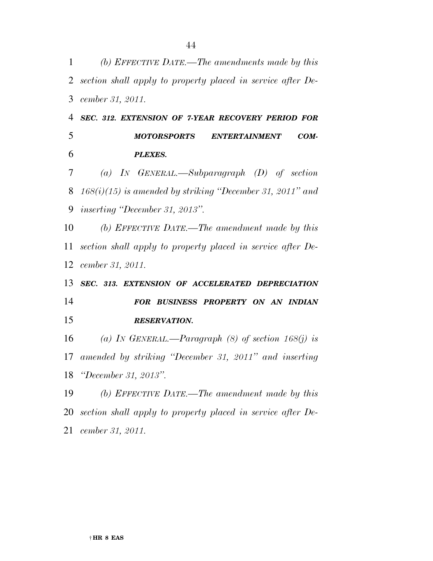| 1  | (b) EFFECTIVE DATE.—The amendments made by this             |
|----|-------------------------------------------------------------|
| 2  | section shall apply to property placed in service after De- |
| 3  | cember 31, 2011.                                            |
| 4  | SEC. 312. EXTENSION OF 7-YEAR RECOVERY PERIOD FOR           |
| 5  | <b>MOTORSPORTS</b><br>COM-<br><b>ENTERTAINMENT</b>          |
| 6  | <b>PLEXES.</b>                                              |
| 7  | (a) IN GENERAL.—Subparagraph $(D)$ of section               |
| 8  | $168(i)(15)$ is amended by striking "December 31, 2011" and |
| 9  | <i>inserting "December 31, 2013".</i>                       |
| 10 | (b) EFFECTIVE DATE.—The amendment made by this              |
| 11 | section shall apply to property placed in service after De- |
| 12 | cember 31, 2011.                                            |
| 13 | SEC. 313. EXTENSION OF ACCELERATED DEPRECIATION             |
| 14 | FOR BUSINESS PROPERTY ON AN INDIAN                          |
| 15 | <b>RESERVATION.</b>                                         |
| 16 | (a) IN GENERAL.—Paragraph (8) of section $168(j)$ is        |
| 17 | amended by striking "December 31, 2011" and inserting       |
| 18 | "December 31, 2013".                                        |
| 19 | (b) EFFECTIVE DATE.—The amendment made by this              |
| 20 | section shall apply to property placed in service after De- |
| 21 | cember 31, 2011.                                            |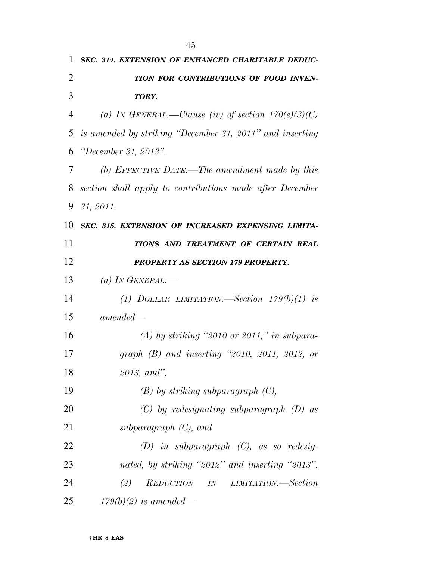| 1              | SEC. 314. EXTENSION OF ENHANCED CHARITABLE DEDUC-        |
|----------------|----------------------------------------------------------|
| 2              | TION FOR CONTRIBUTIONS OF FOOD INVEN-                    |
| 3              | TORY.                                                    |
| $\overline{4}$ | (a) IN GENERAL.—Clause (iv) of section $170(e)(3)(C)$    |
| 5              | is amended by striking "December 31, 2011" and inserting |
| 6              | <i>"December 31, 2013".</i>                              |
| 7              | (b) EFFECTIVE DATE.—The amendment made by this           |
| 8              | section shall apply to contributions made after December |
| 9              | 31, 2011.                                                |
| 10             | SEC. 315. EXTENSION OF INCREASED EXPENSING LIMITA-       |
| 11             | TIONS AND TREATMENT OF CERTAIN REAL                      |
| 12             | PROPERTY AS SECTION 179 PROPERTY.                        |
| 13             | (a) IN GENERAL.—                                         |
| 14             | (1) DOLLAR LIMITATION.—Section $179(b)(1)$ is            |
| 15             | $amended-$                                               |
| 16             | $(A)$ by striking "2010 or 2011," in subpara-            |
| 17             | graph $(B)$ and inserting "2010, 2011, 2012, or          |
| 18             | 2013, and''                                              |
| 19             | $(B)$ by striking subparagraph $(C)$ ,                   |
| 20             | $(C)$ by redesignating subparagraph $(D)$ as             |
| 21             | subparagraph $(C)$ , and                                 |
| 22             | $(D)$ in subparagraph $(C)$ , as so redesig-             |
| 23             | nated, by striking "2012" and inserting "2013".          |
| 24             | REDUCTION IN<br>(2)<br><i>LIMITATION.—Section</i>        |
| 25             | $179(b)(2)$ is amended—                                  |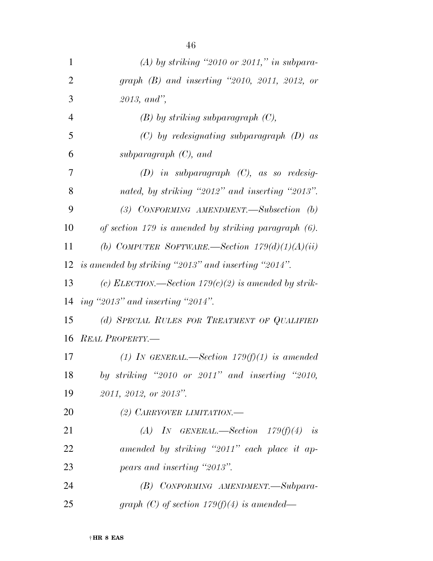| $\mathbf{1}$   | (A) by striking "2010 or 2011," in subpara-             |
|----------------|---------------------------------------------------------|
| $\overline{2}$ | graph $(B)$ and inserting "2010, 2011, 2012, or         |
| 3              | 2013, and''                                             |
| $\overline{4}$ | $(B)$ by striking subparagraph $(C)$ ,                  |
| 5              | $(C)$ by redesignating subparagraph $(D)$ as            |
| 6              | subparagraph $(C)$ , and                                |
| 7              | $(D)$ in subparagraph $(C)$ , as so redesig-            |
| 8              | nated, by striking "2012" and inserting "2013".         |
| 9              | (3) CONFORMING AMENDMENT.—Subsection $(b)$              |
| 10             | of section 179 is amended by striking paragraph $(6)$ . |
| 11             | (b) COMPUTER SOFTWARE.—Section $179(d)(1)(A)(ii)$       |
|                | 12 is amended by striking "2013" and inserting "2014".  |
| 13             | (c) ELECTION.—Section $179(c)(2)$ is amended by strik-  |
| 14             | ing "2013" and inserting "2014".                        |
| 15             | (d) SPECIAL RULES FOR TREATMENT OF QUALIFIED            |
|                | 16 REAL PROPERTY.-                                      |
| 17             | (1) IN GENERAL.—Section $179(f)(1)$ is amended          |
| 18             | by striking "2010 or 2011" and inserting "2010,         |
| 19             | 2011, 2012, or 2013".                                   |
| 20             | (2) CARRYOVER LIMITATION.                               |
| 21             | (A) IN GENERAL.—Section $179(f)(4)$ is                  |
| 22             | amended by striking "2011" each place it ap-            |
| 23             | pears and inserting "2013".                             |
| 24             | (B) CONFORMING AMENDMENT.-Subpara-                      |
| 25             | graph (C) of section $179(f)(4)$ is amended—            |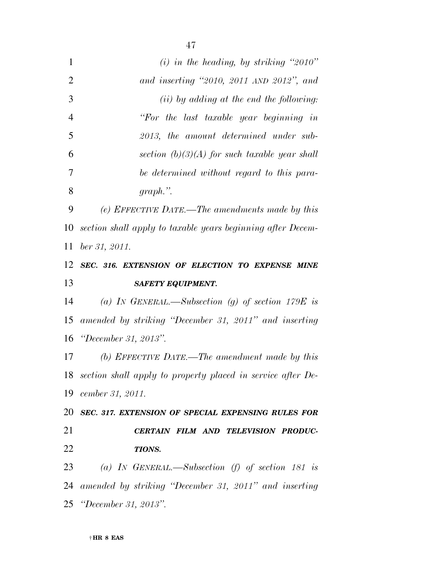| $\mathbf{1}$   | $(i)$ in the heading, by striking "2010"                         |
|----------------|------------------------------------------------------------------|
| $\overline{2}$ | and inserting $"2010$ , $2011$ AND $2012"$ , and                 |
| 3              | $(ii)$ by adding at the end the following:                       |
| $\overline{4}$ | "For the last taxable year beginning in                          |
| 5              | 2013, the amount determined under sub-                           |
| 6              | section $(b)(3)(A)$ for such taxable year shall                  |
| 7              | be determined without regard to this para-                       |
| 8              | $graph.$ ".                                                      |
| 9              | (e) EFFECTIVE DATE.—The amendments made by this                  |
| 10             | section shall apply to taxable years beginning after Decem-      |
| 11             | ber 31, 2011.                                                    |
| 12             | SEC. 316. EXTENSION OF ELECTION TO EXPENSE MINE                  |
| 13             | <b>SAFETY EQUIPMENT.</b>                                         |
| 14             | (a) IN GENERAL.—Subsection (g) of section 179E is                |
| 15             | amended by striking "December 31, 2011" and inserting            |
|                |                                                                  |
| 16             | "December 31, 2013".                                             |
| 17             | (b) EFFECTIVE DATE.—The amendment made by this                   |
|                | 18 section shall apply to property placed in service after $De-$ |
| 19             | cember 31, 2011.                                                 |
| 20             | SEC. 317. EXTENSION OF SPECIAL EXPENSING RULES FOR               |
| 21             | CERTAIN FILM AND TELEVISION PRODUC-                              |
| 22             | TIONS.                                                           |
| 23             | (a) IN GENERAL.—Subsection (f) of section 181 is                 |
| 24             | amended by striking "December 31, 2011" and inserting            |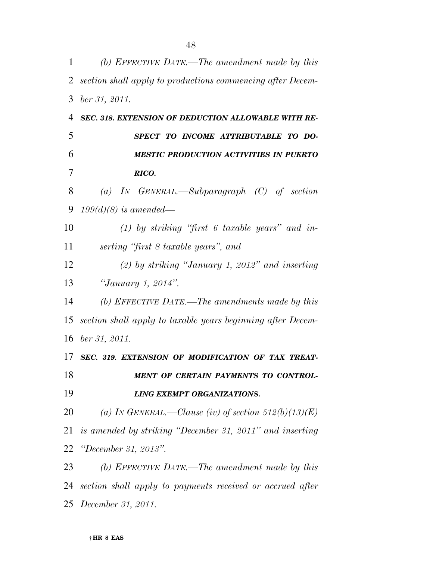| $\mathbf 1$ | (b) EFFECTIVE DATE.—The amendment made by this              |
|-------------|-------------------------------------------------------------|
| 2           | section shall apply to productions commencing after Decem-  |
| 3           | ber 31, 2011.                                               |
| 4           | SEC. 318. EXTENSION OF DEDUCTION ALLOWABLE WITH RE-         |
| 5           | SPECT TO INCOME ATTRIBUTABLE TO DO-                         |
| 6           | <b>MESTIC PRODUCTION ACTIVITIES IN PUERTO</b>               |
| 7           | RICO.                                                       |
| 8           | (a) IN GENERAL.—Subparagraph $(C)$ of section               |
| 9           | $199(d)(8)$ is amended—                                     |
| 10          | $(1)$ by striking "first 6 taxable years" and in-           |
| 11          | serting "first 8 taxable years", and                        |
| 12          | $(2)$ by striking "January 1, 2012" and inserting           |
| 13          | "January 1, 2014".                                          |
| 14          | (b) EFFECTIVE DATE.—The amendments made by this             |
| 15          | section shall apply to taxable years beginning after Decem- |
| 16          | ber 31, 2011.                                               |
| 17          | SEC. 319. EXTENSION OF MODIFICATION OF TAX TREAT-           |
| 18          | MENT OF CERTAIN PAYMENTS TO CONTROL-                        |
| 19          | LING EXEMPT ORGANIZATIONS.                                  |
| 20          | (a) IN GENERAL.—Clause (iv) of section $512(b)(13)(E)$      |
| 21          | is amended by striking "December 31, 2011" and inserting    |
| 22          | "December 31, 2013".                                        |
| 23          | (b) EFFECTIVE DATE.—The amendment made by this              |
| 24          | section shall apply to payments received or accrued after   |
|             | 25 <i>December 31</i> , 2011.                               |

† **HR 8 EAS**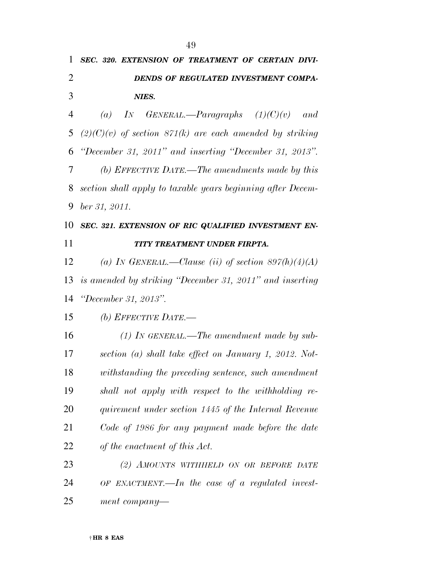| 1              | SEC. 320. EXTENSION OF TREATMENT OF CERTAIN DIVI-           |
|----------------|-------------------------------------------------------------|
| $\overline{2}$ | DENDS OF REGULATED INVESTMENT COMPA-                        |
| 3              | NIES.                                                       |
| $\overline{4}$ | IN GENERAL.—Paragraphs $(1)(C)(v)$ and<br>$\left( a\right)$ |
| 5              | $(2)(C)(v)$ of section 871(k) are each amended by striking  |
| 6              | "December 31, 2011" and inserting "December 31, 2013".      |
| 7              | (b) EFFECTIVE DATE.—The amendments made by this             |
| 8              | section shall apply to taxable years beginning after Decem- |
| 9              | ber 31, 2011.                                               |
| 10             | SEC. 321. EXTENSION OF RIC QUALIFIED INVESTMENT EN-         |
| 11             | TITY TREATMENT UNDER FIRPTA.                                |
| 12             | (a) IN GENERAL.—Clause (ii) of section $897(h)(4)(A)$       |
| 13             | is amended by striking "December 31, 2011" and inserting    |
| 14             | "December 31, 2013".                                        |
| 15             | (b) EFFECTIVE DATE.—                                        |
| 16             | $(1)$ In GENERAL.—The amendment made by sub-                |
| 17             | section (a) shall take effect on January 1, 2012. Not-      |
| 18             | withstanding the preceding sentence, such amendment         |
| 19             | shall not apply with respect to the withholding re-         |
| 20             | quirement under section 1445 of the Internal Revenue        |
| 21             | Code of 1986 for any payment made before the date           |
| 22             | of the enactment of this Act.                               |
| 23             | (2) AMOUNTS WITHHELD ON OR BEFORE DATE                      |
| 24             | $OF$ ENACTMENT.—In the case of a regulated invest-          |
| 25             | $ment\ company$ —                                           |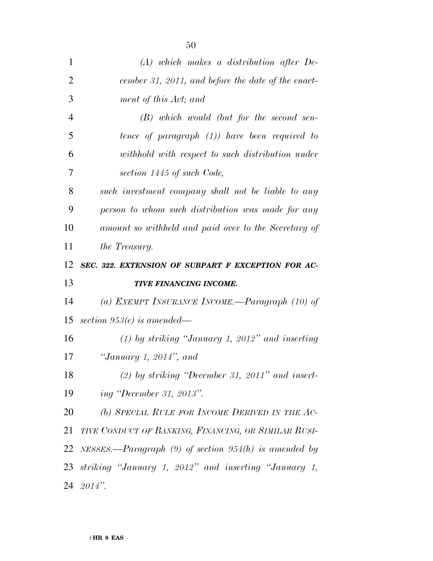| $\mathbf{1}$   | $(A)$ which makes a distribution after De-                |
|----------------|-----------------------------------------------------------|
| $\overline{2}$ | cember 31, 2011, and before the date of the enact-        |
| 3              | ment of this Act; and                                     |
| $\overline{4}$ | $(B)$ which would (but for the second sen-                |
| 5              | tence of paragraph $(1)$ ) have been required to          |
| 6              | withhold with respect to such distribution under          |
| 7              | section 1445 of such Code,                                |
| 8              | such investment company shall not be liable to any        |
| 9              | person to whom such distribution was made for any         |
| 10             | amount so withheld and paid over to the Secretary of      |
| 11             | the Treasury.                                             |
| 12             | SEC. 322. EXTENSION OF SUBPART F EXCEPTION FOR AC-        |
|                |                                                           |
| 13             | TIVE FINANCING INCOME.                                    |
| 14             | (a) EXEMPT INSURANCE INCOME.—Paragraph $(10)$ of          |
| 15             | section 953 $(e)$ is amended—                             |
| 16             | $(1)$ by striking "January 1, 2012" and inserting         |
| 17             | "January 1, 2014", and                                    |
| 18             | $(2)$ by striking "December 31, 2011" and insert-         |
| 19             | ing "December 31, 2013".                                  |
| 20             | (b) SPECIAL RULE FOR INCOME DERIVED IN THE AC-            |
| 21             | TIVE CONDUCT OF BANKING, FINANCING, OR SIMILAR BUSI-      |
| 22             | NESSES.—Paragraph $(9)$ of section $954(h)$ is amended by |
| 23             | striking "January 1, 2012" and inserting "January 1,      |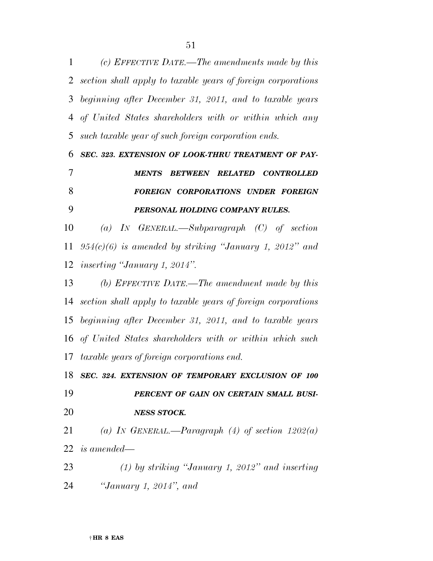*(c) EFFECTIVE DATE.—The amendments made by this section shall apply to taxable years of foreign corporations beginning after December 31, 2011, and to taxable years of United States shareholders with or within which any such taxable year of such foreign corporation ends.* 

## *SEC. 323. EXTENSION OF LOOK-THRU TREATMENT OF PAY- MENTS BETWEEN RELATED CONTROLLED FOREIGN CORPORATIONS UNDER FOREIGN PERSONAL HOLDING COMPANY RULES.*

 *(a) IN GENERAL.—Subparagraph (C) of section 954(c)(6) is amended by striking ''January 1, 2012'' and inserting ''January 1, 2014''.* 

 *(b) EFFECTIVE DATE.—The amendment made by this section shall apply to taxable years of foreign corporations beginning after December 31, 2011, and to taxable years of United States shareholders with or within which such taxable years of foreign corporations end.* 

## *SEC. 324. EXTENSION OF TEMPORARY EXCLUSION OF 100*

 *PERCENT OF GAIN ON CERTAIN SMALL BUSI-NESS STOCK.* 

 *(a) IN GENERAL.—Paragraph (4) of section 1202(a) is amended—* 

 *(1) by striking ''January 1, 2012'' and inserting ''January 1, 2014'', and*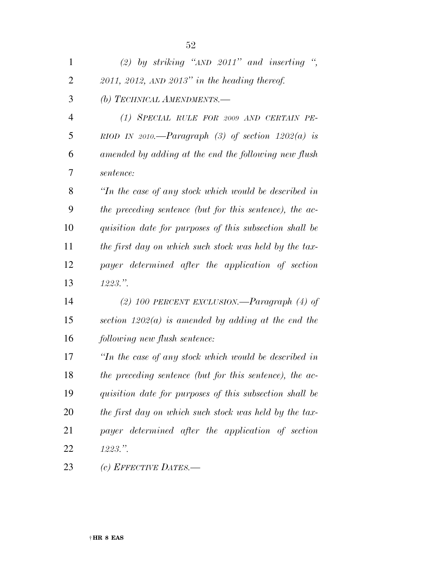| $\mathbf{1}$   | (2) by striking " $AND$ 2011" and inserting ",             |
|----------------|------------------------------------------------------------|
| $\overline{2}$ | $2011$ , $2012$ , AND $2013"$ in the heading thereof.      |
| 3              | (b) TECHNICAL AMENDMENTS.-                                 |
| $\overline{4}$ | (1) SPECIAL RULE FOR 2009 AND CERTAIN PE-                  |
| 5              | RIOD IN 2010.—Paragraph (3) of section $1202(a)$ is        |
| 6              | amended by adding at the end the following new flush       |
| 7              | sentence:                                                  |
| 8              | $\lq$ Tn the case of any stock which would be described in |
| 9              | the preceding sentence (but for this sentence), the ac-    |
| 10             | quisition date for purposes of this subsection shall be    |
| 11             | the first day on which such stock was held by the tax-     |
| 12             | payer determined after the application of section          |
| 13             | $1223.$ ".                                                 |
| 14             | (2) 100 PERCENT EXCLUSION.—Paragraph $(4)$ of              |
| 15             | section $1202(a)$ is amended by adding at the end the      |
| 16             | following new flush sentence:                              |
| 17             | $\lq$ Tn the case of any stock which would be described in |
| 18             | the preceding sentence (but for this sentence), the ac-    |
| 19             | quisition date for purposes of this subsection shall be    |
| 20             | the first day on which such stock was held by the tax-     |
| 21             | payer determined after the application of section          |
| 22             | $1223.$ ".                                                 |
| 23             | (c) EFFECTIVE DATES.—                                      |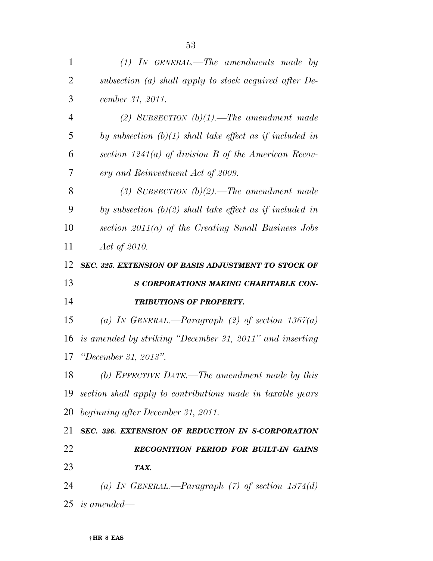| $\mathbf{1}$   | $(1)$ IN GENERAL.—The amendments made by                      |
|----------------|---------------------------------------------------------------|
| $\overline{2}$ | subsection (a) shall apply to stock acquired after De-        |
| 3              | cember 31, 2011.                                              |
| $\overline{4}$ | (2) SUBSECTION $(b)(1)$ . The amendment made                  |
| 5              | by subsection $(b)(1)$ shall take effect as if included in    |
| 6              | section $1241(a)$ of division B of the American Recov-        |
| 7              | ery and Reinvestment Act of 2009.                             |
| 8              | (3) SUBSECTION $(b)(2)$ . The amendment made                  |
| 9              | by subsection $(b)(2)$ shall take effect as if included in    |
| 10             | section $2011(a)$ of the Creating Small Business Jobs         |
| 11             | Act of 2010.                                                  |
| 12             | SEC. 325. EXTENSION OF BASIS ADJUSTMENT TO STOCK OF           |
| 13             | S CORPORATIONS MAKING CHARITABLE CON-                         |
| 14             | <b>TRIBUTIONS OF PROPERTY.</b>                                |
| 15             | (a) IN GENERAL.—Paragraph (2) of section $1367(a)$            |
| 16             | is amended by striking "December 31, 2011" and inserting      |
| 17             |                                                               |
|                | <i>"December 31, 2013".</i>                                   |
| 18             | (b) EFFECTIVE DATE.—The amendment made by this                |
|                | 19 section shall apply to contributions made in taxable years |
|                | 20 beginning after December 31, 2011.                         |
| 21             | SEC. 326. EXTENSION OF REDUCTION IN S-CORPORATION             |
| 22             | RECOGNITION PERIOD FOR BUILT-IN GAINS                         |
| 23             | TAX.                                                          |
| 24             | (a) IN GENERAL.—Paragraph $(7)$ of section 1374(d)            |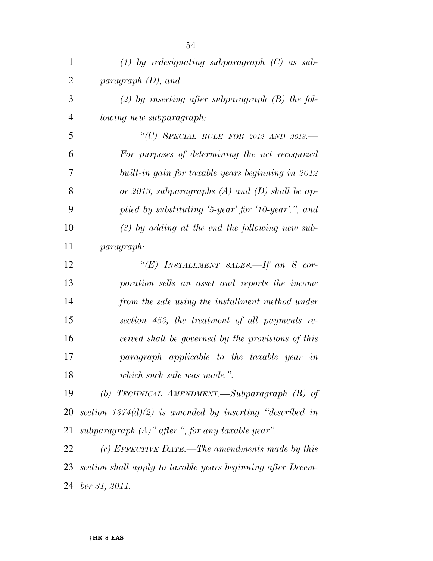| $\mathbf{1}$   | (1) by redesignating subparagraph $(C)$ as sub-             |
|----------------|-------------------------------------------------------------|
| $\overline{2}$ | paragraph $(D)$ , and                                       |
| 3              | (2) by inserting after subparagraph $(B)$ the fol-          |
| $\overline{4}$ | lowing new subparagraph:                                    |
| 5              | "(C) SPECIAL RULE FOR 2012 AND 2013.-                       |
| 6              | For purposes of determining the net recognized              |
| 7              | built-in gain for taxable years beginning in 2012           |
| 8              | or 2013, subparagraphs $(A)$ and $(D)$ shall be ap-         |
| 9              | plied by substituting '5-year' for '10-year'.", and         |
| 10             | $(3)$ by adding at the end the following new sub-           |
| 11             | <i>paragraph:</i>                                           |
| 12             | "(E) INSTALLMENT SALES.—If an S cor-                        |
| 13             | poration sells an asset and reports the income              |
| 14             | from the sale using the installment method under            |
| 15             | section 453, the treatment of all payments re-              |
| 16             | ceived shall be governed by the provisions of this          |
| 17             | paragraph applicable to the taxable year in                 |
| 18             | which such sale was made.".                                 |
| 19             | (b) TECHNICAL AMENDMENT.—Subparagraph $(B)$ of              |
| 20             | section $1374(d)(2)$ is amended by inserting "described in  |
| 21             | subparagraph $(A)$ " after ", for any taxable year".        |
| 22             | (c) EFFECTIVE DATE.—The amendments made by this             |
| 23             | section shall apply to taxable years beginning after Decem- |

*ber 31, 2011.*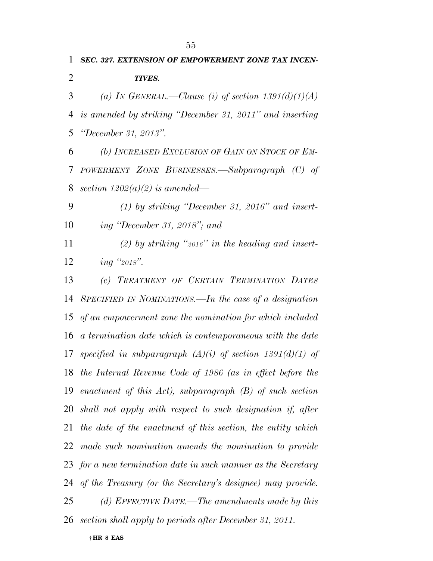*TIVES.* 

*ing ''2018''.* 

*SEC. 327. EXTENSION OF EMPOWERMENT ZONE TAX INCEN-*

*(a) IN GENERAL.—Clause (i) of section 1391(d)(1)(A)* 

*is amended by striking ''December 31, 2011'' and inserting* 

| 5  | "December 31, 2013".                                          |
|----|---------------------------------------------------------------|
| 6  | (b) INCREASED EXCLUSION OF GAIN ON STOCK OF EM-               |
| 7  | POWERMENT ZONE BUSINESSES.—Subparagraph (C) of                |
| 8  | section $1202(a)(2)$ is amended—                              |
| 9  | $(1)$ by striking "December 31, 2016" and insert-             |
| 10 | ing "December 31, 2018"; and                                  |
| 11 | (2) by striking "2016" in the heading and insert-             |
| 12 | ing "2018".                                                   |
| 13 | (c) TREATMENT OF CERTAIN TERMINATION DATES                    |
| 14 | SPECIFIED IN NOMINATIONS.—In the case of a designation        |
| 15 | of an empowerment zone the nomination for which included      |
| 16 | a termination date which is contemporaneous with the date     |
| 17 | specified in subparagraph $(A)(i)$ of section 1391(d)(1) of   |
| 18 | the Internal Revenue Code of 1986 (as in effect before the    |
|    | 19 enactment of this Act), subparagraph $(B)$ of such section |
| 20 | shall not apply with respect to such designation if, after    |
| 21 | the date of the enactment of this section, the entity which   |
|    | 22 made such nomination amends the nomination to provide      |
|    | 23 for a new termination date in such manner as the Secretary |
|    | 24 of the Treasury (or the Secretary's designee) may provide. |
| 25 | (d) EFFECTIVE DATE.—The amendments made by this               |
| 26 | section shall apply to periods after December 31, 2011.       |
|    | $\dagger$ HR 8 EAS                                            |
|    |                                                               |
|    |                                                               |
|    |                                                               |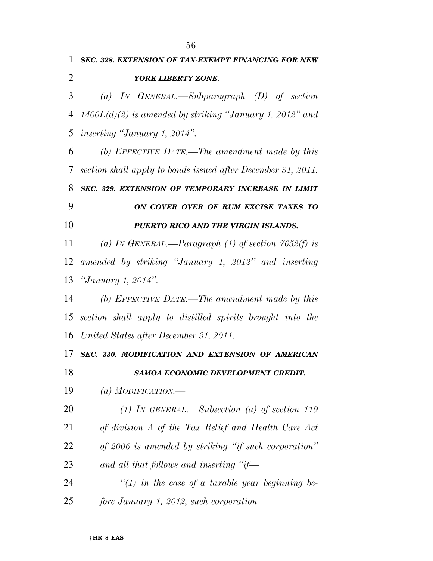*SEC. 328. EXTENSION OF TAX-EXEMPT FINANCING FOR NEW* 

*(a) IN GENERAL.—Subparagraph (D) of section* 

|    | 4 $1400L(d)(2)$ is amended by striking "January 1, 2012" and |
|----|--------------------------------------------------------------|
| 5  | <i>inserting "January 1, 2014".</i>                          |
| 6  | (b) EFFECTIVE DATE.—The amendment made by this               |
| 7  | section shall apply to bonds issued after December 31, 2011. |
| 8  | SEC. 329. EXTENSION OF TEMPORARY INCREASE IN LIMIT           |
| 9  | ON COVER OVER OF RUM EXCISE TAXES TO                         |
| 10 | PUERTO RICO AND THE VIRGIN ISLANDS.                          |
| 11 | (a) IN GENERAL.—Paragraph (1) of section 7652(f) is          |
| 12 | amended by striking "January 1, 2012" and inserting          |
| 13 | <i>"January 1, 2014".</i>                                    |
| 14 | (b) EFFECTIVE DATE.—The amendment made by this               |
| 15 | section shall apply to distilled spirits brought into the    |
| 16 | United States after December 31, 2011.                       |
| 17 | SEC. 330. MODIFICATION AND EXTENSION OF AMERICAN             |
| 18 | SAMOA ECONOMIC DEVELOPMENT CREDIT.                           |
| 19 | (a) MODIFICATION.—                                           |
| 20 | (1) IN GENERAL.—Subsection (a) of section 119                |
| 21 | of division A of the Tax Relief and Health Care Act          |
| 22 | of 2006 is amended by striking "if such corporation"         |
| 23 | and all that follows and inserting "if—                      |
| 24 | "(1) in the case of a taxable year beginning be-             |
| 25 | fore January 1, 2012, such corporation—                      |
|    | $\dagger$ HR 8 EAS                                           |
|    |                                                              |

*YORK LIBERTY ZONE.*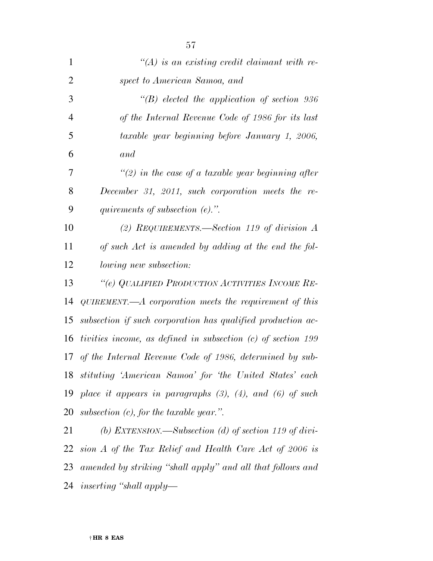| 1              | $\lq (A)$ is an existing credit claimant with re-                   |
|----------------|---------------------------------------------------------------------|
| $\overline{2}$ | spect to American Samoa, and                                        |
| 3              | $\lq\lq(B)$ elected the application of section 936                  |
| $\overline{4}$ | of the Internal Revenue Code of 1986 for its last                   |
| 5              | taxable year beginning before January 1, 2006,                      |
| 6              | and                                                                 |
| 7              | "(2) in the case of a taxable year beginning after                  |
| 8              | December 31, 2011, such corporation meets the re-                   |
| 9              | quirements of subsection $(e)$ .".                                  |
| 10             | (2) REQUIREMENTS.—Section 119 of division $A$                       |
| 11             | of such Act is amended by adding at the end the fol-                |
| 12             | lowing new subsection:                                              |
| 13             | "(e) QUALIFIED PRODUCTION ACTIVITIES INCOME RE-                     |
| 14             | QUIREMENT.— $A$ corporation meets the requirement of this           |
| 15             | subsection if such corporation has qualified production ac-         |
| 16             | tivities income, as defined in subsection $(c)$ of section 199      |
|                | 17 of the Internal Revenue Code of 1986, determined by sub-         |
|                | 18 stituting 'American Samoa' for 'the United States' each          |
|                | 19 place it appears in paragraphs $(3)$ , $(4)$ , and $(6)$ of such |
| 20             | subsection $(c)$ , for the taxable year.".                          |
| 21             | (b) EXTENSION.—Subsection (d) of section 119 of divi-               |
| 22             | sion A of the Tax Relief and Health Care Act of 2006 is             |
|                | 23 amended by striking "shall apply" and all that follows and       |

*inserting ''shall apply—*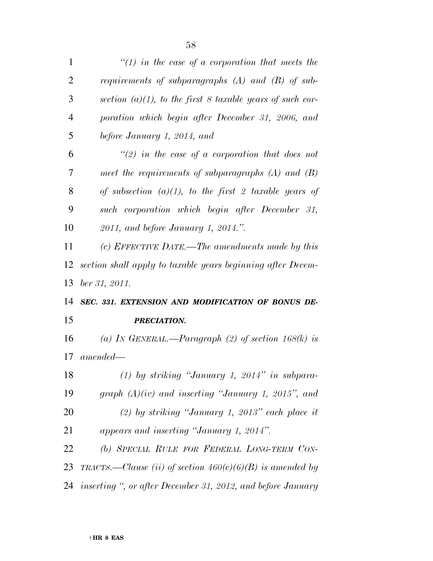| 1              | "(1) in the case of a corporation that meets the             |
|----------------|--------------------------------------------------------------|
| $\overline{2}$ | requirements of subparagraphs $(A)$ and $(B)$ of sub-        |
| 3              | section $(a)(1)$ , to the first 8 taxable years of such cor- |
| $\overline{4}$ | poration which begin after December 31, 2006, and            |
| 5              | before January 1, 2014, and                                  |
| 6              | "(2) in the case of a corporation that does not              |
| 7              | meet the requirements of subparagraphs $(A)$ and $(B)$       |
| 8              | of subsection $(a)(1)$ , to the first 2 taxable years of     |
| 9              | such corporation which begin after December 31,              |
| 10             | 2011, and before January 1, 2014.".                          |
| 11             | (c) EFFECTIVE DATE.—The amendments made by this              |
| 12             | section shall apply to taxable years beginning after Decem-  |
| 13             | ber 31, 2011.                                                |
| 14             | SEC. 331. EXTENSION AND MODIFICATION OF BONUS DE-            |
| 15             | PRECIATION.                                                  |
| 16             |                                                              |
|                | (a) IN GENERAL.—Paragraph (2) of section $168(k)$ is         |
| 17             | $amended -$                                                  |
| 18             | $(1)$ by striking "January 1, 2014" in subpara-              |
| 19             | graph $(A)(iv)$ and inserting "January 1, 2015", and         |
| 20             | $(2)$ by striking "January 1, 2013" each place it            |
| 21             | appears and inserting "January 1, 2014".                     |
| 22             | (b) SPECIAL RULE FOR FEDERAL LONG-TERM CON-                  |
| 23             | TRACTS.—Clause (ii) of section $460(c)(6)(B)$ is amended by  |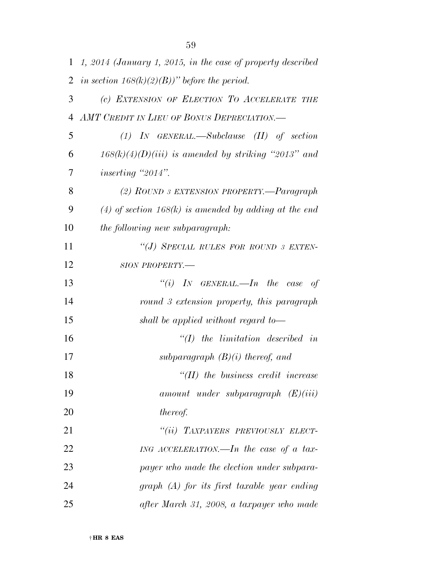|    | 1 1, 2014 (January 1, 2015, in the case of property described |
|----|---------------------------------------------------------------|
| 2  | in section $168(k)(2)(B)$ " before the period.                |
| 3  | (c) EXTENSION OF ELECTION TO ACCELERATE THE                   |
| 4  | AMT CREDIT IN LIEU OF BONUS DEPRECIATION.                     |
| 5  | $(1)$ IN GENERAL.—Subclause $(II)$ of section                 |
| 6  | $168(k)(4)(D)(iii)$ is amended by striking "2013" and         |
| 7  | <i>inserting</i> "2014".                                      |
| 8  | (2) ROUND 3 EXTENSION PROPERTY.—Paragraph                     |
| 9  | $(4)$ of section 168(k) is amended by adding at the end       |
| 10 | <i>the following new subparagraph:</i>                        |
| 11 | "(J) SPECIAL RULES FOR ROUND 3 EXTEN-                         |
| 12 | SION PROPERTY.-                                               |
| 13 | "(i) IN GENERAL.—In the case<br>of                            |
| 14 | round 3 extension property, this paragraph                    |
| 15 | shall be applied without regard to-                           |
| 16 | $\lq (I)$ the limitation described in                         |
| 17 | subparagraph $(B)(i)$ thereof, and                            |
| 18 | $H(II)$ the business credit increase                          |
| 19 | $amount$ under subparagraph $(E)(iii)$                        |
| 20 | thereof.                                                      |
| 21 | "(ii) TAXPAYERS PREVIOUSLY ELECT-                             |
| 22 | ING ACCELERATION.—In the case of a tax-                       |
| 23 | payer who made the election under subpara-                    |
| 24 | $graph(A)$ for its first taxable year ending                  |
| 25 | after March 31, 2008, a taxpayer who made                     |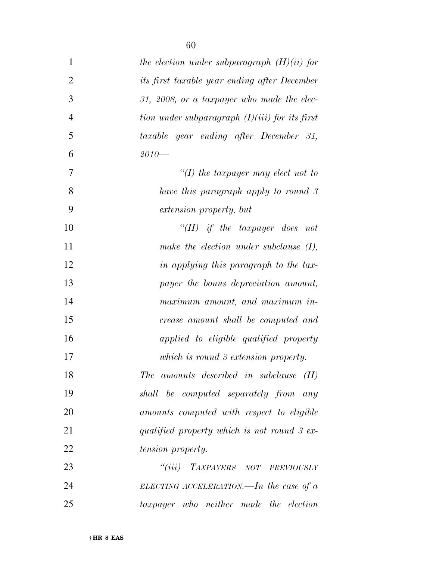| $\mathbf{1}$   | the election under subparagraph $(H)(ii)$ for    |
|----------------|--------------------------------------------------|
| $\overline{2}$ | its first taxable year ending after December     |
| 3              | 31, 2008, or a taxpayer who made the elec-       |
| $\overline{4}$ | tion under subparagraph $(I)(iii)$ for its first |
| 5              | taxable year ending after December 31,           |
| 6              | $2010-$                                          |
| 7              | $\lq (I)$ the taxpayer may elect not to          |
| 8              | have this paragraph apply to round 3             |
| 9              | extension property, but                          |
| 10             | "(II) if the taxpayer does not                   |
| 11             | make the election under subclause $(I)$ ,        |
| 12             | in applying this paragraph to the tax-           |
| 13             | payer the bonus depreciation amount,             |
| 14             | maximum amount, and maximum in-                  |
| 15             | crease amount shall be computed and              |
| 16             | applied to eligible qualified property           |
| 17             | which is round 3 extension property.             |
| 18             | The amounts described in subclause (II)          |
| 19             | shall be computed separately from any            |
| 20             | amounts computed with respect to eligible        |
| 21             | qualified property which is not round 3 ex-      |
| 22             | <i>tension property.</i>                         |
| 23             | "(iii) TAXPAYERS NOT PREVIOUSLY                  |
| 24             | ELECTING ACCELERATION.—In the case of $a$        |
| 25             | taxpayer who neither made the election           |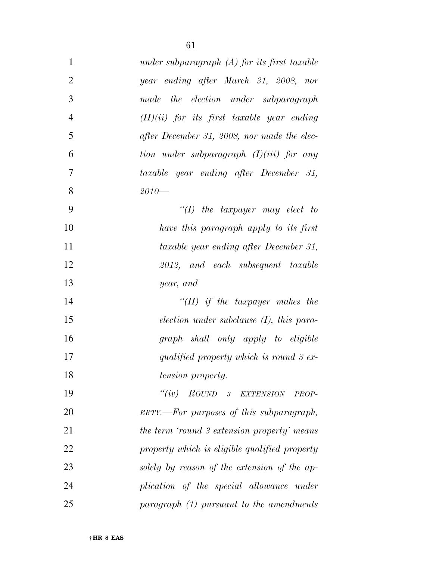| $\mathbf{1}$   | under subparagraph $(A)$ for its first taxable |
|----------------|------------------------------------------------|
| $\overline{2}$ | year ending after March 31, 2008, nor          |
| 3              | the election under subparagraph<br>made        |
| $\overline{4}$ | $(H)(ii)$ for its first taxable year ending    |
| 5              | after December 31, 2008, nor made the elec-    |
| 6              | tion under subparagraph $(I)(iii)$ for any     |
| 7              | taxable year ending after December 31,         |
| 8              | $2010-$                                        |
| 9              | "(I) the taxpayer may elect to                 |
| 10             | have this paragraph apply to its first         |
| 11             | taxable year ending after December 31,         |
| 12             | 2012, and each subsequent taxable              |
| 13             | year, and                                      |
| 14             | "(II) if the taxpayer makes the                |
| 15             | $election$ under subclause $(I)$ , this para-  |
| 16             | graph shall only apply to eligible             |
| 17             | qualified property which is round 3 ex-        |
| 18             | tension property.                              |
| 19             | ``(iv)<br>ROUND 3 EXTENSION<br>PROP-           |
| 20             | ERTY.—For purposes of this subparagraph,       |
| 21             | the term 'round 3 extension property' means    |
| 22             | property which is eligible qualified property  |
| 23             | solely by reason of the extension of the ap-   |
| 24             | plication of the special allowance under       |
| 25             | paramph (1) pursuit to the amendments          |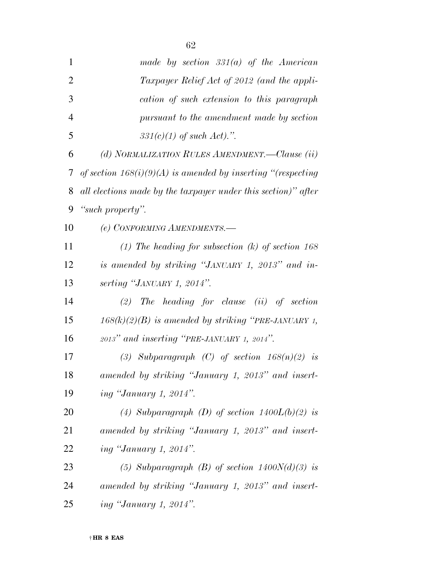| $\mathbf{1}$   | made by section $331(a)$ of the American                       |
|----------------|----------------------------------------------------------------|
| $\overline{2}$ | Taxpayer Relief Act of 2012 (and the appli-                    |
| 3              | cation of such extension to this paragraph                     |
| $\overline{4}$ | pursuant to the amendment made by section                      |
| 5              | $331(c)(1)$ of such Act).".                                    |
| 6              | (d) NORMALIZATION RULES AMENDMENT.—Clause (ii)                 |
| 7              | of section $168(i)(9)(A)$ is amended by inserting "(respecting |
| 8              | all elections made by the taxpayer under this section)" after  |
| 9              | "such property".                                               |
| 10             | (e) CONFORMING AMENDMENTS.-                                    |
| 11             | (1) The heading for subsection $(k)$ of section 168            |
| 12             | is amended by striking "JANUARY 1, 2013" and in-               |
| 13             | serting "JANUARY 1, 2014".                                     |
| 14             | $(2)$ The heading for clause $(ii)$ of section                 |
| 15             | $168(k)(2)(B)$ is amended by striking "PRE-JANUARY 1,          |
| 16             | 2013" and inserting "PRE-JANUARY 1, 2014".                     |
| 17             | (3) Subparagraph (C) of section $168(n)(2)$ is                 |
| 18             | amended by striking "January 1, 2013" and insert-              |
| 19             | <i>ing "January 1, 2014".</i>                                  |
| 20             | (4) Subparagraph (D) of section $1400L(b)(2)$ is               |
| 21             | amended by striking "January 1, 2013" and insert-              |
| 22             | <i>ing "January 1, 2014".</i>                                  |
| 23             | (5) Subparagraph (B) of section $1400N(d)(3)$ is               |
| 24             | amended by striking "January 1, 2013" and insert-              |
| 25             | <i>ing "January 1, 2014".</i>                                  |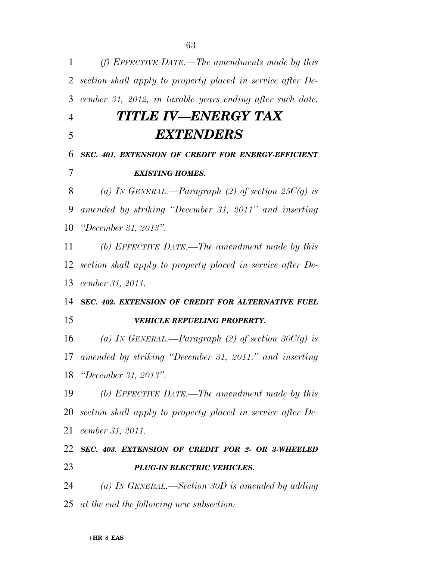| 1              | (f) EFFECTIVE DATE.—The amendments made by this             |
|----------------|-------------------------------------------------------------|
| 2              | section shall apply to property placed in service after De- |
| 3              | cember 31, 2012, in taxable years ending after such date.   |
| $\overline{4}$ | TITLE IV—ENERGY TAX                                         |
| 5              | EXTENDERS                                                   |
| 6              | SEC. 401. EXTENSION OF CREDIT FOR ENERGY-EFFICIENT          |
| 7              | <b>EXISTING HOMES.</b>                                      |
| 8              | (a) In GENERAL.—Paragraph (2) of section 25 $C(g)$ is       |
| 9              | amended by striking "December 31, 2011" and inserting       |
| 10             | "December 31, 2013".                                        |
| 11             | (b) EFFECTIVE DATE.—The amendment made by this              |
| 12             | section shall apply to property placed in service after De- |
| 13             | cember 31, 2011.                                            |
| 14             | SEC. 402. EXTENSION OF CREDIT FOR ALTERNATIVE FUEL          |
| 15             | VEHICLE REFUELING PROPERTY.                                 |
| 16             | (a) IN GENERAL.—Paragraph (2) of section 30 $C(g)$ is       |
| 17             | amended by striking "December 31, 2011." and inserting      |
| 18             | "December 31, 2013".                                        |
| 19             | (b) EFFECTIVE DATE.—The amendment made by this              |
| <b>20</b>      | section shall apply to property placed in service after De- |
| 21             | cember 31, 2011.                                            |
| 22             | SEC. 403. EXTENSION OF CREDIT FOR 2- OR 3-WHEELED           |
| 23             | PLUG-IN ELECTRIC VEHICLES.                                  |
| 24             | (a) IN GENERAL.—Section 30D is amended by adding            |
| 25             | at the end the following new subsection:                    |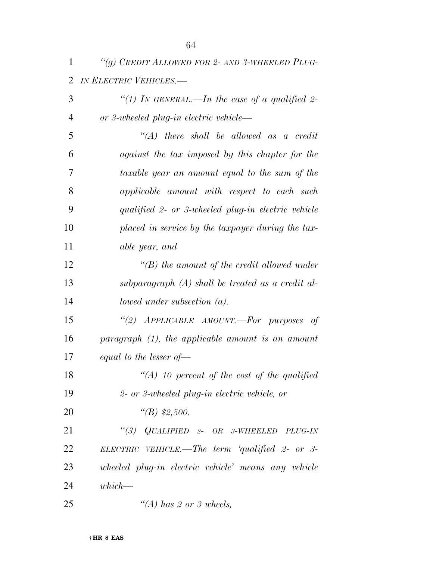| $\overline{2}$ | IN ELECTRIC VEHICLES.-                               |
|----------------|------------------------------------------------------|
| 3              | "(1) In GENERAL.—In the case of a qualified 2-       |
| $\overline{4}$ | or 3-wheeled plug-in electric vehicle—               |
| 5              | $\lq\lq (A)$ there shall be allowed as a credit      |
| 6              | against the tax imposed by this chapter for the      |
| 7              | taxable year an amount equal to the sum of the       |
| 8              | applicable amount with respect to each such          |
| 9              | qualified 2- or 3-wheeled plug-in electric vehicle   |
| 10             | placed in service by the taxpayer during the tax-    |
| 11             | able year, and                                       |
| 12             | $\lq\lq(B)$ the amount of the credit allowed under   |
| 13             | subparagraph $(A)$ shall be treated as a credit al-  |
| 14             | lowed under subsection $(a)$ .                       |
| 15             | "(2) APPLICABLE AMOUNT.-For purposes of              |
| 16             | paragraph $(1)$ , the applicable amount is an amount |
| 17             | equal to the lesser of $-$                           |
| 18             | $\lq (A)$ 10 percent of the cost of the qualified    |
| 19             | 2- or 3-wheeled plug-in electric vehicle, or         |
| 20             | "(B) $$2,500.$                                       |
| 21             | $``(3)$ QUALIFIED 2- OR 3-WHEELED<br>PLUG-IN         |
| 22             | ELECTRIC VEHICLE.—The term 'qualified 2- or 3-       |
| 23             | wheeled plug-in electric vehicle' means any vehicle  |
| 24             | $which$ —                                            |
| 25             | $\lq (A)$ has 2 or 3 wheels,                         |

*''(g) CREDIT ALLOWED FOR 2- AND 3-WHEELED PLUG-*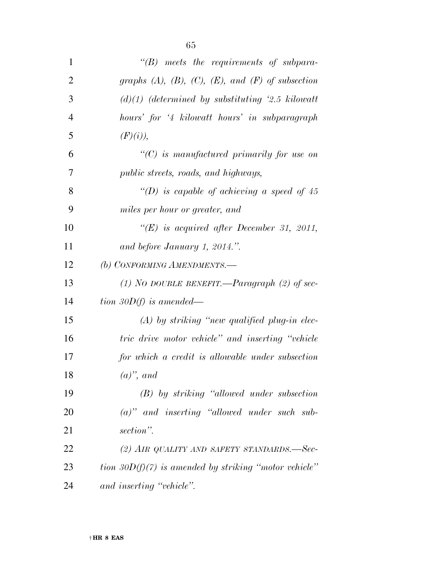| ۰,<br>v |
|---------|
|---------|

| $\mathbf{1}$   | $\lq\lq(B)$ meets the requirements of subpara-                 |
|----------------|----------------------------------------------------------------|
| $\overline{2}$ | graphs $(A)$ , $(B)$ , $(C)$ , $(E)$ , and $(F)$ of subsection |
| 3              | $(d)(1)$ (determined by substituting '2.5 kilowatt'            |
| $\overline{4}$ | hours' for '4 kilowatt hours' in subparagraph                  |
| 5              | (F)(i)),                                                       |
| 6              | $\lq\lq C$ is manufactured primarily for use on                |
| $\overline{7}$ | <i>public streets, roads, and highways,</i>                    |
| 8              | "(D) is capable of achieving a speed of 45                     |
| 9              | miles per hour or greater, and                                 |
| 10             | " $(E)$ is acquired after December 31, 2011,                   |
| 11             | and before January 1, 2014.".                                  |
| 12             | (b) CONFORMING AMENDMENTS.-                                    |
| 13             | (1) NO DOUBLE BENEFIT.—Paragraph (2) of sec-                   |
| 14             | tion 30 $D(f)$ is amended—                                     |
| 15             | $(A)$ by striking "new qualified plug-in elec-                 |
| 16             | tric drive motor vehicle" and inserting "vehicle"              |
| 17             | for which a credit is allowable under subsection               |
| 18             | $(a)$ ", and                                                   |
| 19             | $(B)$ by striking "allowed under subsection"                   |
| 20             | $(a)$ " and inserting "allowed under such sub-                 |
| 21             | section".                                                      |
| 22             | (2) AIR QUALITY AND SAFETY STANDARDS.—Sec-                     |
| 23             | tion 30 $D(f)(7)$ is amended by striking "motor vehicle"       |
| 24             | and inserting "vehicle".                                       |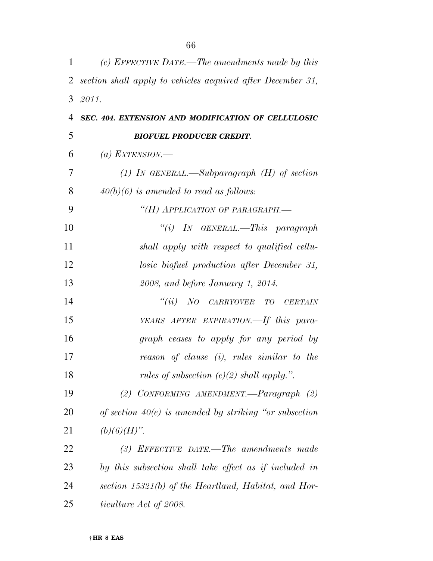| $\mathbf{1}$   | (c) EFFECTIVE DATE.—The amendments made by this             |
|----------------|-------------------------------------------------------------|
| $\overline{2}$ | section shall apply to vehicles acquired after December 31, |
| 3              | 2011.                                                       |
| 4              | SEC. 404. EXTENSION AND MODIFICATION OF CELLULOSIC          |
| 5              | <b>BIOFUEL PRODUCER CREDIT.</b>                             |
| 6              | (a) EXTENSION.—                                             |
| 7              | (1) In GENERAL.—Subparagraph $(H)$ of section               |
| 8              | $40(b)(6)$ is amended to read as follows:                   |
| 9              | "(H) APPLICATION OF PARAGRAPH.-                             |
| 10             | "(i) IN GENERAL.—This paragraph                             |
| 11             | shall apply with respect to qualified cellu-                |
| 12             | losic biofuel production after December 31,                 |
| 13             | 2008, and before January 1, 2014.                           |
| 14             | "(ii) NO CARRYOVER TO CERTAIN                               |
| 15             | YEARS AFTER EXPIRATION. If this para-                       |
| 16             | graph ceases to apply for any period by                     |
| 17             | reason of clause $(i)$ , rules similar to the               |
| 18             | rules of subsection $(e)(2)$ shall apply.".                 |
| 19             | (2) CONFORMING AMENDMENT.—Paragraph $(2)$                   |
| 20             | of section $40(e)$ is amended by striking "or subsection"   |
| 21             | $(b)(6)(H)$ ".                                              |
| 22             | $(3)$ EFFECTIVE DATE.—The amendments made                   |
| 23             | by this subsection shall take effect as if included in      |
| 24             | section $15321(b)$ of the Heartland, Habitat, and Hor-      |
| 25             | ticulture Act of 2008.                                      |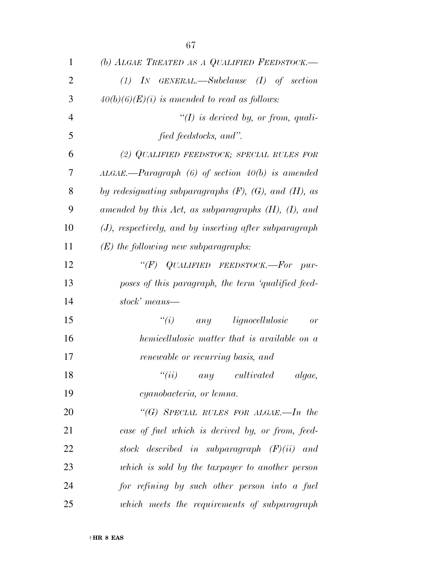| $\mathbf{1}$   | (b) ALGAE TREATED AS A QUALIFIED FEEDSTOCK.-                  |
|----------------|---------------------------------------------------------------|
| $\overline{2}$ | $(1)$ IN GENERAL.—Subclause $(I)$ of section                  |
| 3              | $40(b)(6)(E)(i)$ is amended to read as follows:               |
| $\overline{4}$ | $\lq (I)$ is derived by, or from, quali-                      |
| 5              | fied feedstocks, and".                                        |
| 6              | (2) QUALIFIED FEEDSTOCK; SPECIAL RULES FOR                    |
| 7              | $ALGAE$ . ---Paragraph (6) of section 40(b) is amended        |
| 8              | by redesignating subparagraphs $(F)$ , $(G)$ , and $(H)$ , as |
| 9              | amended by this Act, as subparagraphs $(H)$ , $(I)$ , and     |
| 10             | $(J)$ , respectively, and by inserting after subparagraph     |
| 11             | $(E)$ the following new subparagraphs:                        |
| 12             | " $(F)$ QUALIFIED FEEDSTOCK.—For pur-                         |
| 13             | poses of this paragraph, the term 'qualified feed-            |
| 14             | stock' means—                                                 |
| 15             | ``(i)<br>any lignocellulosic<br>or                            |
| 16             | hemicellulosic matter that is available on a                  |
| 17             | renewable or recurring basis, and                             |
| 18             | ``(ii)<br>any cultivated algae,                               |
| 19             | cyanobacteria, or lemna.                                      |
| 20             | "(G) SPECIAL RULES FOR ALGAE.—In the                          |
| 21             | case of fuel which is derived by, or from, feed-              |
| 22             | stock described in subparagraph $(F)(ii)$ and                 |
| 23             | which is sold by the taxpayer to another person               |
| 24             | for refining by such other person into a fuel                 |
| 25             | which meets the requirements of subparagraph                  |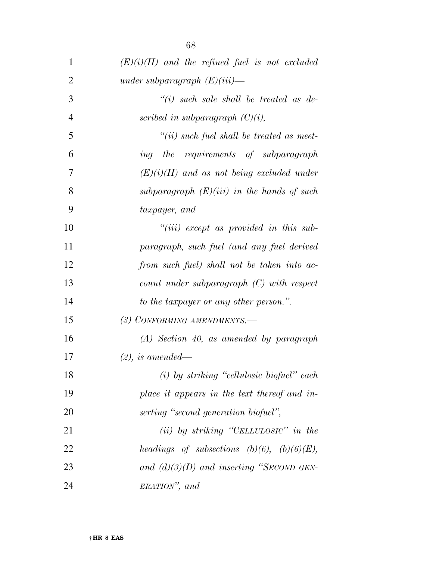| 1              | $(E)(i)(II)$ and the refined fuel is not excluded |
|----------------|---------------------------------------------------|
| $\overline{2}$ | under subparagraph $(E)(iii)$ —                   |
| 3              | $``(i)$ such sale shall be treated as de-         |
| $\overline{4}$ | scribed in subparagraph $(C)(i)$ ,                |
| 5              | $``(ii)$ such fuel shall be treated as meet-      |
| 6              | ing the requirements of subparagraph              |
| 7              | $(E)(i)(II)$ and as not being excluded under      |
| 8              | subparagraph $(E)(iii)$ in the hands of such      |
| 9              | taxpayer, and                                     |
| 10             | $``(iii)$ except as provided in this sub-         |
| 11             | paragraph, such fuel (and any fuel derived        |
| 12             | from such fuel) shall not be taken into ac-       |
| 13             | $count$ under subparagraph $(C)$ with respect     |
| 14             | to the taxpayer or any other person.".            |
| 15             | (3) CONFORMING AMENDMENTS.—                       |
| 16             | $(A)$ Section 40, as amended by paragraph         |
| 17             | $(2)$ , is amended—                               |
| 18             | $(i)$ by striking "cellulosic biofuel" each       |
| 19             | place it appears in the text thereof and in-      |
| 20             | serting "second generation biofuel",              |
| 21             | $(ii)$ by striking "CELLULOSIC" in the            |
| 22             | headings of subsections $(b)(6)$ , $(b)(6)(E)$ ,  |
| 23             | and $(d)(3)(D)$ and inserting "SECOND GEN-        |
| 24             | ERATION", and                                     |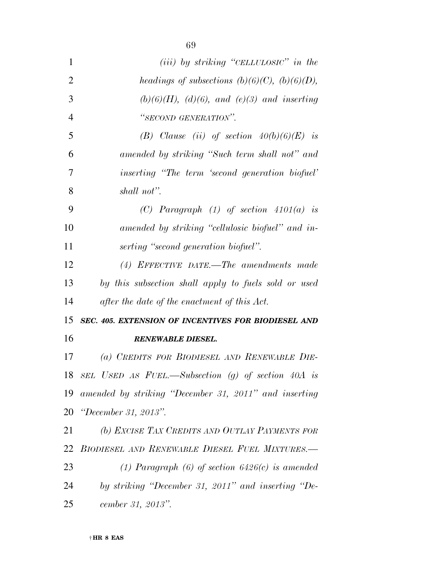| $\mathbf{1}$   | (iii) by striking "CELLULOSIC" in the                 |
|----------------|-------------------------------------------------------|
| $\overline{2}$ | headings of subsections $(b)(6)(C)$ , $(b)(6)(D)$ ,   |
| 3              | $(b)(6)(H)$ , $(d)(6)$ , and $(e)(3)$ and inserting   |
| $\overline{4}$ | "SECOND GENERATION".                                  |
| 5              | (B) Clause (ii) of section $40(b)(6)(E)$ is           |
| 6              | amended by striking "Such term shall not" and         |
| 7              | inserting "The term 'second generation biofuel'       |
| 8              | shall not".                                           |
| 9              | (C) Paragraph $(1)$ of section $4101(a)$ is           |
| 10             | amended by striking "cellulosic biofuel" and in-      |
| 11             | serting "second generation biofuel".                  |
| 12             | $(4)$ EFFECTIVE DATE.—The amendments made             |
| 13             | by this subsection shall apply to fuels sold or used  |
| 14             | after the date of the enactment of this Act.          |
| 15             | SEC. 405. EXTENSION OF INCENTIVES FOR BIODIESEL AND   |
|                |                                                       |
| 16             | <b>RENEWABLE DIESEL.</b>                              |
| 17             | (a) CREDITS FOR BIODIESEL AND RENEWABLE DIE-          |
| 18             | SEL USED AS FUEL.—Subsection (g) of section $40A$ is  |
| 19             | amended by striking "December 31, 2011" and inserting |
| 20             | "December 31, 2013".                                  |
| 21             | (b) EXCISE TAX CREDITS AND OUTLAY PAYMENTS FOR        |
| 22             | BIODIESEL AND RENEWABLE DIESEL FUEL MIXTURES.-        |
| 23             | (1) Paragraph (6) of section $6426(c)$ is amended     |
| 24             | by striking "December 31, 2011" and inserting "De-    |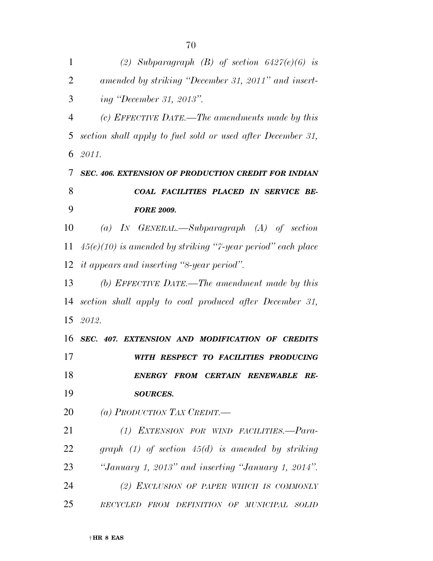| 1              | (2) Subparagraph (B) of section $6427(e)(6)$ is               |
|----------------|---------------------------------------------------------------|
| $\overline{2}$ | amended by striking "December 31, 2011" and insert-           |
| 3              | <i>ing "December 31, 2013".</i>                               |
| $\overline{4}$ | (c) EFFECTIVE DATE.—The amendments made by this               |
| 5              | section shall apply to fuel sold or used after December 31,   |
| 6              | 2011.                                                         |
| 7              | <b>SEC. 406. EXTENSION OF PRODUCTION CREDIT FOR INDIAN</b>    |
| 8              | COAL FACILITIES PLACED IN SERVICE BE-                         |
| 9              | <b>FORE 2009.</b>                                             |
| 10             | (a) IN GENERAL.—Subparagraph $(A)$ of section                 |
| 11             | $45(e)(10)$ is amended by striking "7-year period" each place |
| 12             | <i>it appears and inserting "8-year period".</i>              |
| 13             | (b) EFFECTIVE DATE.—The amendment made by this                |
| 14             | section shall apply to coal produced after December 31,       |
| 15             | 2012.                                                         |
| 16             | SEC. 407. EXTENSION AND MODIFICATION OF CREDITS               |
| 17             | WITH RESPECT TO FACILITIES PRODUCING                          |
| 18             | ENERGY FROM CERTAIN RENEWABLE RE-                             |
| 19             | <b>SOURCES.</b>                                               |
| 20             | (a) PRODUCTION TAX CREDIT.—                                   |
| 21             | (1) EXTENSION FOR WIND FACILITIES.-Para-                      |
| 22             | graph $(1)$ of section $45(d)$ is amended by striking         |
| 23             | "January 1, 2013" and inserting "January 1, 2014".            |
| 24             | (2) EXCLUSION OF PAPER WHICH IS COMMONLY                      |
| 25             | RECYCLED FROM DEFINITION OF MUNICIPAL<br>- SOLID              |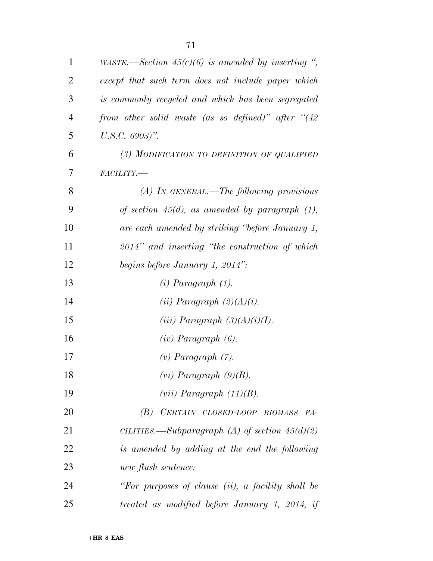| $\mathbf{1}$   | WASTE.—Section $45(c)(6)$ is amended by inserting ",   |
|----------------|--------------------------------------------------------|
| $\overline{2}$ | except that such term does not include paper which     |
| 3              | is commonly recycled and which has been segregated     |
| $\overline{4}$ | from other solid waste (as so defined)" after " $(42)$ |
| 5              | $U.S.C. 6903)$ ".                                      |
| 6              | (3) MODIFICATION TO DEFINITION OF QUALIFIED            |
| 7              | FACILITY.-                                             |
| 8              | $(A)$ In GENERAL.—The following provisions             |
| 9              | of section $45(d)$ , as amended by paragraph $(1)$ ,   |
| 10             | are each amended by striking "before January 1,        |
| 11             | $2014$ " and inserting "the construction of which      |
| 12             | begins before January 1, 2014":                        |
| 13             | $(i)$ Paragraph $(1)$ .                                |
| 14             | $(ii)$ Paragraph $(2)(A)(i)$ .                         |
| 15             | (iii) Paragraph $(3)(A)(i)(I)$ .                       |
| 16             | $(iv)$ Paragraph $(6)$ .                               |
| 17             | $(v)$ Paragraph $(7)$ .                                |
| 18             | $(vi)$ Paragraph $(9)(B)$ .                            |
| 19             | $(vii)$ Paragraph $(11)(B)$ .                          |
| 20             | (B) CERTAIN CLOSED-LOOP BIOMASS FA-                    |
| 21             | CILITIES.—Subparagraph (A) of section $45(d)(2)$       |
| 22             | is amended by adding at the end the following          |
| 23             | new flush sentence:                                    |
| 24             | "For purposes of clause (ii), a facility shall be      |
| 25             | treated as modified before January 1, 2014, if         |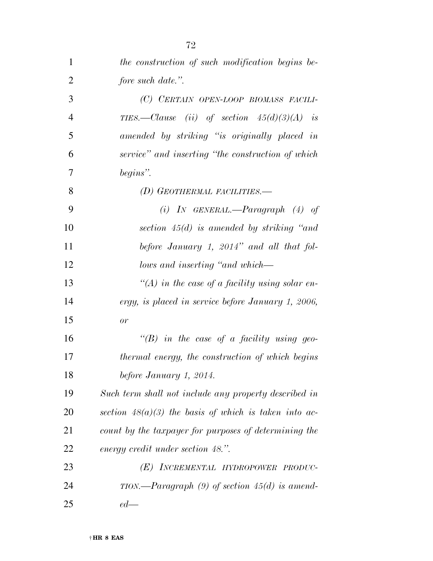| $\mathbf{1}$   | the construction of such modification begins be-        |
|----------------|---------------------------------------------------------|
| $\overline{2}$ | fore such date.".                                       |
| 3              | (C) CERTAIN OPEN-LOOP BIOMASS FACILI-                   |
| $\overline{4}$ | TIES.—Clause (ii) of section $45(d)(3)(A)$ is           |
| 5              | amended by striking "is originally placed in            |
| 6              | service" and inserting "the construction of which       |
| 7              | begins".                                                |
| 8              | (D) GEOTHERMAL FACILITIES.—                             |
| 9              | (i) IN GENERAL.—Paragraph $(4)$ of                      |
| 10             | section $45(d)$ is amended by striking "and             |
| 11             | before January 1, 2014" and all that fol-               |
| 12             | lows and inserting "and which—                          |
| 13             | "(A) in the case of a facility using solar en-          |
| 14             | ergy, is placed in service before January 1, 2006,      |
| 15             | or                                                      |
| 16             | $\lq\lq(B)$ in the case of a facility using geo-        |
| 17             | thermal energy, the construction of which begins        |
| 18             | before January 1, 2014.                                 |
| 19             | Such term shall not include any property described in   |
| 20             | section $48(a)(3)$ the basis of which is taken into ac- |
| 21             | count by the taxpayer for purposes of determining the   |
| 22             | energy credit under section 48.".                       |
| 23             | (E) INCREMENTAL HYDROPOWER PRODUC-                      |
| 24             | TION.—Paragraph $(9)$ of section 45 $(d)$ is amend-     |
| 25             | $ed$ —                                                  |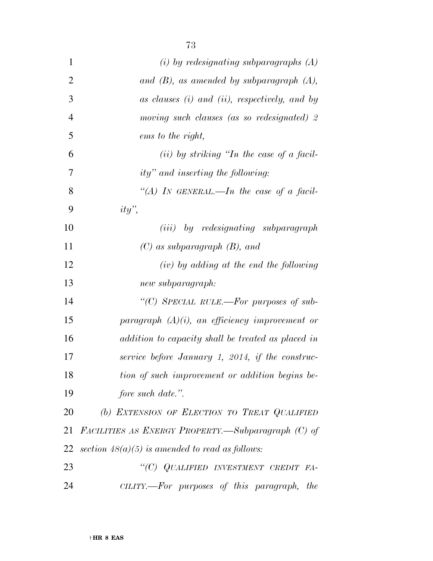| $\mathbf{1}$   | $(i)$ by redesignating subparagraphs $(A)$            |
|----------------|-------------------------------------------------------|
| $\overline{2}$ | and $(B)$ , as amended by subparagraph $(A)$ ,        |
| 3              | as clauses (i) and (ii), respectively, and by         |
| $\overline{4}$ | moving such clauses (as so redesignated) 2            |
| 5              | ems to the right,                                     |
| 6              | $(ii)$ by striking "In the case of a facil-           |
| 7              | ity" and inserting the following:                     |
| 8              | "(A) IN GENERAL.—In the case of a facil-              |
| 9              | $ity$ ",                                              |
| 10             | ( <i>iii</i> ) by redesignating subparagraph          |
| 11             | $(C)$ as subparagraph $(B)$ , and                     |
| 12             | $(iv)$ by adding at the end the following             |
| 13             | new subparagraph:                                     |
| 14             | "(C) SPECIAL RULE.—For purposes of sub-               |
| 15             | paragraph $(A)(i)$ , an efficiency improvement or     |
| 16             | addition to capacity shall be treated as placed in    |
| 17             | service before January 1, 2014, if the construc-      |
| 18             | tion of such improvement or addition begins be-       |
| 19             | fore such date.".                                     |
| 20             | (b) EXTENSION OF ELECTION TO TREAT QUALIFIED          |
| 21             | FACILITIES AS ENERGY PROPERTY.—Subparagraph (C) of    |
| 22             | section $48(a)(5)$ is amended to read as follows:     |
| 23             | "(C) QUALIFIED INVESTMENT CREDIT FA-                  |
| 24             | CILITY.—For purposes of this paragraph,<br><i>the</i> |

† **HR 8 EAS**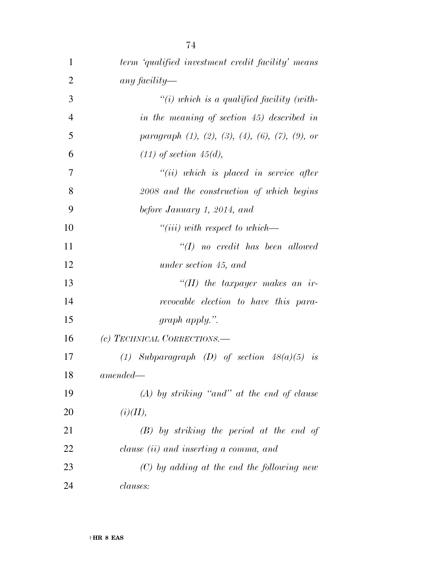| $\mathbf 1$    | term 'qualified investment credit facility' means                    |
|----------------|----------------------------------------------------------------------|
| $\overline{2}$ | any facility—                                                        |
| 3              | "(i) which is a qualified facility (with-                            |
| $\overline{4}$ | in the meaning of section 45) described in                           |
| 5              | paragraph $(1)$ , $(2)$ , $(3)$ , $(4)$ , $(6)$ , $(7)$ , $(9)$ , or |
| 6              | $(11)$ of section 45(d),                                             |
| 7              | $``(ii)$ which is placed in service after                            |
| 8              | 2008 and the construction of which begins                            |
| 9              | before January 1, 2014, and                                          |
| 10             | $``(iii) with respect to which \t-$                                  |
| 11             | $\lq (I)$ no credit has been allowed                                 |
| 12             | under section 45, and                                                |
| 13             | $``(II)$ the taxpayer makes an ir-                                   |
| 14             | revocable election to have this para-                                |
| 15             | $graph$ apply.".                                                     |
| 16             | (c) TECHNICAL CORRECTIONS.—                                          |
| 17             | (1) Subparagraph (D) of section $48(a)(5)$ is                        |
| 18             | $amended -$                                                          |
| 19             | $(A)$ by striking "and" at the end of clause                         |
| 20             | (i)(II),                                                             |
| 21             | $(B)$ by striking the period at the end of                           |
| 22             | clause (ii) and inserting a comma, and                               |
| 23             | $(C)$ by adding at the end the following new                         |
| 24             | <i>clauses:</i>                                                      |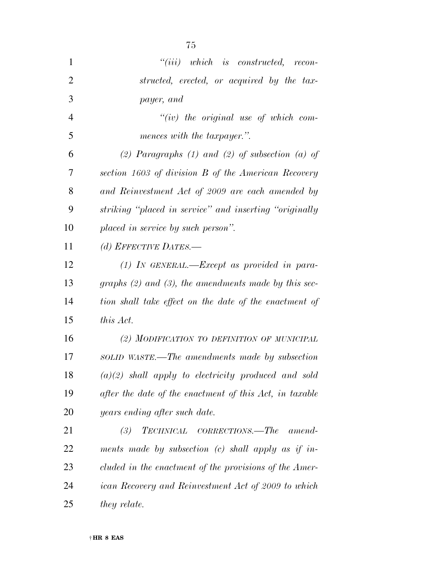| 1              | $``(iii)$ which is constructed, recon-                    |
|----------------|-----------------------------------------------------------|
| $\overline{2}$ | structed, erected, or acquired by the tax-                |
| 3              | payer, and                                                |
| $\overline{4}$ | $``(iv)$ the original use of which com-                   |
| 5              | mences with the taxpayer.".                               |
| 6              | (2) Paragraphs $(1)$ and $(2)$ of subsection $(a)$ of     |
| 7              | section 1603 of division B of the American Recovery       |
| 8              | and Reinvestment Act of 2009 are each amended by          |
| 9              | striking "placed in service" and inserting "originally    |
| 10             | placed in service by such person".                        |
| 11             | (d) EFFECTIVE DATES.-                                     |
| 12             | $(1)$ IN GENERAL.—Except as provided in para-             |
| 13             | graphs $(2)$ and $(3)$ , the amendments made by this sec- |
| 14             | tion shall take effect on the date of the enactment of    |
| 15             | this Act.                                                 |
| 16             | (2) MODIFICATION TO DEFINITION OF MUNICIPAL               |
| 17             | SOLID WASTE.—The amendments made by subsection            |
| 18             | $(a)(2)$ shall apply to electricity produced and sold     |
| 19             | after the date of the enactment of this Act, in taxable   |
| 20             | years ending after such date.                             |
| 21             | TECHNICAL CORRECTIONS.—The<br>(3)<br>amend-               |
| 22             | ments made by subsection $(c)$ shall apply as if in-      |
| 23             | cluded in the enactment of the provisions of the Amer-    |
| 24             | ican Recovery and Reinvestment Act of 2009 to which       |
| 25             | they relate.                                              |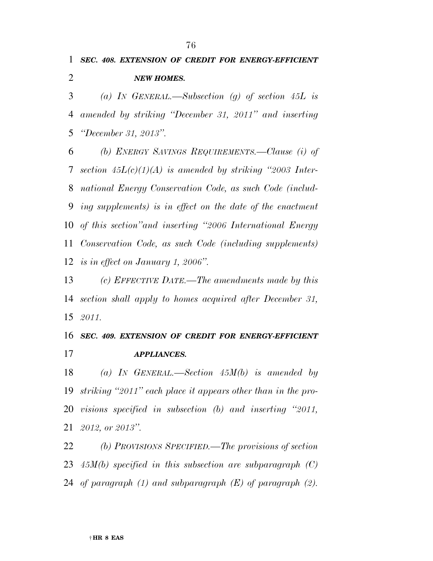### *SEC. 408. EXTENSION OF CREDIT FOR ENERGY-EFFICIENT NEW HOMES.*

 *(a) IN GENERAL.—Subsection (g) of section 45L is amended by striking ''December 31, 2011'' and inserting ''December 31, 2013''.* 

 *(b) ENERGY SAVINGS REQUIREMENTS.—Clause (i) of section 45L(c)(1)(A) is amended by striking ''2003 Inter- national Energy Conservation Code, as such Code (includ- ing supplements) is in effect on the date of the enactment of this section''and inserting ''2006 International Energy Conservation Code, as such Code (including supplements) is in effect on January 1, 2006''.* 

 *(c) EFFECTIVE DATE.—The amendments made by this section shall apply to homes acquired after December 31, 2011.* 

 *SEC. 409. EXTENSION OF CREDIT FOR ENERGY-EFFICIENT APPLIANCES.* 

 *(a) IN GENERAL.—Section 45M(b) is amended by striking ''2011'' each place it appears other than in the pro- visions specified in subsection (b) and inserting ''2011, 2012, or 2013''.* 

 *(b) PROVISIONS SPECIFIED.—The provisions of section 45M(b) specified in this subsection are subparagraph (C) of paragraph (1) and subparagraph (E) of paragraph (2).*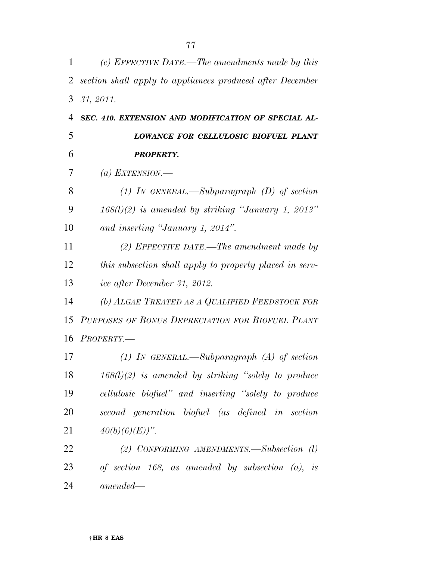| 1              | (c) EFFECTIVE DATE.—The amendments made by this           |
|----------------|-----------------------------------------------------------|
| 2              | section shall apply to appliances produced after December |
| 3              | 31, 2011.                                                 |
| $\overline{4}$ | SEC. 410. EXTENSION AND MODIFICATION OF SPECIAL AL-       |
| 5              | LOWANCE FOR CELLULOSIC BIOFUEL PLANT                      |
| 6              | <b>PROPERTY.</b>                                          |
| 7              | (a) EXTENSION.—                                           |
| 8              | (1) In GENERAL.—Subparagraph $(D)$ of section             |
| 9              | $168(1)(2)$ is amended by striking "January 1, 2013"      |
| 10             | and inserting "January 1, 2014".                          |
| 11             | (2) EFFECTIVE DATE.—The amendment made by                 |
| 12             | this subsection shall apply to property placed in serv-   |
| 13             | ice after December 31, 2012.                              |
| 14             | (b) ALGAE TREATED AS A QUALIFIED FEEDSTOCK FOR            |
| 15             | PURPOSES OF BONUS DEPRECIATION FOR BIOFUEL PLANT          |
| 16             | PROPERTIES TY.                                            |
| 17             | (1) In GENERAL.—Subparagraph (A) of section               |
| 18             | $168(l)(2)$ is amended by striking "solely to produce     |
| 19             | cellulosic biofuel" and inserting "solely to produce      |
| 20             | second generation biofuel (as defined in section          |
| 21             | $40(b)(6)(E))$ ".                                         |
| 22             | (2) CONFORMING AMENDMENTS. Subsection $(l)$               |
| 23             | of section 168, as amended by subsection $(a)$ , is       |
| 24             | $amended -$                                               |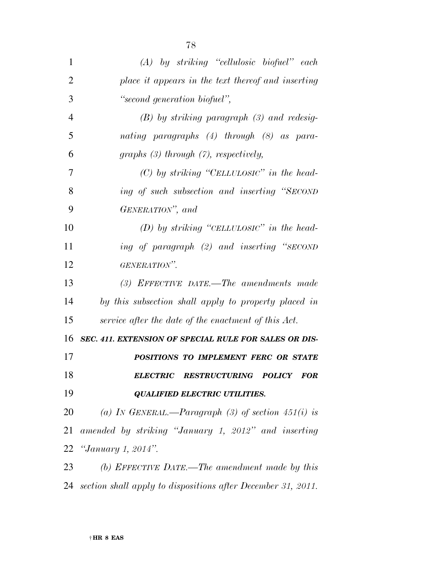| 1              | $(A)$ by striking "cellulosic biofuel" each                  |
|----------------|--------------------------------------------------------------|
| $\overline{2}$ | place it appears in the text thereof and inserting           |
| 3              | "second generation biofuel",                                 |
| 4              | $(B)$ by striking paragraph $(3)$ and redesig-               |
| 5              | nating paragraphs (4) through (8) as para-                   |
| 6              | graphs $(3)$ through $(7)$ , respectively,                   |
| 7              | $(C)$ by striking "CELLULOSIC" in the head-                  |
| 8              | ing of such subsection and inserting "SECOND                 |
| 9              | GENERATION", and                                             |
| 10             | $(D)$ by striking "CELLULOSIC" in the head-                  |
| 11             | ing of paragraph (2) and inserting "SECOND                   |
| 12             | GENERATION".                                                 |
| 13             | $(3)$ EFFECTIVE DATE.—The amendments made                    |
| 14             | by this subsection shall apply to property placed in         |
| 15             | service after the date of the enactment of this Act.         |
| 16             | <b>SEC. 411. EXTENSION OF SPECIAL RULE FOR SALES OR DIS-</b> |
| 17             | POSITIONS TO IMPLEMENT FERC OR STATE                         |
| 18             | ELECTRIC RESTRUCTURING POLICY FOR                            |
| 19             | <b>QUALIFIED ELECTRIC UTILITIES.</b>                         |
| 20             | (a) IN GENERAL.—Paragraph (3) of section $451(i)$ is         |
| 21             | amended by striking "January 1, 2012" and inserting          |
|                | 22 <i>"January 1, 2014"</i> .                                |
| 23             | (b) EFFECTIVE DATE.—The amendment made by this               |
|                |                                                              |

*section shall apply to dispositions after December 31, 2011.*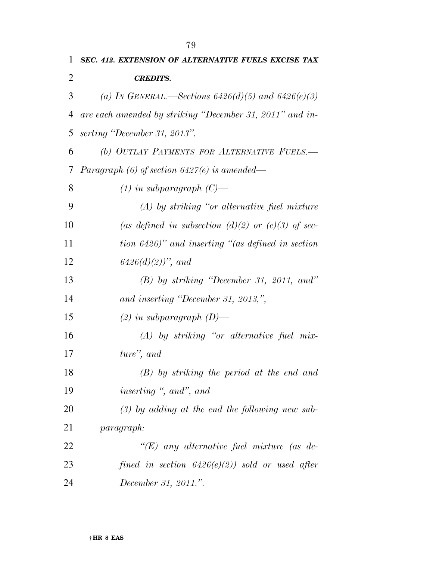| 1  | SEC. 412. EXTENSION OF ALTERNATIVE FUELS EXCISE TAX      |
|----|----------------------------------------------------------|
| 2  | <b>CREDITS.</b>                                          |
| 3  | (a) IN GENERAL.—Sections $6426(d)(5)$ and $6426(e)(3)$   |
| 4  | are each amended by striking "December 31, 2011" and in- |
| 5  | serting "December 31, 2013".                             |
| 6  | (b) OUTLAY PAYMENTS FOR ALTERNATIVE FUELS.-              |
| 7  | Paragraph $(6)$ of section $6427(e)$ is amended—         |
| 8  | $(1)$ in subparagraph $(C)$ —                            |
| 9  | $(A)$ by striking "or alternative fuel mixture"          |
| 10 | (as defined in subsection (d)(2) or (e)(3) of sec-       |
| 11 | tion $6426$ )" and inserting "(as defined in section     |
| 12 | $6426(d)(2)$ , and                                       |
| 13 | $(B)$ by striking "December 31, 2011, and"               |
| 14 | and inserting "December 31, 2013,",                      |
| 15 | $(2)$ in subparagraph $(D)$ —                            |
| 16 | $(A)$ by striking "or alternative fuel mix-              |
| 17 | ture", and                                               |
| 18 | $(B)$ by striking the period at the end and              |
| 19 | inserting ", and", and                                   |
| 20 | $(3)$ by adding at the end the following new sub-        |
| 21 | <i>paragraph:</i>                                        |
| 22 | " $(E)$ any alternative fuel mixture (as de-             |
| 23 | fined in section $6426(e)(2)$ ) sold or used after       |
| 24 | December 31, 2011.".                                     |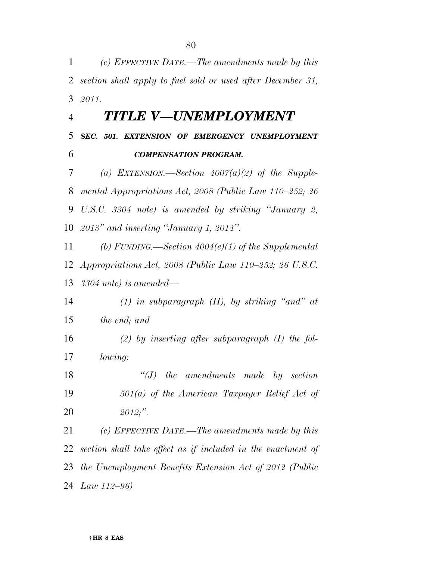*(c) EFFECTIVE DATE.—The amendments made by this section shall apply to fuel sold or used after December 31, 2011. TITLE V—UNEMPLOYMENT SEC. 501. EXTENSION OF EMERGENCY UNEMPLOYMENT COMPENSATION PROGRAM. (a) EXTENSION.—Section 4007(a)(2) of the Supple- mental Appropriations Act, 2008 (Public Law 110–252; 26 U.S.C. 3304 note) is amended by striking ''January 2, 2013'' and inserting ''January 1, 2014''. (b) FUNDING.—Section 4004(e)(1) of the Supplemental Appropriations Act, 2008 (Public Law 110–252; 26 U.S.C. 3304 note) is amended— (1) in subparagraph (H), by striking ''and'' at the end; and (2) by inserting after subparagraph (I) the fol- lowing: ''(J) the amendments made by section 501(a) of the American Taxpayer Relief Act of 2012;''. (c) EFFECTIVE DATE.—The amendments made by this section shall take effect as if included in the enactment of the Unemployment Benefits Extension Act of 2012 (Public Law 112–96)*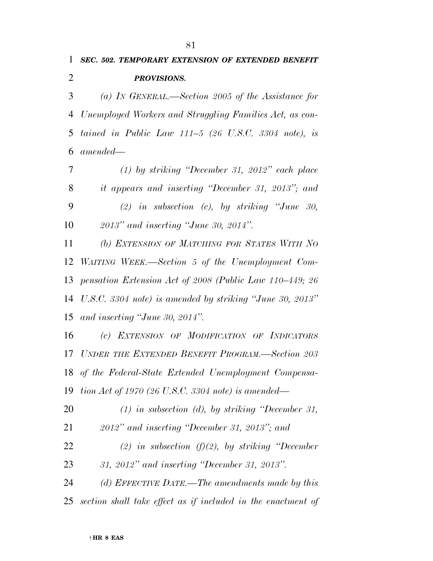## *SEC. 502. TEMPORARY EXTENSION OF EXTENDED BENEFIT PROVISIONS.*

 *(a) IN GENERAL.—Section 2005 of the Assistance for Unemployed Workers and Struggling Families Act, as con- tained in Public Law 111–5 (26 U.S.C. 3304 note), is amended—* 

 *(1) by striking ''December 31, 2012'' each place it appears and inserting ''December 31, 2013''; and (2) in subsection (c), by striking ''June 30, 2013'' and inserting ''June 30, 2014''.* 

 *(b) EXTENSION OF MATCHING FOR STATES WITH NO WAITING WEEK.—Section 5 of the Unemployment Com- pensation Extension Act of 2008 (Public Law 110–449; 26 U.S.C. 3304 note) is amended by striking ''June 30, 2013'' and inserting ''June 30, 2014''.* 

 *(c) EXTENSION OF MODIFICATION OF INDICATORS UNDER THE EXTENDED BENEFIT PROGRAM.—Section 203 of the Federal-State Extended Unemployment Compensa-tion Act of 1970 (26 U.S.C. 3304 note) is amended—* 

 *(1) in subsection (d), by striking ''December 31, 2012'' and inserting ''December 31, 2013''; and (2) in subsection (f)(2), by striking ''December* 

*31, 2012'' and inserting ''December 31, 2013''.* 

 *(d) EFFECTIVE DATE.—The amendments made by this section shall take effect as if included in the enactment of*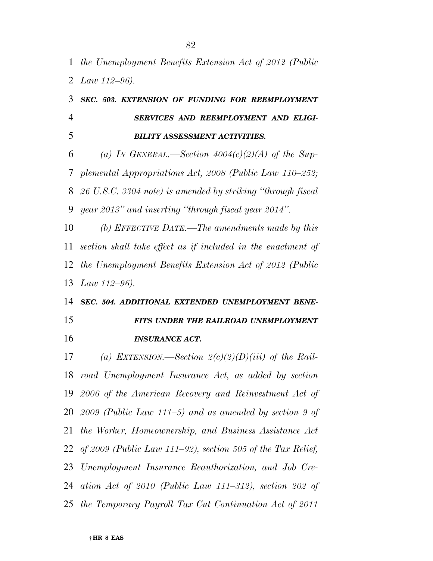*the Unemployment Benefits Extension Act of 2012 (Public Law 112–96).* 

# *SEC. 503. EXTENSION OF FUNDING FOR REEMPLOYMENT SERVICES AND REEMPLOYMENT AND ELIGI-BILITY ASSESSMENT ACTIVITIES.*

 *(a) IN GENERAL.—Section 4004(c)(2)(A) of the Sup- plemental Appropriations Act, 2008 (Public Law 110–252; 26 U.S.C. 3304 note) is amended by striking ''through fiscal year 2013'' and inserting ''through fiscal year 2014''.* 

 *(b) EFFECTIVE DATE.—The amendments made by this section shall take effect as if included in the enactment of the Unemployment Benefits Extension Act of 2012 (Public Law 112–96).* 

# *SEC. 504. ADDITIONAL EXTENDED UNEMPLOYMENT BENE-FITS UNDER THE RAILROAD UNEMPLOYMENT*

*INSURANCE ACT.* 

 *(a) EXTENSION.—Section 2(c)(2)(D)(iii) of the Rail- road Unemployment Insurance Act, as added by section 2006 of the American Recovery and Reinvestment Act of 2009 (Public Law 111–5) and as amended by section 9 of the Worker, Homeownership, and Business Assistance Act of 2009 (Public Law 111–92), section 505 of the Tax Relief, Unemployment Insurance Reauthorization, and Job Cre- ation Act of 2010 (Public Law 111–312), section 202 of the Temporary Payroll Tax Cut Continuation Act of 2011*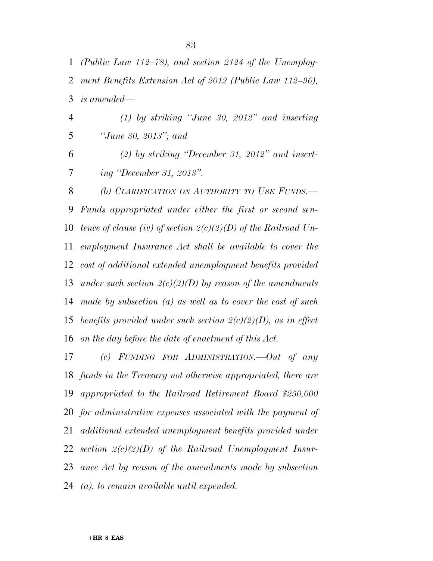| $\mathbf{1}$   | (Public Law $112-78$ ), and section 2124 of the Unemploy-        |
|----------------|------------------------------------------------------------------|
| 2              | ment Benefits Extension Act of 2012 (Public Law 112-96),         |
| 3              | <i>is amended—</i>                                               |
| $\overline{4}$ | $(1)$ by striking "June 30, 2012" and inserting                  |
| 5              | "June 30, 2013"; and                                             |
| 6              | $(2)$ by striking "December 31, 2012" and insert-                |
| 7              | ing "December 31, 2013".                                         |
| 8              | (b) CLARIFICATION ON AUTHORITY TO USE FUNDS.                     |
| 9              | Funds appropriated under either the first or second sen-         |
| 10             | tence of clause (iv) of section $2(c)(2)(D)$ of the Railroad Un- |
| 11             | employment Insurance Act shall be available to cover the         |
| 12             | cost of additional extended unemployment benefits provided       |
| 13             | under such section $2(c)(2)(D)$ by reason of the amendments      |
| 14             | made by subsection $(a)$ as well as to cover the cost of such    |
| 15             | benefits provided under such section $2(c)(2)(D)$ , as in effect |
|                | 16 on the day before the date of enactment of this Act.          |
| 17             | (c) FUNDING FOR ADMINISTRATION.—Out of any                       |

 *funds in the Treasury not otherwise appropriated, there are appropriated to the Railroad Retirement Board \$250,000 for administrative expenses associated with the payment of additional extended unemployment benefits provided under section 2(c)(2)(D) of the Railroad Unemployment Insur- ance Act by reason of the amendments made by subsection (a), to remain available until expended.*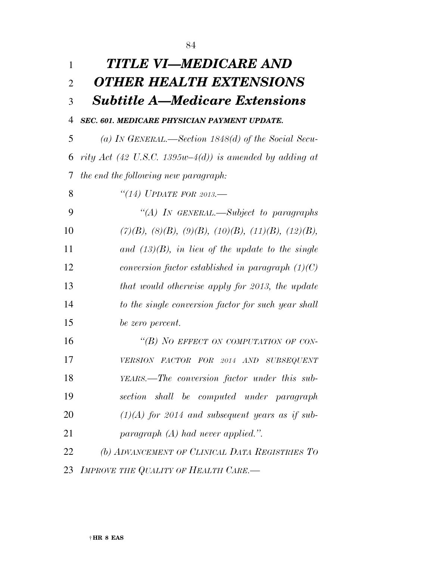| 1              | TITLE VI—MEDICARE AND                                                |
|----------------|----------------------------------------------------------------------|
| $\overline{2}$ | <b>OTHER HEALTH EXTENSIONS</b>                                       |
| 3              | <b>Subtitle A—Medicare Extensions</b>                                |
| $\overline{4}$ | SEC. 601. MEDICARE PHYSICIAN PAYMENT UPDATE.                         |
| 5              | (a) IN GENERAL.—Section $1848(d)$ of the Social Secu-                |
| 6              | rity Act (42 U.S.C. 1395w–4(d)) is amended by adding at              |
| 7              | the end the following new paragraph:                                 |
| 8              | $\lq(14)$ UPDATE FOR 2013.—                                          |
| 9              | "(A) IN GENERAL.—Subject to paragraphs                               |
| 10             | $(7)(B)$ , $(8)(B)$ , $(9)(B)$ , $(10)(B)$ , $(11)(B)$ , $(12)(B)$ , |
| 11             | and $(13)(B)$ , in lieu of the update to the single                  |
| 12             | conversion factor established in paragraph $(1)(C)$                  |
| 13             | that would otherwise apply for 2013, the update                      |
| 14             | to the single conversion factor for such year shall                  |
| 15             | be zero percent.                                                     |
| 16             | "(B) NO EFFECT ON COMPUTATION OF CON-                                |
| 17             | VERSION FACTOR FOR 2014 AND SUBSEQUENT                               |
| 18             | YEARS.—The conversion factor under this sub-                         |
| 19             | section shall be computed under paragraph                            |
| 20             | $(1)(A)$ for 2014 and subsequent years as if sub-                    |
| 21             | paragraph $(A)$ had never applied.".                                 |
| 22             | (b) ADVANCEMENT OF CLINICAL DATA REGISTRIES TO                       |
| 23             | IMPROVE THE QUALITY OF HEALTH CARE.-                                 |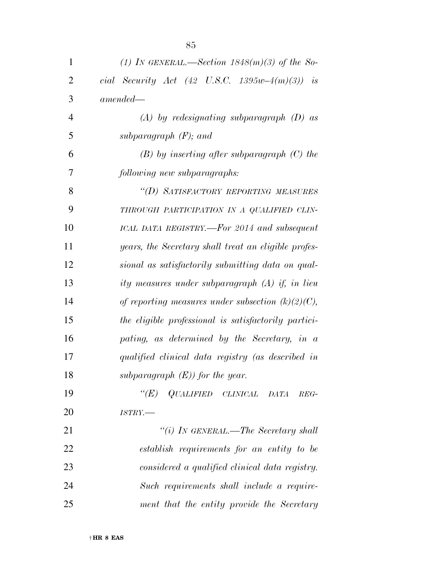| $\mathbf{1}$   | (1) IN GENERAL.—Section $1848(m)(3)$ of the So-      |
|----------------|------------------------------------------------------|
| $\overline{2}$ | cial Security Act (42 U.S.C. 1395w-4 $(m)(3)$ ) is   |
| 3              | $amended -$                                          |
| $\overline{4}$ | $(A)$ by redesignating subparagraph $(D)$ as         |
| 5              | subparagraph $(F)$ ; and                             |
| 6              | $(B)$ by inserting after subparagraph $(C)$ the      |
| 7              | following new subparagraphs:                         |
| 8              | "(D) SATISFACTORY REPORTING MEASURES                 |
| 9              | THROUGH PARTICIPATION IN A QUALIFIED CLIN-           |
| 10             | ICAL DATA REGISTRY.—For 2014 and subsequent          |
| 11             | years, the Secretary shall treat an eligible profes- |
| 12             | sional as satisfactorily submitting data on qual-    |
| 13             | ity measures under subparagraph (A) if, in lieu      |
| 14             | of reporting measures under subsection $(k)(2)(C)$ , |
| 15             | the eligible professional is satisfactorily partici- |
| 16             | pating, as determined by the Secretary, in a         |
| 17             | qualified clinical data registry (as described in    |
| 18             | subparagraph $(E)$ for the year.                     |
| 19             | QUALIFIED CLINICAL<br>$\lq (E)$<br>DATA<br>$REG-$    |
| 20             | $ISTRY$ .                                            |
| 21             | "(i) IN GENERAL.—The Secretary shall                 |
| 22             | establish requirements for an entity to be           |
| 23             | considered a qualified clinical data registry.       |
| 24             | Such requirements shall include a require-           |
| 25             | ment that the entity provide the Secretary           |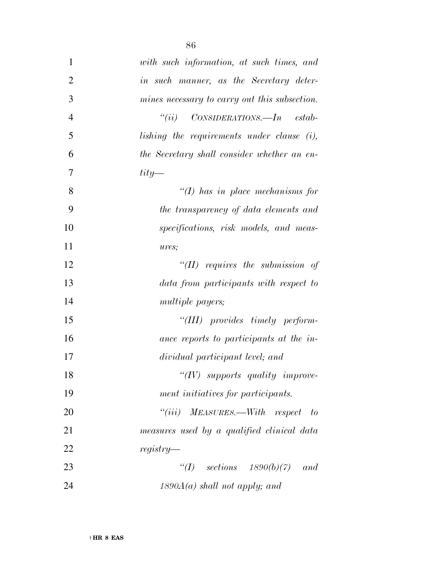| 1              | with such information, at such times, and     |
|----------------|-----------------------------------------------|
| $\overline{2}$ | in such manner, as the Secretary deter-       |
| 3              | mines necessary to carry out this subsection. |
| $\overline{4}$ | "(ii) $CONSIDERATIONS. - In estab-$           |
| 5              | lishing the requirements under clause $(i)$ , |
| 6              | the Secretary shall consider whether an en-   |
| 7              | $\frac{tity}{t}$                              |
| 8              | $\lq (I)$ has in place mechanisms for         |
| 9              | the transparency of data elements and         |
| 10             | specifications, risk models, and meas-        |
| 11             | ures;                                         |
| 12             | " $(II)$ requires the submission of           |
| 13             | data from participants with respect to        |
| 14             | <i>multiple payers;</i>                       |
| 15             | $``(III)$ provides timely perform-            |
| 16             | ance reports to participants at the in-       |
| 17             | dividual participant level; and               |
| 18             | $``(IV)$ supports quality improve-            |
| 19             | ment initiatives for participants.            |
| 20             | $``(iii)$ MEASURES.—With respect to           |
| 21             | measures used by a qualified clinical data    |
| 22             | $registery$ —                                 |
| 23             | "(I) sections $1890(b)(7)$ and                |
| 24             | $1890A(a)$ shall not apply; and               |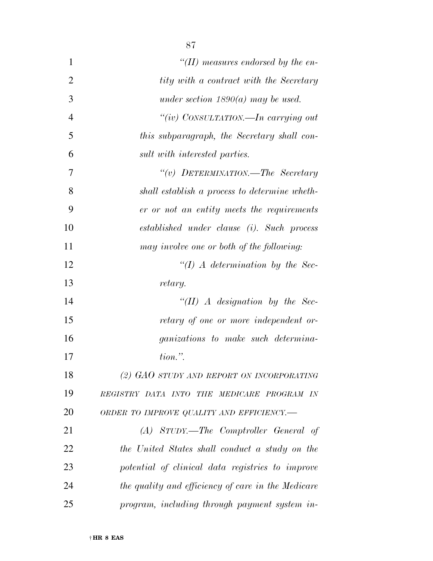| $\mathbf{1}$   | "(II) measures endorsed by the en-                 |
|----------------|----------------------------------------------------|
| $\overline{2}$ | tity with a contract with the Secretary            |
| 3              | under section $1890(a)$ may be used.               |
| $\overline{4}$ | "(iv) CONSULTATION.—In carrying out                |
| 5              | this subparagraph, the Secretary shall con-        |
| 6              | sult with interested parties.                      |
| 7              | "(v) DETERMINATION.—The Secretary                  |
| 8              | shall establish a process to determine wheth-      |
| 9              | er or not an entity meets the requirements         |
| 10             | established under clause (i). Such process         |
| 11             | may involve one or both of the following:          |
| 12             | $\lq (I)$ A determination by the Sec-              |
| 13             | retary.                                            |
| 14             | $``(II)$ A designation by the Sec-                 |
| 15             | retary of one or more independent or-              |
| 16             | <i>ganizations</i> to make such determina-         |
| 17             | $tion.$ ".                                         |
| 18             | (2) GAO STUDY AND REPORT ON INCORPORATING          |
| 19             | REGISTRY DATA INTO THE MEDICARE PROGRAM IN         |
| 20             | ORDER TO IMPROVE QUALITY AND EFFICIENCY.-          |
| 21             | (A) STUDY.—The Comptroller General of              |
| 22             | the United States shall conduct a study on the     |
| 23             | potential of clinical data registries to improve   |
| 24             | the quality and efficiency of care in the Medicare |
| 25             | program, including through payment system in-      |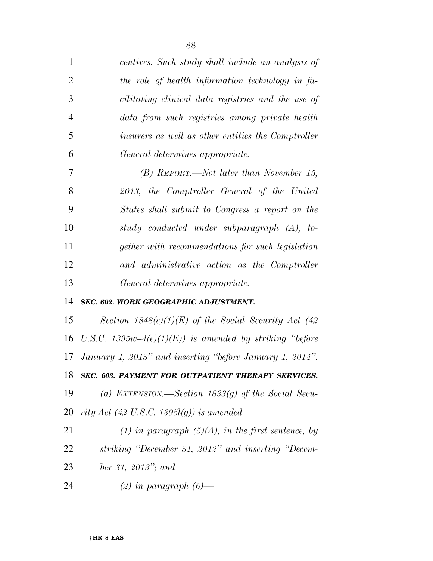| 1              | centives. Such study shall include an analysis of          |
|----------------|------------------------------------------------------------|
| $\overline{2}$ | the role of health information technology in fa-           |
| 3              | cilitating clinical data registries and the use of         |
| $\overline{4}$ | data from such registries among private health             |
| 5              | insurers as well as other entities the Comptroller         |
| 6              | General determines appropriate.                            |
| 7              | $(B)$ REPORT.—Not later than November 15,                  |
| 8              | 2013, the Comptroller General of the United                |
| 9              | States shall submit to Congress a report on the            |
| 10             | study conducted under subparagraph (A), to-                |
| 11             | gether with recommendations for such legislation           |
| 12             | and administrative action as the Comptroller               |
| 13             | General determines appropriate.                            |
| 14             | SEC. 602. WORK GEOGRAPHIC ADJUSTMENT.                      |
| 15             | Section $1848(e)(1)(E)$ of the Social Security Act (42)    |
| 16             | U.S.C. 1395 $w-4(e)(1)(E)$ is amended by striking "before" |
| 17             | January 1, 2013" and inserting "before January 1, 2014".   |
|                | 18 SEC. 603. PAYMENT FOR OUTPATIENT THERAPY SERVICES.      |
| 19             | (a) EXTENSION.—Section 1833(g) of the Social Secu-         |
| 20             | rity Act (42 U.S.C. 1395l(g)) is amended—                  |
| 21             | (1) in paragraph $(5)(A)$ , in the first sentence, by      |
| 22             | striking "December 31, 2012" and inserting "Decem-         |
| 23             | ber 31, 2013"; and                                         |

*(2) in paragraph (6)—*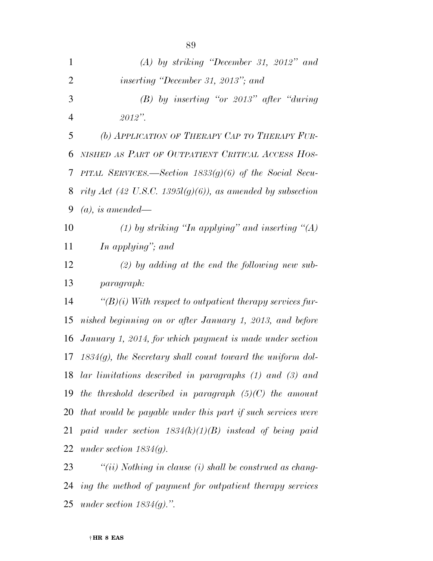| $\mathbf{1}$   | $(A)$ by striking "December 31, 2012" and                         |
|----------------|-------------------------------------------------------------------|
| $\overline{2}$ | <i>inserting "December 31, 2013"; and</i>                         |
| 3              | $(B)$ by inserting "or 2013" after "during                        |
| $\overline{4}$ | $2012$ ".                                                         |
| 5              | (b) APPLICATION OF THERAPY CAP TO THERAPY FUR-                    |
| 6              | NISHED AS PART OF OUTPATIENT CRITICAL ACCESS HOS-                 |
| 7              | PITAL SERVICES.—Section $1833(g)(6)$ of the Social Secu-          |
| 8              | rity Act (42 U.S.C. 1395l(g)(6)), as amended by subsection        |
| 9              | $(a)$ , is amended—                                               |
| 10             | (1) by striking "In applying" and inserting "(A)                  |
| 11             | In applying"; and                                                 |
| 12             | $(2)$ by adding at the end the following new sub-                 |
| 13             | paragraph:                                                        |
| 14             | $\lq (B)(i)$ With respect to outpatient therapy services fur-     |
| 15             | nished beginning on or after January 1, 2013, and before          |
| 16             | January 1, 2014, for which payment is made under section          |
|                | 17 1834 $(g)$ , the Secretary shall count toward the uniform dol- |
|                | 18 lar limitations described in paragraphs (1) and (3) and        |
| 19             | the threshold described in paragraph $(5)(C)$ the amount          |
| 20             | that would be payable under this part if such services were       |
| 21             | paid under section $1834(k)(1)(B)$ instead of being paid          |
| 22             | under section $1834(g)$ .                                         |
| 23             | "(ii) Nothing in clause (i) shall be construed as chang-          |

 *ing the method of payment for outpatient therapy services under section 1834(g).''.*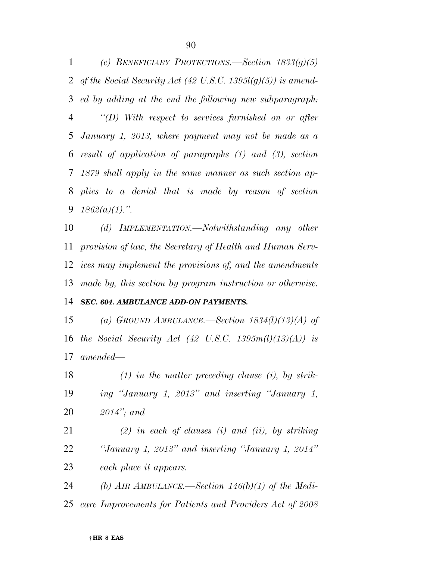*(c) BENEFICIARY PROTECTIONS.—Section 1833(g)(5) of the Social Security Act (42 U.S.C. 1395l(g)(5)) is amend- ed by adding at the end the following new subparagraph: ''(D) With respect to services furnished on or after January 1, 2013, where payment may not be made as a result of application of paragraphs (1) and (3), section 1879 shall apply in the same manner as such section ap- plies to a denial that is made by reason of section 1862(a)(1).''.* 

 *(d) IMPLEMENTATION.—Notwithstanding any other provision of law, the Secretary of Health and Human Serv- ices may implement the provisions of, and the amendments made by, this section by program instruction or otherwise.* 

#### *SEC. 604. AMBULANCE ADD-ON PAYMENTS.*

 *(a) GROUND AMBULANCE.—Section 1834(l)(13)(A) of the Social Security Act (42 U.S.C. 1395m(l)(13)(A)) is amended—* 

 *(1) in the matter preceding clause (i), by strik- ing ''January 1, 2013'' and inserting ''January 1, 2014''; and* 

 *(2) in each of clauses (i) and (ii), by striking ''January 1, 2013'' and inserting ''January 1, 2014'' each place it appears.* 

*(b) AIR AMBULANCE.—Section 146(b)(1) of the Medi-*

*care Improvements for Patients and Providers Act of 2008*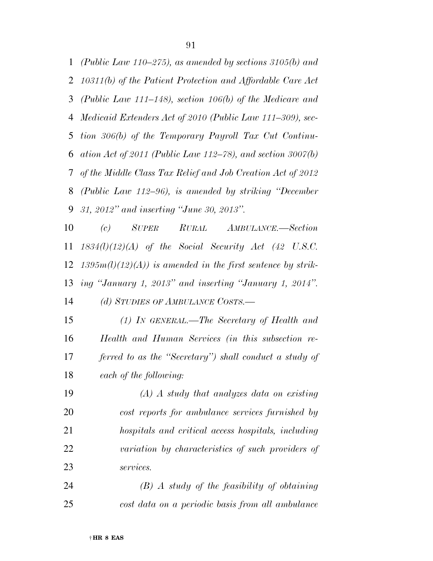*(Public Law 110–275), as amended by sections 3105(b) and 10311(b) of the Patient Protection and Affordable Care Act (Public Law 111–148), section 106(b) of the Medicare and Medicaid Extenders Act of 2010 (Public Law 111–309), sec- tion 306(b) of the Temporary Payroll Tax Cut Continu- ation Act of 2011 (Public Law 112–78), and section 3007(b) of the Middle Class Tax Relief and Job Creation Act of 2012 (Public Law 112–96), is amended by striking ''December 31, 2012'' and inserting ''June 30, 2013''.* 

 *(c) SUPER RURAL AMBULANCE.—Section 1834(l)(12)(A) of the Social Security Act (42 U.S.C. 1395m(l)(12)(A)) is amended in the first sentence by strik- ing ''January 1, 2013'' and inserting ''January 1, 2014''. (d) STUDIES OF AMBULANCE COSTS.—* 

 *(1) IN GENERAL.—The Secretary of Health and Health and Human Services (in this subsection re- ferred to as the ''Secretary'') shall conduct a study of each of the following:* 

 *(A) A study that analyzes data on existing cost reports for ambulance services furnished by hospitals and critical access hospitals, including variation by characteristics of such providers of services.* 

 *(B) A study of the feasibility of obtaining cost data on a periodic basis from all ambulance*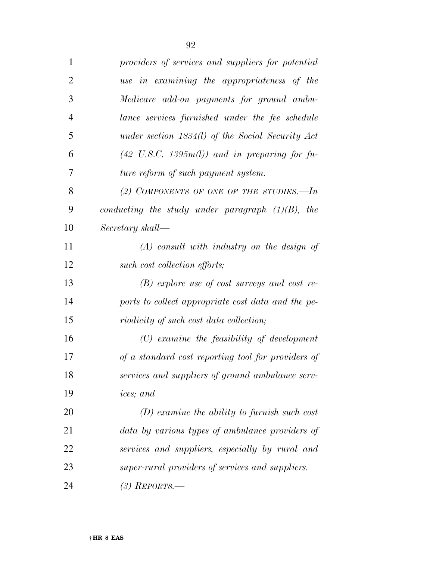| $\mathbf{1}$   | providers of services and suppliers for potential        |
|----------------|----------------------------------------------------------|
| $\overline{2}$ | use in examining the appropriateness of the              |
| 3              | Medicare add-on payments for ground ambu-                |
| $\overline{4}$ | lance services furnished under the fee schedule          |
| 5              | under section $1834(l)$ of the Social Security Act       |
| 6              | $(42 \text{ U.S.C. } 1395m(l))$ and in preparing for fu- |
| 7              | ture reform of such payment system.                      |
| 8              | (2) COMPONENTS OF ONE OF THE STUDIES.—In                 |
| 9              | conducting the study under paragraph $(1)(B)$ , the      |
| 10             | Secretary shall—                                         |
| 11             | $(A)$ consult with industry on the design of             |
| 12             | such cost collection efforts;                            |
| 13             | $(B)$ explore use of cost surveys and cost re-           |
| 14             | ports to collect appropriate cost data and the pe-       |
| 15             | riodicity of such cost data collection;                  |
| 16             | $(C)$ examine the feasibility of development             |
| 17             | of a standard cost reporting tool for providers of       |
| 18             | services and suppliers of ground ambulance serv-         |
| 19             | <i>ices</i> ; and                                        |
| 20             | $(D)$ examine the ability to furnish such cost           |
| 21             | data by various types of ambulance providers of          |
| 22             | services and suppliers, especially by rural and          |
| 23             | super-rural providers of services and suppliers.         |
| 24             | $(3)$ REPORTS.—                                          |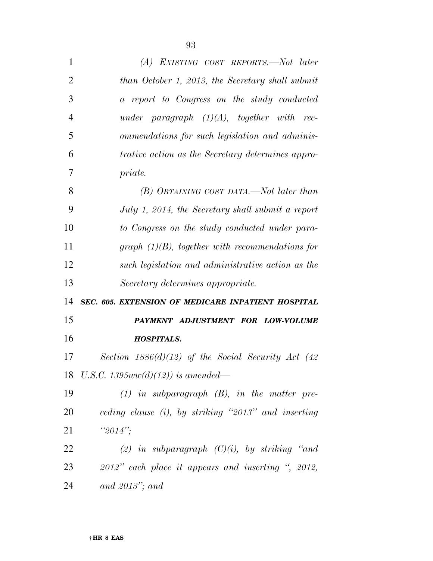| 1              | (A) EXISTING COST REPORTS.—Not later                  |
|----------------|-------------------------------------------------------|
| 2              | than October 1, 2013, the Secretary shall submit      |
| 3              | a report to Congress on the study conducted           |
| $\overline{4}$ | under paragraph $(1)(A)$ , together with rec-         |
| 5              | ommendations for such legislation and adminis-        |
| 6              | trative action as the Secretary determines appro-     |
| 7              | priate.                                               |
| 8              | (B) OBTAINING COST DATA,—Not later than               |
| 9              | July 1, 2014, the Secretary shall submit a report     |
| 10             | to Congress on the study conducted under para-        |
| 11             | graph $(1)(B)$ , together with recommendations for    |
| 12             | such legislation and administrative action as the     |
|                |                                                       |
| 13             | Secretary determines appropriate.                     |
| 14             | SEC. 605. EXTENSION OF MEDICARE INPATIENT HOSPITAL    |
|                | PAYMENT ADJUSTMENT FOR LOW-VOLUME                     |
| 15<br>16       | <b>HOSPITALS.</b>                                     |
|                | Section $1886(d)(12)$ of the Social Security Act (42) |
| 17             | 18 U.S.C. 1395 $ww(d)(12)$ ) is amended—              |
| 19             | $(1)$ in subparagraph $(B)$ , in the matter pre-      |
|                | ceding clause (i), by striking "2013" and inserting   |
|                | " $2014$ ";                                           |
| 20<br>21<br>22 | (2) in subparagraph $(C)(i)$ , by striking "and       |
| 23             | 2012" each place it appears and inserting ", 2012,    |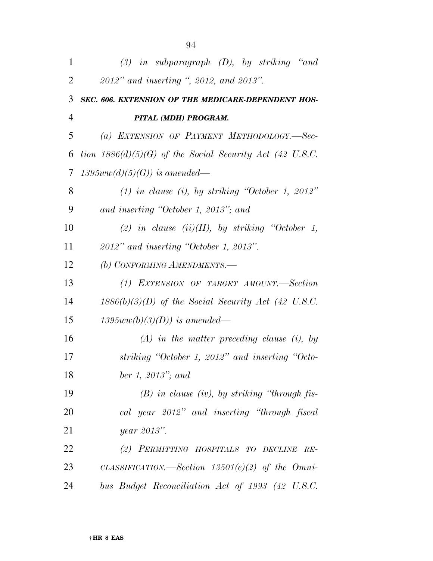| 1  | $(3)$ in subparagraph $(D)$ , by striking "and             |
|----|------------------------------------------------------------|
| 2  | 2012" and inserting ", 2012, and 2013".                    |
| 3  | SEC. 606. EXTENSION OF THE MEDICARE-DEPENDENT HOS-         |
| 4  | PITAL (MDH) PROGRAM.                                       |
| 5  | (a) EXTENSION OF PAYMENT METHODOLOGY.-Sec-                 |
| 6  | tion $1886(d)(5)(G)$ of the Social Security Act (42 U.S.C. |
| 7  | $1395ww(d)(5)(G))$ is amended—                             |
| 8  | $(1)$ in clause (i), by striking "October 1, 2012"         |
| 9  | and inserting "October 1, 2013"; and                       |
| 10 | (2) in clause (ii)(II), by striking "October 1,            |
| 11 | $2012"$ and inserting "October 1, 2013".                   |
| 12 | (b) CONFORMING AMENDMENTS.-                                |
| 13 | (1) EXTENSION OF TARGET AMOUNT.—Section                    |
| 14 | $1886(b)(3)(D)$ of the Social Security Act (42 U.S.C.      |
| 15 | $1395ww(b)(3)(D))$ is amended—                             |
| 16 | $(A)$ in the matter preceding clause (i), by               |
| 17 | striking "October 1, 2012" and inserting "Octo-            |
| 18 | ber 1, $2013$ "; and                                       |
| 19 | $(B)$ in clause (iv), by striking "through fis-            |
| 20 | cal year 2012" and inserting "through fiscal               |
| 21 | year 2013".                                                |
| 22 | (2) PERMITTING HOSPITALS TO DECLINE RE-                    |
| 23 | CLASSIFICATION.—Section $13501(e)(2)$ of the Omni-         |
| 24 | bus Budget Reconciliation Act of 1993 (42 U.S.C.           |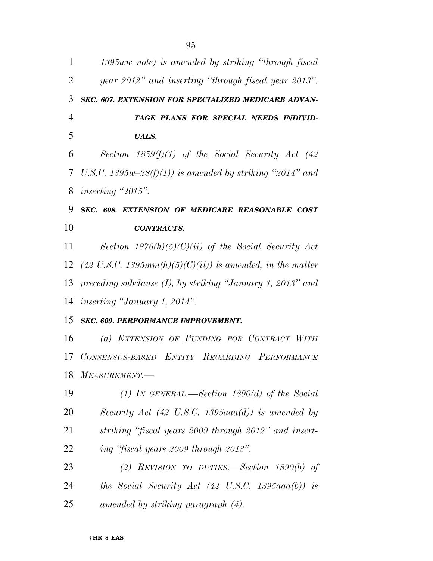| $\mathbf{1}$   | 1395ww note) is amended by striking "through fiscal           |
|----------------|---------------------------------------------------------------|
| $\overline{2}$ | year 2012" and inserting "through fiscal year 2013".          |
| 3              | SEC. 607. EXTENSION FOR SPECIALIZED MEDICARE ADVAN-           |
| $\overline{4}$ | TAGE PLANS FOR SPECIAL NEEDS INDIVID-                         |
| 5              | <b>UALS.</b>                                                  |
| 6              | Section $1859(f)(1)$ of the Social Security Act (42)          |
| 7              | U.S.C. 1395w-28(f)(1)) is amended by striking "2014" and      |
| 8              | <i>inserting</i> "2015".                                      |
| 9              | SEC. 608. EXTENSION OF MEDICARE REASONABLE COST               |
| 10             | <b>CONTRACTS.</b>                                             |
| 11             | Section $1876(h)(5)(C)(ii)$ of the Social Security Act        |
|                | 12 (42 U.S.C. 1395mm(h)(5)(C)(ii)) is amended, in the matter  |
| 13             | preceding subclause $(I)$ , by striking "January 1, 2013" and |
|                | 14 <i>inserting "January 1, 2014"</i> .                       |
| 15             | <b>SEC. 609. PERFORMANCE IMPROVEMENT.</b>                     |
| 16             | (a) EXTENSION OF FUNDING FOR CONTRACT WITH                    |
| 17             | CONSENSUS-BASED ENTITY REGARDING PERFORMANCE                  |
|                | 18 MEASUREMENT.                                               |
| 19             | (1) IN GENERAL.—Section 1890(d) of the Social                 |
| 20             | Security Act (42 U.S.C. 1395 $aaa(d)$ ) is amended by         |
| 21             | striking "fiscal years 2009 through 2012" and insert-         |
| 22             | ing "fiscal years 2009 through 2013".                         |
| 23             | (2) REVISION TO DUTIES.—Section $1890(b)$ of                  |
| 24             | the Social Security Act $(42 \text{ U.S.C. } 1395aaa(b))$ is  |
| 25             | amended by striking paragraph (4).                            |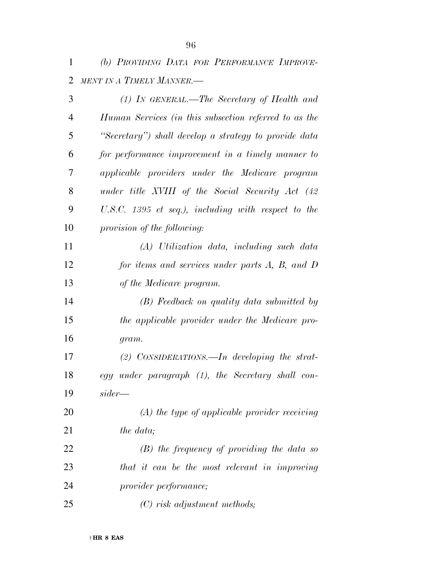*(b) PROVIDING DATA FOR PERFORMANCE IMPROVE-MENT IN A TIMELY MANNER.—* 

| 3  | $(1)$ In GENERAL.—The Secretary of Health and         |
|----|-------------------------------------------------------|
| 4  | Human Services (in this subsection referred to as the |
| 5  | "Secretary") shall develop a strategy to provide data |
| 6  | for performance improvement in a timely manner to     |
| 7  | applicable providers under the Medicare program       |
| 8  | under title XVIII of the Social Security Act (42      |
| 9  | U.S.C. 1395 et seq.), including with respect to the   |
| 10 | provision of the following:                           |
| 11 | (A) Utilization data, including such data             |
| 12 | for items and services under parts A, B, and D        |
| 13 | of the Medicare program.                              |
| 14 | (B) Feedback on quality data submitted by             |
| 15 | the applicable provider under the Medicare pro-       |
| 16 | gram.                                                 |
| 17 | $(2)$ CONSIDERATIONS.—In developing the strat-        |
| 18 | egy under paragraph (1), the Secretary shall con-     |
| 19 | $sider -$                                             |
| 20 | $(A)$ the type of applicable provider receiving       |
| 21 | the data;                                             |
| 22 | $(B)$ the frequency of providing the data so          |
| 23 | that it can be the most relevant in improving         |
| 24 | provider performance;                                 |
| 25 | $(C)$ risk adjustment methods;                        |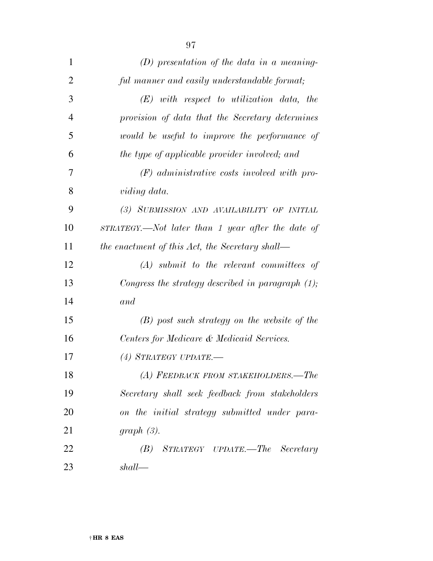| $\mathbf{1}$   | $(D)$ presentation of the data in a meaning-         |
|----------------|------------------------------------------------------|
| $\overline{2}$ | ful manner and easily understandable format;         |
| 3              | $(E)$ with respect to utilization data, the          |
| 4              | provision of data that the Secretary determines      |
| 5              | would be useful to improve the performance of        |
| 6              | the type of applicable provider involved; and        |
| 7              | $(F)$ administrative costs involved with pro-        |
| 8              | viding data.                                         |
| 9              | (3) SUBMISSION AND AVAILABILITY OF INITIAL           |
| 10             | STRATEGY.—Not later than 1 year after the date of    |
| 11             | the enactment of this Act, the Secretary shall—      |
| 12             | $(A)$ submit to the relevant committees of           |
| 13             | Congress the strategy described in paragraph $(1)$ ; |
| 14             | and                                                  |
| 15             | $(B)$ post such strategy on the website of the       |
| 16             | Centers for Medicare & Medicaid Services.            |
| 17             | (4) STRATEGY UPDATE.—                                |
| 18             | (A) FEEDBACK FROM STAKEHOLDERS.-The                  |
| 19             | Secretary shall seek feedback from stakeholders      |
| 20             | on the initial strategy submitted under para-        |
| 21             | $graph(3)$ .                                         |
| 22             | (B) STRATEGY UPDATE.—The Secretary                   |
| 23             | shall                                                |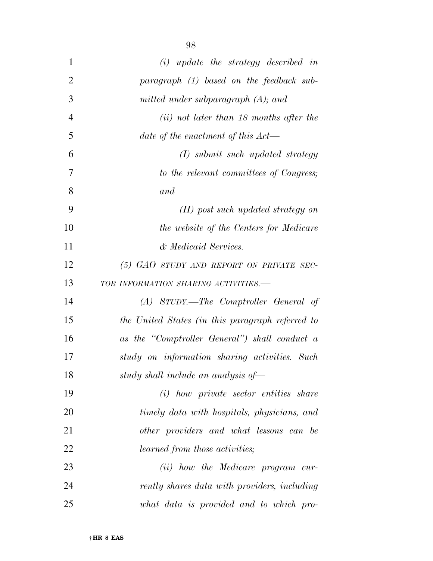| $\mathbf{1}$   | $(i)$ update the strategy described in           |
|----------------|--------------------------------------------------|
| $\overline{2}$ | paragraph (1) based on the feedback sub-         |
| 3              | mitted under subparagraph $(A)$ ; and            |
| $\overline{4}$ | $(ii)$ not later than 18 months after the        |
| 5              | date of the enactment of this $Act$ —            |
| 6              | $(I)$ submit such updated strategy               |
| 7              | to the relevant committees of Congress;          |
| 8              | and                                              |
| 9              | $(II)$ post such updated strategy on             |
| 10             | the website of the Centers for Medicare          |
| 11             | & Medicaid Services.                             |
| 12             | (5) GAO STUDY AND REPORT ON PRIVATE SEC-         |
| 13             | TOR INFORMATION SHARING ACTIVITIES.-             |
| 14             | (A) STUDY.—The Comptroller General of            |
| 15             | the United States (in this paragraph referred to |
| 16             | as the "Comptroller General") shall conduct a    |
| 17             | study on information sharing activities. Such    |
| 18             | study shall include an analysis of-              |
| 19             | (i) how private sector entities share            |
| 20             | timely data with hospitals, physicians, and      |
| 21             | other providers and what lessons can be          |
| 22             | <i>learned from those activities;</i>            |
| 23             | (ii) how the Medicare program cur-               |
| 24             | rently shares data with providers, including     |
| 25             | what data is provided and to which pro-          |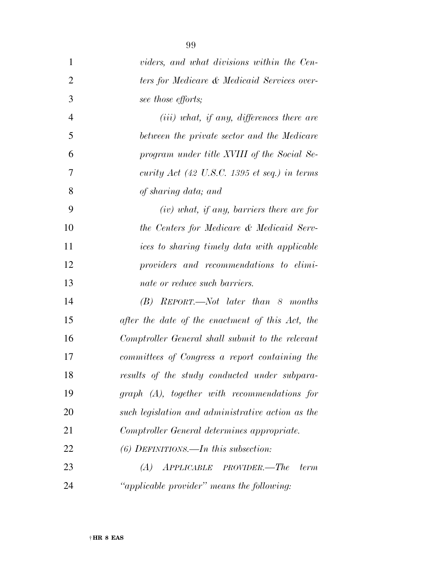| $\mathbf{1}$   | viders, and what divisions within the Cen-        |
|----------------|---------------------------------------------------|
| $\overline{2}$ | ters for Medicare & Medicaid Services over-       |
| 3              | see those efforts;                                |
| $\overline{4}$ | $(iii)$ what, if any, differences there are       |
| 5              | between the private sector and the Medicare       |
| 6              | program under title XVIII of the Social Se-       |
| 7              | curity Act (42 U.S.C. 1395 et seq.) in terms      |
| 8              | of sharing data; and                              |
| 9              | $(iv)$ what, if any, barriers there are for       |
| 10             | the Centers for Medicare & Medicaid Serv-         |
| 11             | ices to sharing timely data with applicable       |
| 12             | providers and recommendations to elimi-           |
| 13             | nate or reduce such barriers.                     |
| 14             | $(B)$ REPORT.—Not later than 8 months             |
| 15             | after the date of the enactment of this Act, the  |
| 16             | Comptroller General shall submit to the relevant  |
| 17             | committees of Congress a report containing the    |
| 18             | results of the study conducted under subpara-     |
| 19             | $graph (A)$ , together with recommendations for   |
| 20             | such legislation and administrative action as the |
| 21             | Comptroller General determines appropriate.       |
| 22             | $(6)$ DEFINITIONS.—In this subsection:            |
| 23             | $(A)$ APPLICABLE PROVIDER.—The<br><i>term</i>     |
| 24             | "applicable provider" means the following:        |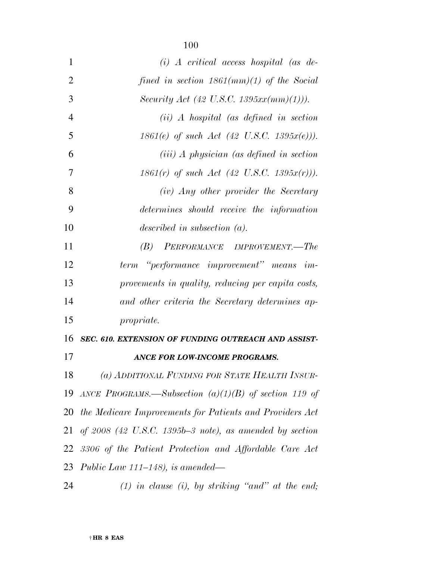| $\mathbf{1}$   | $(i)$ A critical access hospital (as de-                  |
|----------------|-----------------------------------------------------------|
| $\overline{2}$ | fined in section $1861(mm)(1)$ of the Social              |
| 3              | Security Act (42 U.S.C. 1395 $xx(mm)(1))$ ).              |
| $\overline{4}$ | $(ii)$ A hospital (as defined in section                  |
| 5              | $1861(e)$ of such Act (42 U.S.C. 1395 $x(e)$ )).          |
| 6              | $(iii)$ A physician (as defined in section                |
| 7              | $1861(r)$ of such Act (42 U.S.C. $1395x(r)$ )).           |
| 8              | (iv) Any other provider the Secretary                     |
| 9              | determines should receive the information                 |
| 10             | described in subsection $(a)$ .                           |
| 11             | (B) PERFORMANCE IMPROVEMENT.—The                          |
| 12             | term "performance improvement" means im-                  |
| 13             | provements in quality, reducing per capita costs,         |
| 14             | and other criteria the Secretary determines ap-           |
| 15             | <i>propriate.</i>                                         |
| 16             | SEC. 610. EXTENSION OF FUNDING OUTREACH AND ASSIST-       |
| 17             | <b>ANCE FOR LOW-INCOME PROGRAMS.</b>                      |
| 18             | (a) ADDITIONAL FUNDING FOR STATE HEALTH INSUR-            |
| 19             | ANCE PROGRAMS.—Subsection $(a)(1)(B)$ of section 119 of   |
| 20             | the Medicare Improvements for Patients and Providers Act  |
| 21             | of $2008$ (42 U.S.C. 1395b-3 note), as amended by section |
| 22             | 3306 of the Patient Protection and Affordable Care Act    |
| 23             | Public Law $111-148$ ), is amended—                       |

*(1) in clause (i), by striking ''and'' at the end;*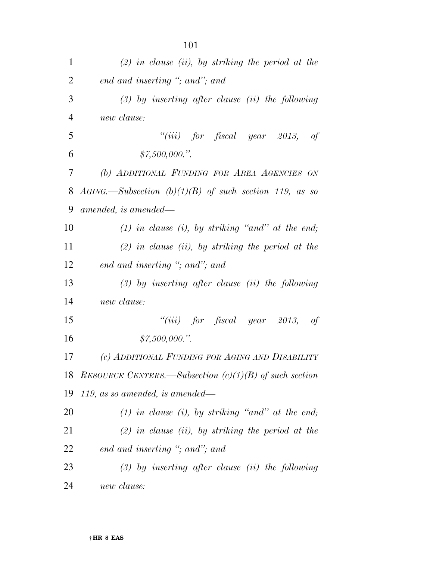| $\mathbf{1}$   | $(2)$ in clause (ii), by striking the period at the      |
|----------------|----------------------------------------------------------|
| $\overline{2}$ | end and inserting "; and"; and                           |
| 3              | $(3)$ by inserting after clause (ii) the following       |
| 4              | new clause:                                              |
| 5              | "(iii) for fiscal year 2013, of                          |
| 6              | \$7,500,000."                                            |
| 7              | (b) ADDITIONAL FUNDING FOR AREA AGENCIES ON              |
| 8              | $AGING$ —Subsection (b)(1)(B) of such section 119, as so |
| 9              | amended, is amended—                                     |
| 10             | $(1)$ in clause $(i)$ , by striking "and" at the end;    |
| 11             | $(2)$ in clause (ii), by striking the period at the      |
| 12             | end and inserting "; and"; and                           |
| 13             | $(3)$ by inserting after clause (ii) the following       |
| 14             | new clause:                                              |
| 15             | "(iii) for fiscal year 2013, of                          |
| 16             | \$7,500,000."                                            |
| 17             | (c) ADDITIONAL FUNDING FOR AGING AND DISABILITY          |
| 18             | RESOURCE CENTERS.—Subsection $(c)(1)(B)$ of such section |
| 19             | $119$ , as so amended, is amended—                       |
| 20             | $(1)$ in clause (i), by striking "and" at the end;       |
| 21             | $(2)$ in clause (ii), by striking the period at the      |
| 22             | end and inserting "; and"; and                           |
| 23             | $(3)$ by inserting after clause (ii) the following       |
| 24             | new clause:                                              |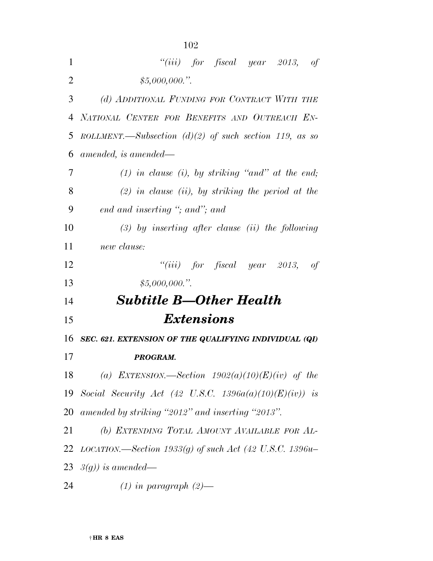| 1              | "(iii) for fiscal year 2013, of                                   |
|----------------|-------------------------------------------------------------------|
| $\overline{2}$ | \$5,000,000."                                                     |
| 3              | (d) ADDITIONAL FUNDING FOR CONTRACT WITH THE                      |
| 4              | NATIONAL CENTER FOR BENEFITS AND OUTREACH EN-                     |
| 5              | ROLLMENT.—Subsection $(d)(2)$ of such section 119, as so          |
| 6              | amended, is amended—                                              |
| 7              | $(1)$ in clause (i), by striking "and" at the end;                |
| 8              | $(2)$ in clause (ii), by striking the period at the               |
| 9              | end and inserting "; and"; and                                    |
| 10             | $(3)$ by inserting after clause (ii) the following                |
| 11             | new clause:                                                       |
| 12             | "(iii) for fiscal year 2013,<br>-of                               |
| 13             | \$5,000,000."                                                     |
| 14             | <b>Subtitle B—Other Health</b>                                    |
| 15             | <i>Extensions</i>                                                 |
| 16             | SEC. 621. EXTENSION OF THE QUALIFYING INDIVIDUAL (QI)             |
| 17             | PROGRAM.                                                          |
|                | 18 (a) EXTENSION.—Section $1902(a)(10)(E)(iv)$ of the             |
|                | 19 Social Security Act (42 U.S.C. 1396a(a)(10)(E)(iv)) is         |
|                | 20 amended by striking "2012" and inserting "2013".               |
| 21             | (b) EXTENDING TOTAL AMOUNT AVAILABLE FOR AL-                      |
|                | 22 <i>LOCATION.—Section 1933(g)</i> of such Act (42 U.S.C. 1396u- |
|                | 23 $\beta(g)$ ) is amended—                                       |
| 24             | $(1)$ in paragraph $(2)$ —                                        |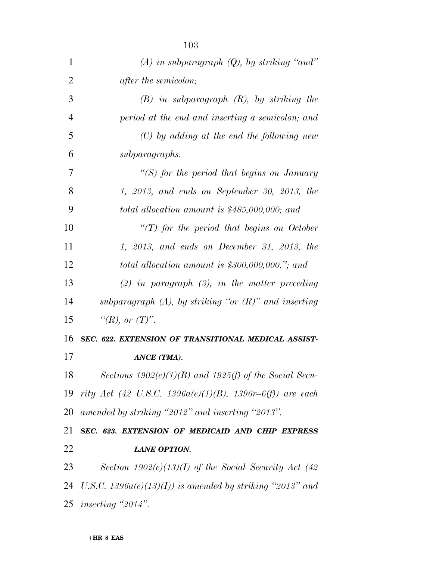| 1              | $(A)$ in subparagraph $(Q)$ , by striking "and"            |
|----------------|------------------------------------------------------------|
| $\overline{2}$ | <i>after the semicolon;</i>                                |
| 3              | $(B)$ in subparagraph $(R)$ , by striking the              |
| $\overline{4}$ | period at the end and inserting a semicolon; and           |
| 5              | $(C)$ by adding at the end the following new               |
| 6              | subparagraphs:                                             |
| 7              | "(S) for the period that begins on January                 |
| 8              | $1, 2013,$ and ends on September 30, 2013, the             |
| 9              | total allocation amount is $$485,000,000;$ and             |
| 10             | $\lq (T)$ for the period that begins on October            |
| 11             | $1, 2013,$ and ends on December 31, 2013, the              |
| 12             | total allocation amount is $$300,000,000."$ ; and          |
| 13             | $(2)$ in paragraph $(3)$ , in the matter preceding         |
| 14             | subparagraph $(A)$ , by striking "or $(R)$ " and inserting |
| 15             | " $(R)$ , or $(T)$ ".                                      |
| 16             | SEC. 622. EXTENSION OF TRANSITIONAL MEDICAL ASSIST-        |
| 17             | ANCE (TMA).                                                |
| 18             | Sections $1902(e)(1)(B)$ and $1925(f)$ of the Social Secu- |
| 19             | rity Act (42 U.S.C. 1396a(e)(1)(B), 1396r-6(f)) are each   |
| 20             | amended by striking "2012" and inserting "2013".           |
| 21             | SEC. 623. EXTENSION OF MEDICAID AND CHIP EXPRESS           |
| 22             | <b>LANE OPTION.</b>                                        |
| 23             | Section $1902(e)(13)(I)$ of the Social Security Act (42)   |
| 24             | U.S.C. $1396a(e)(13)(I)$ is amended by striking "2013" and |
|                |                                                            |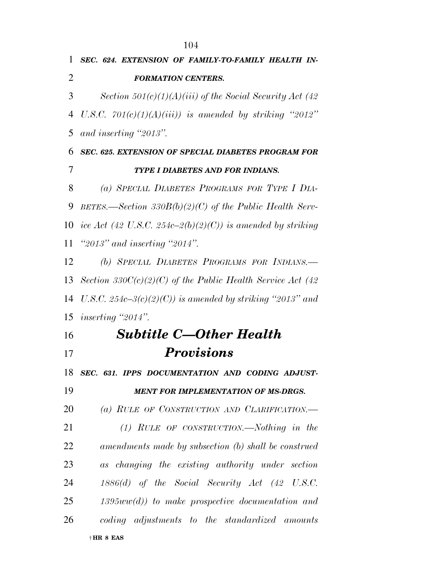*SEC. 624. EXTENSION OF FAMILY-TO-FAMILY HEALTH IN- FORMATION CENTERS. Section 501(c)(1)(A)(iii) of the Social Security Act (42 U.S.C. 701(c)(1)(A)(iii)) is amended by striking ''2012'' and inserting ''2013''. SEC. 625. EXTENSION OF SPECIAL DIABETES PROGRAM FOR TYPE I DIABETES AND FOR INDIANS. (a) SPECIAL DIABETES PROGRAMS FOR TYPE I DIA- BETES.—Section 330B(b)(2)(C) of the Public Health Serv- ice Act (42 U.S.C. 254c–2(b)(2)(C)) is amended by striking ''2013'' and inserting ''2014''. (b) SPECIAL DIABETES PROGRAMS FOR INDIANS.— Section 330C(c)(2)(C) of the Public Health Service Act (42 U.S.C. 254c–3(c)(2)(C)) is amended by striking ''2013'' and inserting ''2014''. Subtitle C—Other Health Provisions SEC. 631. IPPS DOCUMENTATION AND CODING ADJUST- MENT FOR IMPLEMENTATION OF MS-DRGS. (a) RULE OF CONSTRUCTION AND CLARIFICATION.— (1) RULE OF CONSTRUCTION.—Nothing in the amendments made by subsection (b) shall be construed as changing the existing authority under section 1886(d) of the Social Security Act (42 U.S.C. 1395ww(d)) to make prospective documentation and coding adjustments to the standardized amounts*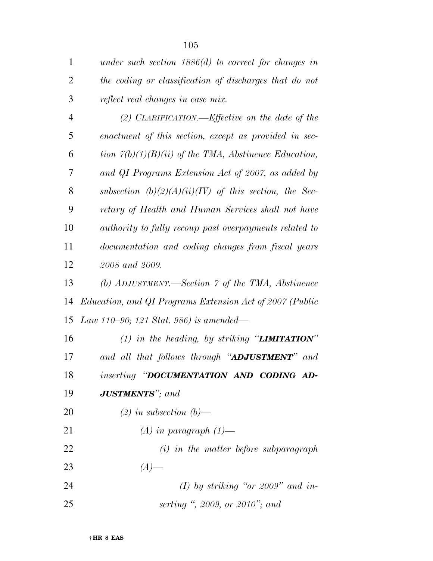| $\mathbf{1}$   | under such section $1886(d)$ to correct for changes in   |
|----------------|----------------------------------------------------------|
| $\overline{2}$ | the coding or classification of discharges that do not   |
| 3              | reflect real changes in case mix.                        |
| $\overline{4}$ | (2) CLARIFICATION.—Effective on the date of the          |
| 5              | enactment of this section, except as provided in sec-    |
| 6              | tion $7(b)(1)(B)(ii)$ of the TMA, Abstinence Education,  |
| 7              | and QI Programs Extension Act of 2007, as added by       |
| 8              | subsection $(b)(2)(A)(ii)(IV)$ of this section, the Sec- |
| 9              | retary of Health and Human Services shall not have       |
| 10             | authority to fully recoup past overpayments related to   |
| 11             | documentation and coding changes from fiscal years       |
| 12             | 2008 and 2009.                                           |
| 13             | (b) ADJUSTMENT.—Section $\gamma$ of the TMA, Abstinence  |
| 14             | Education, and QI Programs Extension Act of 2007 (Public |
| 15             | Law 110–90; 121 Stat. 986) is amended—                   |
| 16             | (1) in the heading, by striking " <b>LIMITATION</b> "    |
| 17             | and all that follows through "ADJUSTMENT" and            |
| 18             | inserting "DOCUMENTATION AND CODING AD-                  |
| 19             | <b>JUSTMENTS"</b> ; and                                  |
| 20             | $(2)$ in subsection $(b)$ —                              |
| 21             | $(A)$ in paragraph $(1)$ —                               |
| 22             | $(i)$ in the matter before subparagraph                  |
| 23             | $(A)$ —                                                  |
| 24             | (I) by striking "or 2009" and in-                        |
| 25             | serting ", 2009, or 2010"; and                           |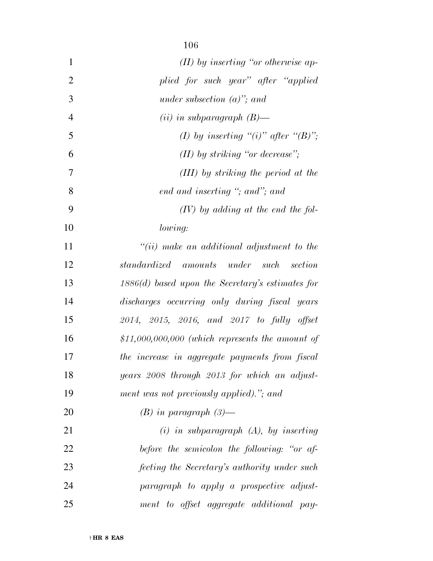| $\mathbf{1}$   | $(II)$ by inserting "or otherwise ap-               |
|----------------|-----------------------------------------------------|
| $\overline{2}$ | plied for such year" after "applied                 |
| 3              | under subsection $(a)$ "; and                       |
| $\overline{4}$ | $(ii)$ in subparagraph $(B)$ —                      |
| 5              | (I) by inserting "(i)" after "(B)";                 |
| 6              | $(II)$ by striking "or decrease";                   |
| 7              | (III) by striking the period at the                 |
| 8              | end and inserting "; and"; and                      |
| 9              | $(IV)$ by adding at the end the fol-                |
| 10             | lowing:                                             |
| 11             | $``(ii)$ make an additional adjustment to the       |
| 12             | standardized amounts under such section             |
| 13             | $1886(d)$ based upon the Secretary's estimates for  |
| 14             | discharges occurring only during fiscal years       |
| 15             | 2014, 2015, 2016, and 2017 to fully offset          |
| 16             | $$11,000,000,000$ (which represents the amount of   |
| 17             | the increase in aggregate payments from fiscal      |
| 18             | years 2008 through 2013 for which an adjust-        |
| 19             | ment was not previously applied)."; and             |
| 20             | $(B)$ in paragraph $(3)$ —                          |
| 21             | $(i)$ in subparagraph $(A)$ , by inserting          |
| 22             | before the semicolon the following: "or af-         |
| 23             | <i>fecting the Secretary's authority under such</i> |
| 24             | paragraph to apply a prospective adjust-            |
| 25             | ment to offset aggregate additional pay-            |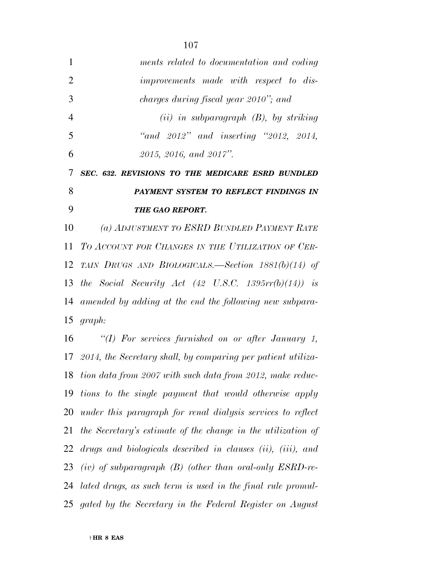| 1              | ments related to documentation and coding                   |
|----------------|-------------------------------------------------------------|
| $\overline{2}$ | improvements made with respect to dis-                      |
| 3              | charges during fiscal year 2010"; and                       |
| $\overline{4}$ | $(ii)$ in subparagraph $(B)$ , by striking                  |
| 5              | "and $2012$ " and inserting "2012, 2014,                    |
| 6              | 2015, 2016, and 2017".                                      |
| 7              | SEC. 632. REVISIONS TO THE MEDICARE ESRD BUNDLED            |
| 8              | PAYMENT SYSTEM TO REFLECT FINDINGS IN                       |
|                |                                                             |
| 9              | THE GAO REPORT.                                             |
| 10             | (a) ADJUSTMENT TO ESRD BUNDLED PAYMENT RATE                 |
| 11             | TO ACCOUNT FOR CHANGES IN THE UTILIZATION OF CER-           |
| 12             | TAIN DRUGS AND BIOLOGICALS.—Section $1881(b)(14)$ of        |
|                | 13 the Social Security Act (42 U.S.C. 1395 $rr(b)(14)$ ) is |
|                | 14 amended by adding at the end the following new subpara-  |
|                | 15 $graph:$                                                 |

 *2014, the Secretary shall, by comparing per patient utiliza- tion data from 2007 with such data from 2012, make reduc- tions to the single payment that would otherwise apply under this paragraph for renal dialysis services to reflect the Secretary's estimate of the change in the utilization of drugs and biologicals described in clauses (ii), (iii), and (iv) of subparagraph (B) (other than oral-only ESRD-re- lated drugs, as such term is used in the final rule promul-gated by the Secretary in the Federal Register on August*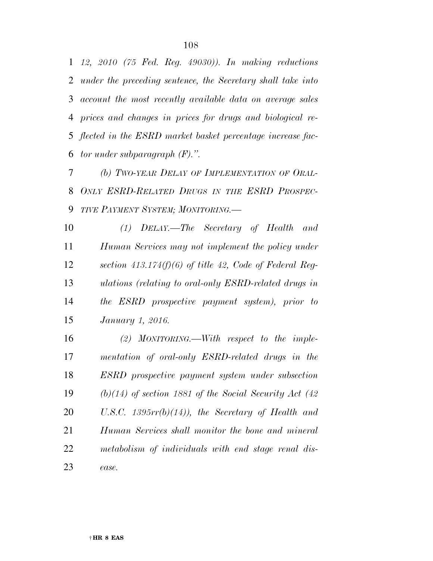*12, 2010 (75 Fed. Reg. 49030)). In making reductions under the preceding sentence, the Secretary shall take into account the most recently available data on average sales prices and changes in prices for drugs and biological re- flected in the ESRD market basket percentage increase fac-tor under subparagraph (F).''.* 

 *(b) TWO-YEAR DELAY OF IMPLEMENTATION OF ORAL- ONLY ESRD-RELATED DRUGS IN THE ESRD PROSPEC-TIVE PAYMENT SYSTEM; MONITORING.—* 

 *(1) DELAY.—The Secretary of Health and Human Services may not implement the policy under section 413.174(f)(6) of title 42, Code of Federal Reg- ulations (relating to oral-only ESRD-related drugs in the ESRD prospective payment system), prior to January 1, 2016.* 

 *(2) MONITORING.—With respect to the imple- mentation of oral-only ESRD-related drugs in the ESRD prospective payment system under subsection (b)(14) of section 1881 of the Social Security Act (42 U.S.C. 1395rr(b)(14)), the Secretary of Health and Human Services shall monitor the bone and mineral metabolism of individuals with end stage renal dis-ease.*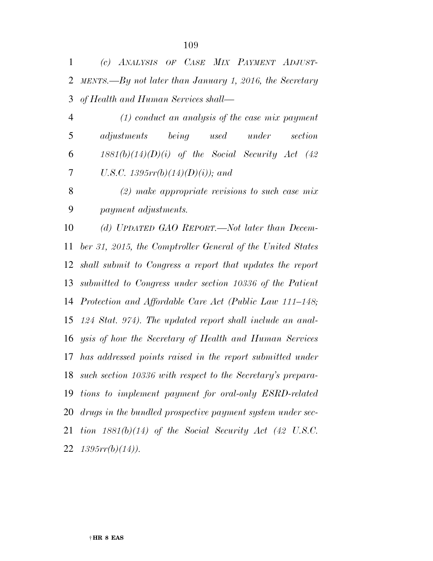*(c) ANALYSIS OF CASE MIX PAYMENT ADJUST- MENTS.—By not later than January 1, 2016, the Secretary of Health and Human Services shall—* 

 *(1) conduct an analysis of the case mix payment adjustments being used under section 1881(b)(14)(D)(i) of the Social Security Act (42 U.S.C. 1395rr(b)(14)(D)(i)); and* 

 *(2) make appropriate revisions to such case mix payment adjustments.* 

 *(d) UPDATED GAO REPORT.—Not later than Decem- ber 31, 2015, the Comptroller General of the United States shall submit to Congress a report that updates the report submitted to Congress under section 10336 of the Patient Protection and Affordable Care Act (Public Law 111–148; 124 Stat. 974). The updated report shall include an anal- ysis of how the Secretary of Health and Human Services has addressed points raised in the report submitted under such section 10336 with respect to the Secretary's prepara- tions to implement payment for oral-only ESRD-related drugs in the bundled prospective payment system under sec- tion 1881(b)(14) of the Social Security Act (42 U.S.C. 1395rr(b)(14)).*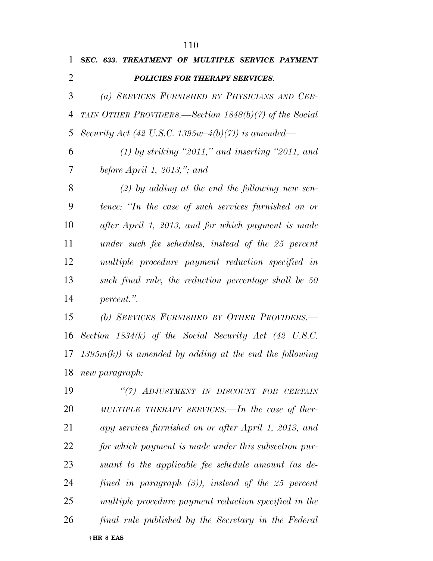| 1  | SEC. 633. TREATMENT OF MULTIPLE SERVICE PAYMENT          |
|----|----------------------------------------------------------|
| 2  | POLICIES FOR THERAPY SERVICES.                           |
| 3  | (a) SERVICES FURNISHED BY PHYSICIANS AND CER-            |
| 4  | TAIN OTHER PROVIDERS.—Section $1848(b)(7)$ of the Social |
| 5  | Security Act (42 U.S.C. 1395w-4(b)(7)) is amended—       |
| 6  | $(1)$ by striking "2011," and inserting "2011, and       |
| 7  | before $April 1, 2013," and$                             |
| 8  | $(2)$ by adding at the end the following new sen-        |
| 9  | tence: "In the case of such services furnished on or     |
| 10 | after April 1, 2013, and for which payment is made       |
| 11 | under such fee schedules, instead of the 25 percent      |
| 12 | multiple procedure payment reduction specified in        |
| 13 | such final rule, the reduction percentage shall be 50    |
| 14 | percent.".                                               |
| 15 | (b) SERVICES FURNISHED BY OTHER PROVIDERS.-              |
|    |                                                          |

 *Section 1834(k) of the Social Security Act (42 U.S.C. 1395m(k)) is amended by adding at the end the following new paragraph:* 

† **HR 8 EAS**  *''(7) ADJUSTMENT IN DISCOUNT FOR CERTAIN MULTIPLE THERAPY SERVICES.—In the case of ther- apy services furnished on or after April 1, 2013, and for which payment is made under this subsection pur- suant to the applicable fee schedule amount (as de- fined in paragraph (3)), instead of the 25 percent multiple procedure payment reduction specified in the final rule published by the Secretary in the Federal*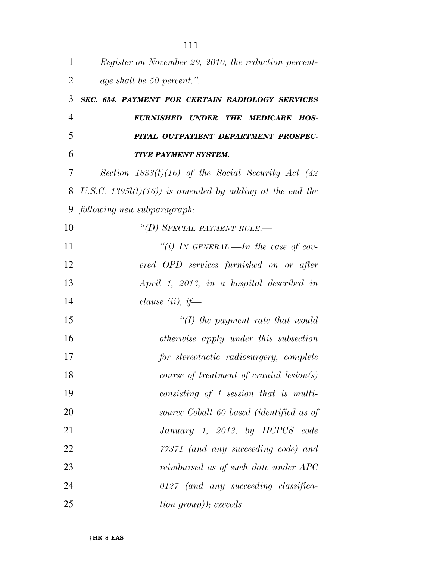| 1              | Register on November 29, 2010, the reduction percent-      |
|----------------|------------------------------------------------------------|
| $\overline{2}$ | age shall be 50 percent.".                                 |
| 3              | SEC. 634. PAYMENT FOR CERTAIN RADIOLOGY SERVICES           |
| $\overline{4}$ | <b>FURNISHED UNDER</b><br>THE MEDICARE<br>HOS-             |
| 5              | PITAL OUTPATIENT DEPARTMENT PROSPEC-                       |
| 6              | <b>TIVE PAYMENT SYSTEM.</b>                                |
| 7              | Section $1833(t)(16)$ of the Social Security Act (42)      |
| 8              | U.S.C. 1395 $l(t)(16)$ is amended by adding at the end the |
| 9              | following new subparagraph:                                |
| 10             | "(D) SPECIAL PAYMENT RULE.-                                |
| 11             | "(i) IN GENERAL.—In the case of cov-                       |
| 12             | ered OPD services furnished on or after                    |
| 13             | April 1, 2013, in a hospital described in                  |
| 14             | clause (ii), if—                                           |
| 15             | $\lq (I)$ the payment rate that would                      |
| 16             | otherwise apply under this subsection                      |
| 17             | for stereotactic radiosurgery, complete                    |
| 18             | $course\ of\ treatment\ of\ cranial\ lesion(s)$            |
| 19             | consisting of 1 session that is multi-                     |
| 20             | source Cobalt 60 based (identified as of                   |
| 21             | January 1, 2013, by HCPCS code                             |
| 22             | 77371 (and any succeeding code) and                        |
| 23             | reimbursed as of such date under APC                       |
| 24             | $0127$ (and any succeeding classifica-                     |
| 25             | <i>tion group)); exceeds</i>                               |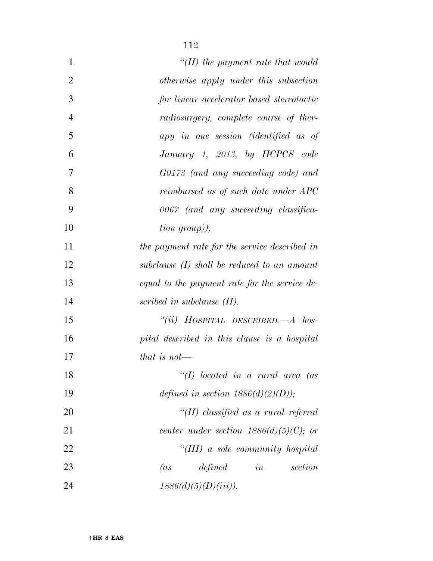| $\mathbf{1}$   | $H(H)$ the payment rate that would            |
|----------------|-----------------------------------------------|
| $\overline{2}$ | otherwise apply under this subsection         |
| 3              | for linear accelerator based stereotactic     |
| $\overline{4}$ | radiosurgery, complete course of ther-        |
| 5              | apy in one session (identified as of          |
| 6              | January 1, 2013, by HCPCS code                |
| 7              | G0173 (and any succeeding code) and           |
| 8              | reimbursed as of such date under APC          |
| 9              | 0067 (and any succeeding classifica-          |
| 10             | tion group),                                  |
| 11             | the payment rate for the service described in |
| 12             | subclause $(I)$ shall be reduced to an amount |
| 13             | equal to the payment rate for the service de- |
| 14             | scribed in subclause $(II)$ .                 |
| 15             | "(ii) HOSPITAL DESCRIBED.— $A$ hos-           |
| 16             | pital described in this clause is a hospital  |
| 17             | that is not—                                  |
| 18             | $\lq (I)$ located in a rural area (as         |
| 19             | defined in section $1886(d)(2)(D)$ ;          |
| 20             | "(II) classified as a rural referral          |
| 21             | center under section $1886(d)(5)(C)$ ; or     |
| 22             | "(III) a sole community hospital              |
| 23             | in<br>(as<br>defined<br>section               |
| 24             | $1886(d)(5)(D)(iii)$ ).                       |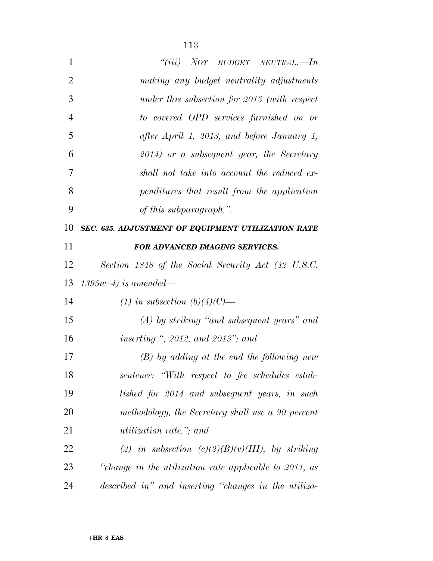| $\mathbf{1}$ | "(iii) NOT BUDGET NEUTRAL.—In                |
|--------------|----------------------------------------------|
| 2            | making any budget neutrality adjustments     |
| 3            | under this subsection for 2013 (with respect |
| 4            | to covered OPD services furnished on or      |

| 4 | to covered OPD services furnished on or      |
|---|----------------------------------------------|
| 5 | after April 1, 2013, and before January 1,   |
| 6 | $2014$ ) or a subsequent year, the Secretary |
| 7 | shall not take into account the reduced ex-  |
| 8 | penditures that result from the application  |
| 9 | of this subparagraph.".                      |

*SEC. 635. ADJUSTMENT OF EQUIPMENT UTILIZATION RATE* 

### *FOR ADVANCED IMAGING SERVICES.*

*Section 1848 of the Social Security Act (42 U.S.C.* 

*1395w–4) is amended—* 

*(1) in subsection (b)(4)(C)—* 

 *(A) by striking ''and subsequent years'' and inserting '', 2012, and 2013''; and* 

 *(B) by adding at the end the following new sentence: ''With respect to fee schedules estab- lished for 2014 and subsequent years, in such methodology, the Secretary shall use a 90 percent utilization rate.''; and* 

 *(2) in subsection (c)(2)(B)(v)(III), by striking ''change in the utilization rate applicable to 2011, as described in'' and inserting ''changes in the utiliza-*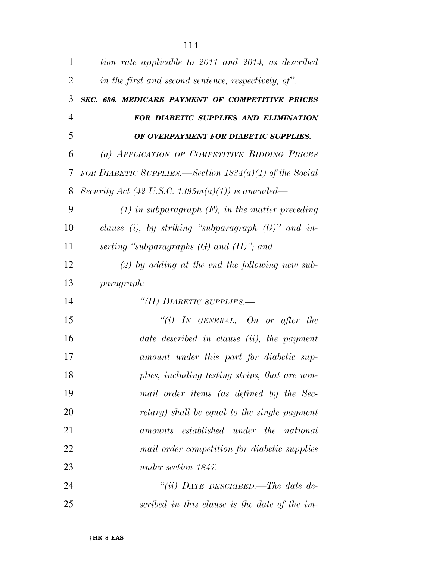| $\mathbf{1}$   | tion rate applicable to 2011 and 2014, as described       |
|----------------|-----------------------------------------------------------|
| 2              | in the first and second sentence, respectively, of".      |
| 3              | SEC. 636. MEDICARE PAYMENT OF COMPETITIVE PRICES          |
| $\overline{4}$ | FOR DIABETIC SUPPLIES AND ELIMINATION                     |
| 5              | OF OVERPAYMENT FOR DIABETIC SUPPLIES.                     |
| 6              | (a) APPLICATION OF COMPETITIVE BIDDING PRICES             |
| 7              | FOR DIABETIC SUPPLIES.—Section $1834(a)(1)$ of the Social |
| 8              | Security Act (42 U.S.C. 1395 $m(a)(1)$ ) is amended—      |
| 9              | $(1)$ in subparagraph $(F)$ , in the matter preceding     |
| 10             | clause (i), by striking "subparagraph $(G)$ " and in-     |
| 11             | serting "subparagraphs $(G)$ and $(H)$ "; and             |
| 12             | $(2)$ by adding at the end the following new sub-         |
| 13             | <i>paragraph:</i>                                         |
| 14             | "(H) DIABETIC SUPPLIES.-                                  |
| 15             | "(i) IN GENERAL.—On or after the                          |
| 16             | date described in clause (ii), the payment                |
| 17             | amount under this part for diabetic sup-                  |
| 18             | plies, including testing strips, that are non-            |
| 19             | mail order items (as defined by the Sec-                  |
| 20             | retary) shall be equal to the single payment              |
| 21             | amounts established under the national                    |
| 22             | mail order competition for diabetic supplies              |
| 23             | under section 1847.                                       |
| 24             | "(ii) DATE DESCRIBED.—The date de-                        |
| 25             | scribed in this clause is the date of the im-             |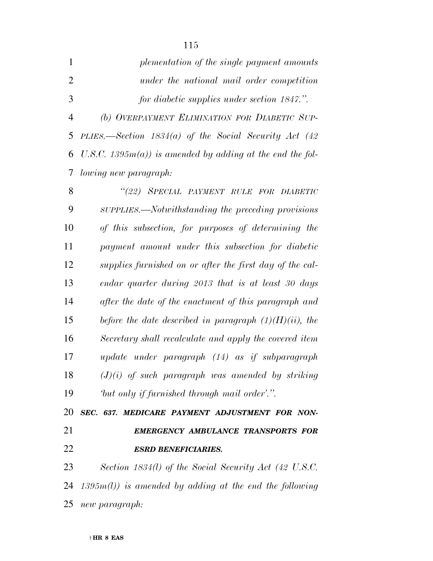|   | plementation of the single payment amounts                      |
|---|-----------------------------------------------------------------|
| 2 | under the national mail order competition                       |
| 3 | for diabetic supplies under section 1847.".                     |
| 4 | (b) OVERPAYMENT ELIMINATION FOR DIABETIC SUP-                   |
|   | 5 PLIES.—Section $1834(a)$ of the Social Security Act (42)      |
|   | 6 U.S.C. 1395 $m(a)$ ) is amended by adding at the end the fol- |
|   | 7 <i>lowing new paragraph:</i>                                  |
|   |                                                                 |

| 8  | "(22) SPECIAL PAYMENT RULE FOR DIABETIC                   |
|----|-----------------------------------------------------------|
| 9  | SUPPLIES.—Notwithstanding the preceding provisions        |
| 10 | of this subsection, for purposes of determining the       |
| 11 | payment amount under this subsection for diabetic         |
| 12 | supplies furnished on or after the first day of the cal-  |
| 13 | endar quarter during 2013 that is at least 30 days        |
| 14 | after the date of the enactment of this paragraph and     |
| 15 | before the date described in paragraph $(1)(H)(ii)$ , the |
| 16 | Secretary shall recalculate and apply the covered item    |
| 17 | update under paragraph (14) as if subparagraph            |
| 18 | $(J)(i)$ of such paragraph was amended by striking        |
| 19 | but only if furnished through mail order'.".              |

 *SEC. 637. MEDICARE PAYMENT ADJUSTMENT FOR NON- EMERGENCY AMBULANCE TRANSPORTS FOR ESRD BENEFICIARIES.* 

 *Section 1834(l) of the Social Security Act (42 U.S.C. 1395m(l)) is amended by adding at the end the following new paragraph:*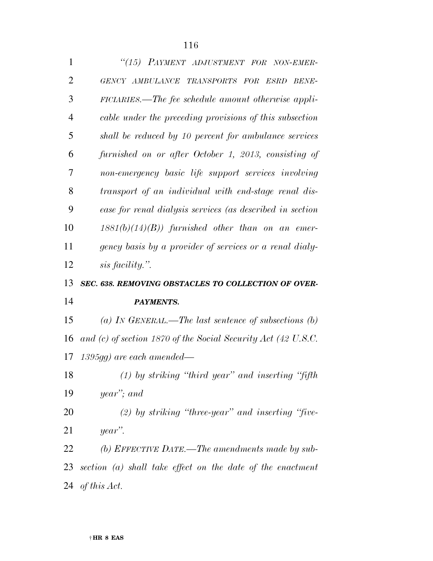| $\mathbf{1}$   | "(15) PAYMENT ADJUSTMENT FOR NON-EMER-                        |
|----------------|---------------------------------------------------------------|
| $\overline{2}$ | GENCY AMBULANCE TRANSPORTS FOR ESRD BENE-                     |
| 3              | FICIARIES.—The fee schedule amount otherwise appli-           |
| $\overline{4}$ | cable under the preceding provisions of this subsection       |
| 5              | shall be reduced by 10 percent for ambulance services         |
| 6              | furnished on or after October 1, 2013, consisting of          |
| 7              | non-emergency basic life support services involving           |
| 8              | transport of an individual with end-stage renal dis-          |
| 9              | ease for renal dialysis services (as described in section     |
| 10             | $1881(b)(14)(B)$ furnished other than on an emer-             |
| 11             | gency basis by a provider of services or a renal dialy-       |
| 12             | sis facility.".                                               |
|                |                                                               |
| 13             | SEC. 638. REMOVING OBSTACLES TO COLLECTION OF OVER-           |
| 14             | PAYMENTS.                                                     |
| 15             | (a) IN GENERAL.—The last sentence of subsections $(b)$        |
| 16             | and (c) of section 1870 of the Social Security Act (42 U.S.C. |
| 17             | $1395gg$ ) are each amended—                                  |
| 18             | $(1)$ by striking "third year" and inserting "fifth"          |
| 19             | year"; and                                                    |
| 20             | $(2)$ by striking "three-year" and inserting "five-           |
| 21             | year".                                                        |
| 22             | (b) EFFECTIVE DATE.—The amendments made by sub-               |
| 23             | section $(a)$ shall take effect on the date of the enactment  |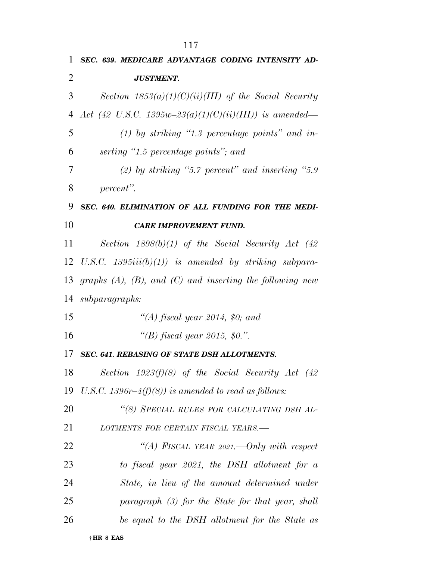| 1  | SEC. 639. MEDICARE ADVANTAGE CODING INTENSITY AD-                |
|----|------------------------------------------------------------------|
| 2  | <b>JUSTMENT.</b>                                                 |
| 3  | Section $1853(a)(1)(C)(ii)(III)$ of the Social Security          |
| 4  | Act (42 U.S.C. 1395w-23(a)(1)(C)(ii)(III)) is amended—           |
| 5  | $(1)$ by striking "1.3 percentage points" and in-                |
| 6  | serting "1.5 percentage points"; and                             |
| 7  | (2) by striking "5.7 percent" and inserting "5.9                 |
| 8  | percent".                                                        |
| 9  | SEC. 640. ELIMINATION OF ALL FUNDING FOR THE MEDI-               |
| 10 | <b>CARE IMPROVEMENT FUND.</b>                                    |
| 11 | Section $1898(b)(1)$ of the Social Security Act (42)             |
| 12 | U.S.C. 1395 $iii(b)(1)$ is amended by striking subpara-          |
| 13 | graphs $(A)$ , $(B)$ , and $(C)$ and inserting the following new |
| 14 | subparagraphs:                                                   |
| 15 | "(A) fiscal year 2014, \$0; and                                  |
| 16 | "(B) fiscal year 2015, \$0.".                                    |
| 17 | <b>SEC. 641. REBASING OF STATE DSH ALLOTMENTS.</b>               |
| 18 | Section $1923(f)(8)$ of the Social Security Act (42)             |
| 19 | U.S.C. 1396r–4(f)(8)) is amended to read as follows:             |
| 20 | "(8) SPECIAL RULES FOR CALCULATING DSH AL-                       |
| 21 | LOTMENTS FOR CERTAIN FISCAL YEARS.-                              |
| 22 | "(A) FISCAL YEAR 2021.—Only with respect                         |
| 23 | to fiscal year $2021$ , the DSH allotment for a                  |
| 24 | State, in lieu of the amount determined under                    |
| 25 | paragraph (3) for the State for that year, shall                 |
| 26 | be equal to the DSH allotment for the State as                   |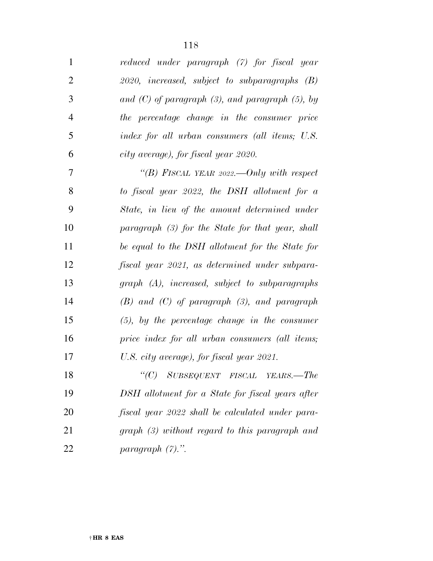| $\mathbf{1}$   | reduced under paragraph (7) for fiscal year             |
|----------------|---------------------------------------------------------|
| $\overline{2}$ | 2020, increased, subject to subparagraphs (B)           |
| 3              | and $(C)$ of paragraph $(3)$ , and paragraph $(5)$ , by |
| $\overline{4}$ | the percentage change in the consumer price             |
| 5              | index for all urban consumers (all items; U.S.          |
| 6              | city average), for fiscal year 2020.                    |
| 7              | "(B) FISCAL YEAR 2022.—Only with respect                |
| 8              | to fiscal year 2022, the DSH allotment for a            |
| 9              | State, in lieu of the amount determined under           |
| 10             | paragraph (3) for the State for that year, shall        |
| 11             | be equal to the DSH allotment for the State for         |
| 12             | fiscal year 2021, as determined under subpara-          |
| 13             | graph (A), increased, subject to subparagraphs          |
| 14             | $(B)$ and $(C)$ of paragraph $(3)$ , and paragraph      |
| 15             | $(5)$ , by the percentage change in the consumer        |
| 16             | price index for all urban consumers (all items;         |
| 17             | U.S. city average), for fiscal year 2021.               |
| 18             | "(C) SUBSEQUENT FISCAL YEARS.—The                       |
| 19             | DSH allotment for a State for fiscal years after        |
| 20             | fiscal year 2022 shall be calculated under para-        |
| 21             | $graph (3) without regard to this paragraph and$        |
| 22             | paragraph $(7)$ .".                                     |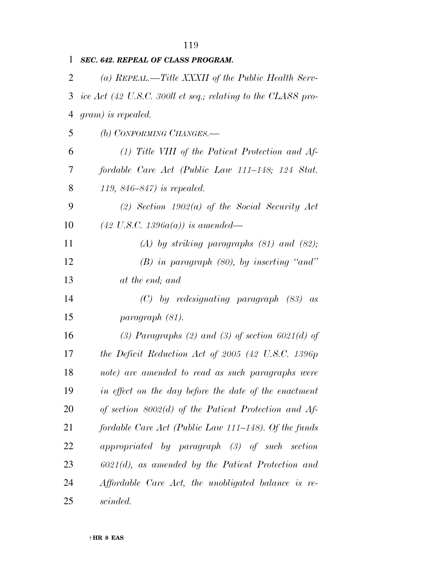| 1  | SEC. 642. REPEAL OF CLASS PROGRAM.                           |
|----|--------------------------------------------------------------|
| 2  | (a) REPEAL.—Title XXXII of the Public Health Serv-           |
| 3  | ice Act (42 U.S.C. 300ll et seq.; relating to the CLASS pro- |
| 4  | $gram)$ is repealed.                                         |
| 5  | (b) CONFORMING CHANGES.                                      |
| 6  | $(1)$ Title VIII of the Patient Protection and Af-           |
| 7  | fordable Care Act (Public Law 111–148; 124 Stat.             |
| 8  | 119, $846 - 847$ ) is repealed.                              |
| 9  | (2) Section $1902(a)$ of the Social Security Act             |
| 10 | $(42 \text{ U.S.C. } 1396a(a))$ is amended—                  |
| 11 | $(A)$ by striking paragraphs $(81)$ and $(82)$ ;             |
| 12 | $(B)$ in paragraph $(80)$ , by inserting "and"               |
| 13 | at the end; and                                              |
| 14 | $(C)$ by redesignating paragraph $(83)$ as                   |
| 15 | paragraph (81).                                              |
| 16 | (3) Paragraphs (2) and (3) of section $6021(d)$ of           |
| 17 | the Deficit Reduction Act of $2005$ (42 U.S.C. 1396 $p$ )    |
| 18 | note) are amended to read as such paragraphs were            |
| 19 | in effect on the day before the date of the enactment        |
| 20 | of section $8002(d)$ of the Patient Protection and Af-       |
| 21 | fordable Care Act (Public Law 111–148). Of the funds         |
| 22 | appropriated by paragraph (3) of such section                |
| 23 | $6021(d)$ , as amended by the Patient Protection and         |
| 24 | Affordable Care Act, the unobligated balance is re-          |
| 25 | scinded.                                                     |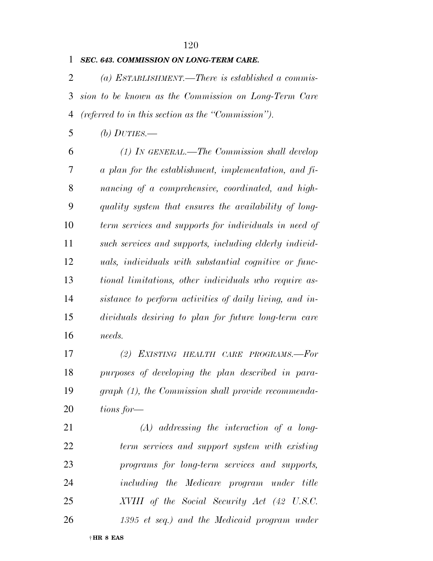#### *SEC. 643. COMMISSION ON LONG-TERM CARE.*

 *(a) ESTABLISHMENT.—There is established a commis- sion to be known as the Commission on Long-Term Care (referred to in this section as the ''Commission'').* 

*(b) DUTIES.—* 

 *(1) IN GENERAL.—The Commission shall develop a plan for the establishment, implementation, and fi- nancing of a comprehensive, coordinated, and high- quality system that ensures the availability of long- term services and supports for individuals in need of such services and supports, including elderly individ- uals, individuals with substantial cognitive or func- tional limitations, other individuals who require as- sistance to perform activities of daily living, and in- dividuals desiring to plan for future long-term care needs.* 

 *(2) EXISTING HEALTH CARE PROGRAMS.—For purposes of developing the plan described in para- graph (1), the Commission shall provide recommenda-tions for—* 

 *(A) addressing the interaction of a long- term services and support system with existing programs for long-term services and supports, including the Medicare program under title XVIII of the Social Security Act (42 U.S.C. 1395 et seq.) and the Medicaid program under*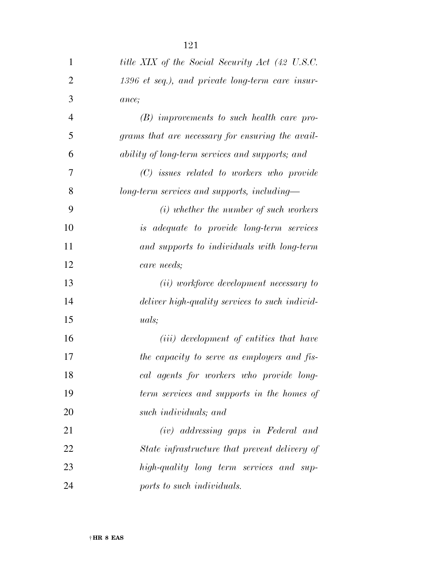| 1              | title XIX of the Social Security Act (42 U.S.C.  |
|----------------|--------------------------------------------------|
| $\overline{2}$ | 1396 et seq.), and private long-term care insur- |
| 3              | ance;                                            |
| $\overline{4}$ | $(B)$ improvements to such health care pro-      |
| 5              | grams that are necessary for ensuring the avail- |
| 6              | ability of long-term services and supports; and  |
| 7              | $(C)$ issues related to workers who provide      |
| 8              | long-term services and supports, including-      |
| 9              | $(i)$ whether the number of such workers         |
| 10             | <i>is adequate to provide long-term services</i> |
| 11             | and supports to individuals with long-term       |
| 12             | care needs;                                      |
| 13             | (ii) workforce development necessary to          |
| 14             | deliver high-quality services to such individ-   |
| 15             | <i>uals</i> ;                                    |
| 16             | ( <i>iii</i> ) development of entities that have |
| 17             | the capacity to serve as employers and fis-      |
| 18             | cal agents for workers who provide long-         |
| 19             | term services and supports in the homes of       |
| 20             | such individuals; and                            |
| 21             | (iv) addressing gaps in Federal and              |
| 22             | State infrastructure that prevent delivery of    |
| 23             | high-quality long term services and sup-         |
| 24             | ports to such individuals.                       |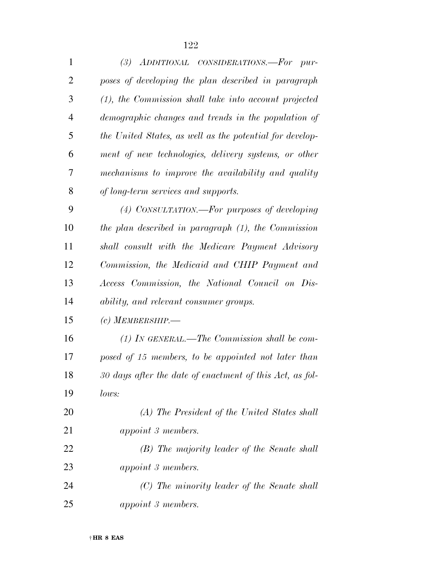| 1              | (3) ADDITIONAL CONSIDERATIONS.-For pur-                  |
|----------------|----------------------------------------------------------|
| $\overline{2}$ | poses of developing the plan described in paragraph      |
| 3              | $(1)$ , the Commission shall take into account projected |
| 4              | demographic changes and trends in the population of      |
| 5              | the United States, as well as the potential for develop- |
| 6              | ment of new technologies, delivery systems, or other     |
| 7              | mechanisms to improve the availability and quality       |
| 8              | of long-term services and supports.                      |
| 9              | (4) CONSULTATION.—For purposes of developing             |
| 10             | the plan described in paragraph (1), the Commission      |
| 11             | shall consult with the Medicare Payment Advisory         |
| 12             | Commission, the Medicaid and CHIP Payment and            |
| 13             | Access Commission, the National Council on Dis-          |
| 14             | ability, and relevant consumer groups.                   |
| 15             | (c) MEMBERSHIP.                                          |
| 16             | $(1)$ IN GENERAL.—The Commission shall be com-           |
| 17             | posed of 15 members, to be appointed not later than      |
| 18             | 30 days after the date of enactment of this Act, as fol- |
| 19             | lows:                                                    |
| 20             | (A) The President of the United States shall             |
| 21             | appoint 3 members.                                       |
| 22             | (B) The majority leader of the Senate shall              |
| 23             | <i>appoint 3 members.</i>                                |
| 24             | (C) The minority leader of the Senate shall              |
| 25             | appoint 3 members.                                       |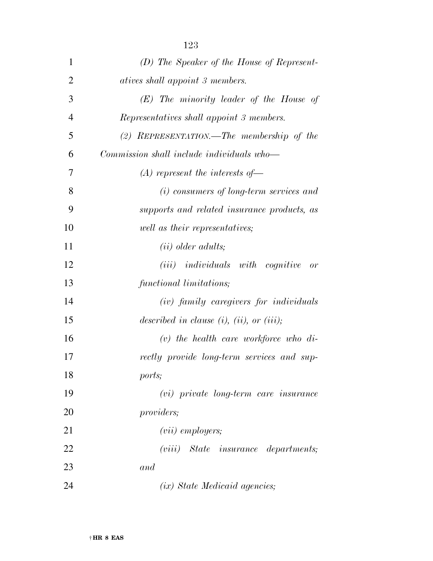| $\mathbf{1}$   | (D) The Speaker of the House of Represent-        |
|----------------|---------------------------------------------------|
| $\overline{2}$ | <i>atives shall appoint 3 members.</i>            |
| 3              | $(E)$ The minority leader of the House of         |
| $\overline{4}$ | Representatives shall appoint 3 members.          |
| 5              | (2) REPRESENTATION.—The membership of the         |
| 6              | Commission shall include individuals who—         |
| 7              | $(A)$ represent the interests of —                |
| 8              | (i) consumers of long-term services and           |
| 9              | supports and related insurance products, as       |
| 10             | well as their representatives;                    |
| 11             | $(ii)$ older adults;                              |
| 12             | $(iii)$ individuals with cognitive<br>or          |
| 13             | functional limitations;                           |
| 14             | (iv) family caregivers for individuals            |
| 15             | described in clause $(i)$ , $(ii)$ , or $(iii)$ ; |
| 16             | $(v)$ the health care workforce who di-           |
| 17             | rectly provide long-term services and sup-        |
| 18             | ports;                                            |
| 19             | $(vi)$ private long-term care insurance           |
| 20             | <i>providers;</i>                                 |
| 21             | $(vii)$ employers;                                |
| 22             | $(viii)$ State insurance departments;             |
| 23             | and                                               |
| 24             | (ix) State Medicaid agencies;                     |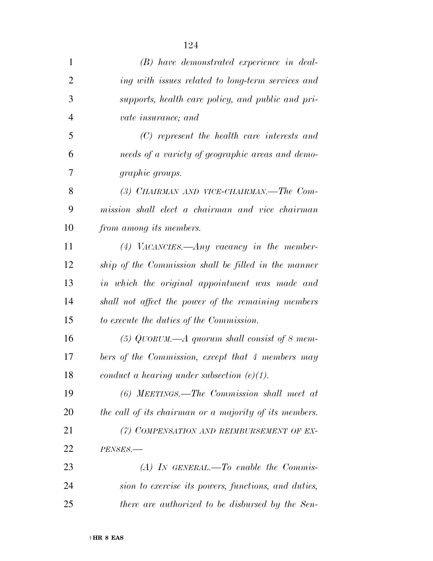| $\mathbf{1}$   | $(B)$ have demonstrated experience in deal-            |
|----------------|--------------------------------------------------------|
| $\overline{2}$ | ing with issues related to long-term services and      |
| 3              | supports, health care policy, and public and pri-      |
| $\overline{4}$ | vate insurance; and                                    |
| 5              | $(C)$ represent the health care interests and          |
| 6              | needs of a variety of geographic areas and demo-       |
| 7              | <i>graphic groups.</i>                                 |
| 8              | (3) CHAIRMAN AND VICE-CHAIRMAN.—The Com-               |
| 9              | mission shall elect a chairman and vice chairman       |
| 10             | from among its members.                                |
| 11             | $(4)$ VACANCIES.—Any vacancy in the member-            |
| 12             | ship of the Commission shall be filled in the manner   |
| 13             | in which the original appointment was made and         |
| 14             | shall not affect the power of the remaining members    |
| 15             | to execute the duties of the Commission.               |
| 16             | (5) QUORUM.—A quorum shall consist of 8 mem-           |
| 17             | bers of the Commission, except that 4 members may      |
| 18             | conduct a hearing under subsection $(e)(1)$ .          |
| 19             | $(6)$ MEETINGS.—The Commission shall meet at           |
| 20             | the call of its chairman or a majority of its members. |
| 21             | (7) COMPENSATION AND REIMBURSEMENT OF EX-              |
| 22             | PENSES.-                                               |
| 23             | $(A)$ In GENERAL.—To enable the Commis-                |
| 24             | sion to exercise its powers, functions, and duties,    |
| 25             | there are authorized to be disbursed by the Sen-       |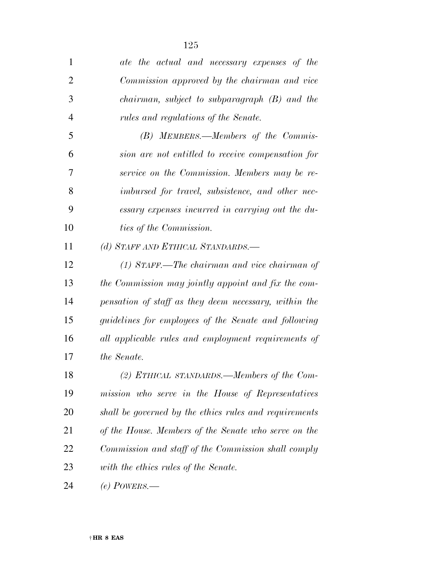| $\mathbf{1}$   | ate the actual and necessary expenses of the                |
|----------------|-------------------------------------------------------------|
| $\overline{2}$ | Commission approved by the chairman and vice                |
| 3              | $chairman$ , subject to subparagraph $(B)$ and the          |
| $\overline{4}$ | rules and regulations of the Senate.                        |
| 5              | (B) MEMBERS.—Members of the Commis-                         |
| 6              | sion are not entitled to receive compensation for           |
| 7              | service on the Commission. Members may be re-               |
| 8              | imbursed for travel, subsistence, and other nec-            |
| 9              | essary expenses incurred in carrying out the du-            |
| 10             | <i>ties of the Commission.</i>                              |
| 11             | (d) STAFF AND ETHICAL STANDARDS.-                           |
| 12             | (1) STAFF.—The chairman and vice chairman of                |
| 13             | the Commission may jointly appoint and fix the com-         |
| 14             | pensation of staff as they deem necessary, within the       |
| 15             | <i>guidelines for employees of the Senate and following</i> |
| 16             | all applicable rules and employment requirements of         |
| 17             | the Senate.                                                 |
| 18             | (2) ETHICAL STANDARDS.—Members of the Com-                  |
| 19             | mission who serve in the House of Representatives           |
| 20             | shall be governed by the ethics rules and requirements      |
| 21             | of the House. Members of the Senate who serve on the        |
| 22             | Commission and staff of the Commission shall comply         |
| 23             | with the ethics rules of the Senate.                        |
| 24             | (e) POWERS.—                                                |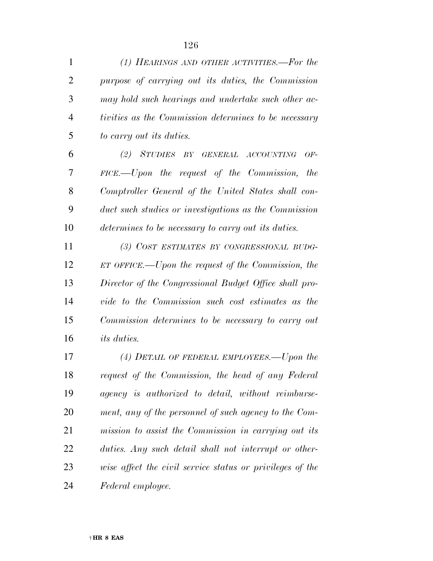| 1              | (1) HEARINGS AND OTHER ACTIVITIES.—For the                  |
|----------------|-------------------------------------------------------------|
| $\overline{2}$ | purpose of carrying out its duties, the Commission          |
| 3              | may hold such hearings and undertake such other ac-         |
| $\overline{4}$ | tivities as the Commission determines to be necessary       |
| 5              | to carry out its duties.                                    |
| 6              | (2) STUDIES BY GENERAL ACCOUNTING<br>$OF-$                  |
| 7              | $FICE. - Upon$ the request of the Commission,<br><i>the</i> |
| 8              | Comptroller General of the United States shall con-         |
| 9              | duct such studies or investigations as the Commission       |
| 10             | determines to be necessary to carry out its duties.         |
| 11             | (3) COST ESTIMATES BY CONGRESSIONAL BUDG-                   |
| 12             | $ET$ OFFICE.—Upon the request of the Commission, the        |
| 13             | Director of the Congressional Budget Office shall pro-      |
| 14             | vide to the Commission such cost estimates as the           |
| 15             | Commission determines to be necessary to carry out          |
| 16             | <i>its duties.</i>                                          |
| 17             | (4) DETAIL OF FEDERAL EMPLOYEES.—Upon the                   |
| 18             | request of the Commission, the head of any Federal          |
| 19             | agency is authorized to detail, without reimburse-          |
| 20             | ment, any of the personnel of such agency to the Com-       |
| 21             | mission to assist the Commission in carrying out its        |
| 22             | duties. Any such detail shall not interrupt or other-       |

 *wise affect the civil service status or privileges of the Federal employee.*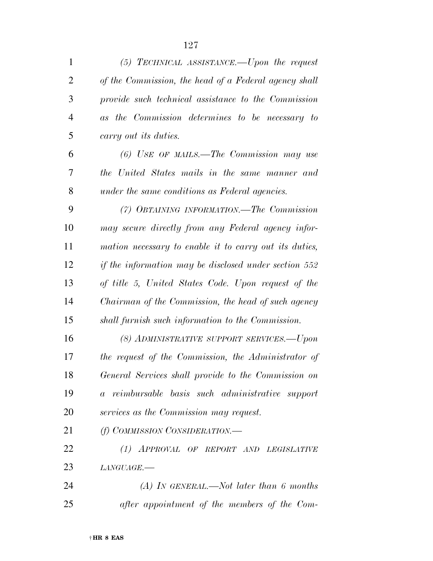| 1              | $(5)$ TECHNICAL ASSISTANCE.—Upon the request           |
|----------------|--------------------------------------------------------|
| $\overline{2}$ | of the Commission, the head of a Federal agency shall  |
| 3              | provide such technical assistance to the Commission    |
| $\overline{4}$ | as the Commission determines to be necessary to        |
| 5              | carry out its duties.                                  |
| 6              | $(6)$ USE OF MAILS.—The Commission may use             |
| 7              | the United States mails in the same manner and         |
| 8              | under the same conditions as Federal agencies.         |
| 9              | (7) OBTAINING INFORMATION.—The Commission              |
| 10             | may secure directly from any Federal agency infor-     |
| 11             | mation necessary to enable it to carry out its duties, |
| 12             | if the information may be disclosed under section 552  |
| 13             | of title 5, United States Code. Upon request of the    |
| 14             | Chairman of the Commission, the head of such agency    |
| 15             | shall furnish such information to the Commission.      |
| 16             | (8) ADMINISTRATIVE SUPPORT SERVICES.-- Upon            |
| 17             | the request of the Commission, the Administrator of    |
| 18             | General Services shall provide to the Commission on    |
| 19             | a reimbursable basis such administrative support       |
| 20             | services as the Commission may request.                |
| 21             | (f) COMMISSION CONSIDERATION.—                         |
| 22             | (1) APPROVAL OF REPORT AND LEGISLATIVE                 |
| 23             | LANGUAGE.-                                             |
| 24             | $(A)$ In GENERAL.—Not later than 6 months              |
| 25             | after appointment of the members of the Com-           |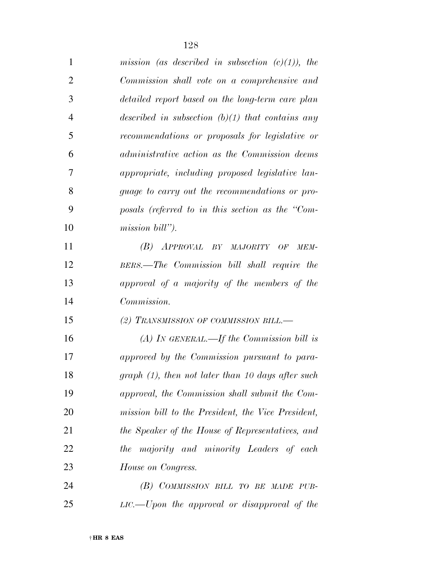| $\mathbf{1}$   | mission (as described in subsection $(c)(1)$ ), the |
|----------------|-----------------------------------------------------|
| 2              | Commission shall vote on a comprehensive and        |
| 3              | detailed report based on the long-term care plan    |
| $\overline{4}$ | described in subsection $(b)(1)$ that contains any  |
| 5              | recommendations or proposals for legislative or     |
| 6              | administrative action as the Commission deems       |
| 7              | appropriate, including proposed legislative lan-    |
| 8              | guage to carry out the recommendations or pro-      |
| 9              | posals (referred to in this section as the "Com-    |
| 10             | mission bill").                                     |
| 11             | (B) APPROVAL BY MAJORITY OF<br>MEM-                 |
| 12             | BERS.—The Commission bill shall require the         |
| 13             | approval of a majority of the members of the        |
| 14             | Commission.                                         |
| 15             | (2) TRANSMISSION OF COMMISSION BILL.—               |
| 16             | (A) IN GENERAL.—If the Commission bill is           |
| 17             | approved by the Commission pursuant to para-        |
| 18             | graph (1), then not later than 10 days after such   |
| 19             | approval, the Commission shall submit the Com-      |
| 20             | mission bill to the President, the Vice President,  |
| 21             | the Speaker of the House of Representatives, and    |
| 22             | the majority and minority Leaders of each           |
| 23             | House on Congress.                                  |
| 24             | (B) COMMISSION BILL TO BE MADE PUB-                 |
| 25             | $LIC.$ Upon the approval or disapproval of the      |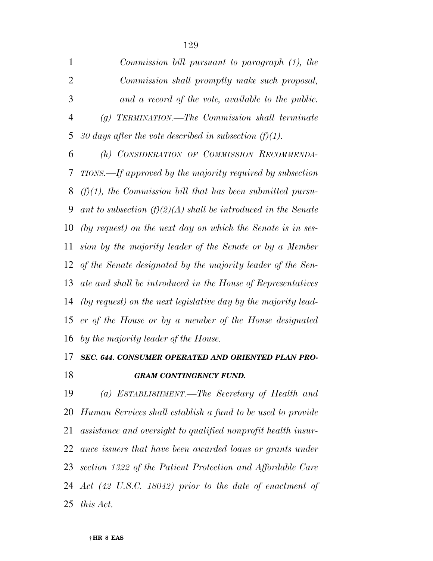| $\mathbf{1}$   | Commission bill pursuant to paragraph (1), the                  |
|----------------|-----------------------------------------------------------------|
| $\overline{2}$ | Commission shall promptly make such proposal,                   |
| 3              | and a record of the vote, available to the public.              |
| $\overline{4}$ | $(g)$ TERMINATION.—The Commission shall terminate               |
| 5              | 30 days after the vote described in subsection $(f)(1)$ .       |
| 6              | (h) CONSIDERATION OF COMMISSION RECOMMENDA-                     |
| 7              | TIONS.—If approved by the majority required by subsection       |
| 8              | $(f)(1)$ , the Commission bill that has been submitted pursu-   |
| 9              | ant to subsection $(f)(2)(A)$ shall be introduced in the Senate |
| 10             | (by request) on the next day on which the Senate is in ses-     |
| 11             | sion by the majority leader of the Senate or by a Member        |
|                | 12 of the Senate designated by the majority leader of the Sen-  |
| 13             | ate and shall be introduced in the House of Representatives     |
| 14             | (by request) on the next legislative day by the majority lead-  |
| 15             | er of the House or by a member of the House designated          |
| 16             | by the majority leader of the House.                            |
|                | 17 SEC 644 CONSUMER OPERATED AND ORIENTED PLAN PRO.             |

## *SEC. 644. CONSUMER OPERATED AND ORIENTED PLAN PRO-GRAM CONTINGENCY FUND.*

 *(a) ESTABLISHMENT.—The Secretary of Health and Human Services shall establish a fund to be used to provide assistance and oversight to qualified nonprofit health insur- ance issuers that have been awarded loans or grants under section 1322 of the Patient Protection and Affordable Care Act (42 U.S.C. 18042) prior to the date of enactment of this Act.*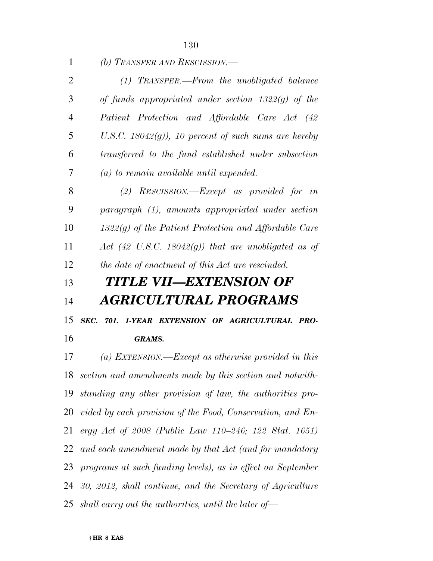*(b) TRANSFER AND RESCISSION.— (1) TRANSFER.—From the unobligated balance of funds appropriated under section 1322(g) of the Patient Protection and Affordable Care Act (42 U.S.C. 18042(g)), 10 percent of such sums are hereby transferred to the fund established under subsection (a) to remain available until expended. (2) RESCISSION.—Except as provided for in paragraph (1), amounts appropriated under section 1322(g) of the Patient Protection and Affordable Care Act (42 U.S.C. 18042(g)) that are unobligated as of the date of enactment of this Act are rescinded. TITLE VII—EXTENSION OF* 

# *AGRICULTURAL PROGRAMS*

*SEC. 701. 1-YEAR EXTENSION OF AGRICULTURAL PRO-*

### *GRAMS.*

 *(a) EXTENSION.—Except as otherwise provided in this section and amendments made by this section and notwith- standing any other provision of law, the authorities pro- vided by each provision of the Food, Conservation, and En- ergy Act of 2008 (Public Law 110–246; 122 Stat. 1651) and each amendment made by that Act (and for mandatory programs at such funding levels), as in effect on September 30, 2012, shall continue, and the Secretary of Agriculture shall carry out the authorities, until the later of—*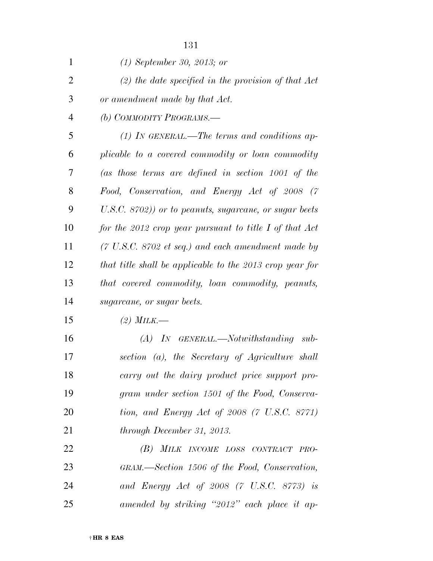| 1              | $(1)$ September 30, 2013; or                                          |
|----------------|-----------------------------------------------------------------------|
| $\overline{2}$ | $(2)$ the date specified in the provision of that Act                 |
| 3              | or amendment made by that Act.                                        |
| 4              | (b) COMMODITY PROGRAMS.—                                              |
| 5              | $(1)$ IN GENERAL.—The terms and conditions ap-                        |
| 6              | plicable to a covered commodity or loan commodity                     |
| 7              | $(as$ those terms are defined in section 1001 of the                  |
| 8              | Food, Conservation, and Energy Act of 2008 (7                         |
| 9              | U.S.C. 8702)) or to peanuts, sugarcane, or sugar beets                |
| 10             | for the 2012 crop year pursuant to title I of that $Act$              |
| 11             | $(7 \text{ U.S.C. } 8702 \text{ et seq.})$ and each amendment made by |
| 12             | that title shall be applicable to the 2013 crop year for              |
| 13             | that covered commodity, loan commodity, peanuts,                      |
| 14             | sugarcane, or sugar beets.                                            |
| 15             | (2) MILK.—                                                            |
| 16             | $(A)$ IN GENERAL.—Notwithstanding sub-                                |
| 17             | section (a), the Secretary of Agriculture shall                       |
| 18             | carry out the dairy product price support pro-                        |
| 19             | gram under section 1501 of the Food, Conserva-                        |
| 20             | tion, and Energy Act of 2008 $(7 \text{ U.S.C. } 8771)$               |
| 21             | through December 31, 2013.                                            |
| 22             | (B) MILK INCOME LOSS CONTRACT PRO-                                    |
| 23             | GRAM.—Section 1506 of the Food, Conservation,                         |
| 24             | and Energy Act of 2008 $(7 \text{ U.S.C. } 8773)$ is                  |
| 25             | amended by striking "2012" each place it ap-                          |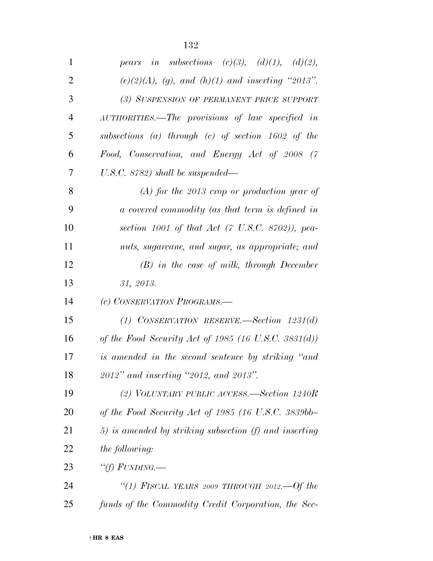| $\mathbf{1}$   | in subsections (c)(3), (d)(1), (d)(2),<br>pears            |
|----------------|------------------------------------------------------------|
| $\overline{2}$ | $(e)(2)(A)$ , (g), and (h)(1) and inserting "2013".        |
| 3              | (3) SUSPENSION OF PERMANENT PRICE SUPPORT                  |
| 4              | AUTHORITIES.—The provisions of law specified in            |
| 5              | subsections (a) through (c) of section $1602$ of the       |
| 6              | Food, Conservation, and Energy Act of 2008 (7              |
| 7              | $U.S.C. 8782)$ shall be suspended—                         |
| 8              | $(A)$ for the 2013 crop or production year of              |
| 9              | a covered commodity (as that term is defined in            |
| 10             | section 1001 of that Act $(7 \text{ U.S.C. } 8702)$ , pea- |
| 11             | nuts, sugarcane, and sugar, as appropriate; and            |
| 12             | $(B)$ in the case of milk, through December                |
| 13             | 31, 2013.                                                  |
| 14             | (c) CONSERVATION PROGRAMS.-                                |
| 15             | (1) CONSERVATION RESERVE. Section $1231(d)$                |
| 16             | of the Food Security Act of 1985 (16 U.S.C. 3831(d))       |
| 17             | is amended in the second sentence by striking "and         |
| 18             | 2012" and inserting "2012, and 2013".                      |
| 19             | (2) VOLUNTARY PUBLIC ACCESS.—Section 1240R                 |
| 20             | of the Food Security Act of 1985 (16 U.S.C. 3839bb-        |
| 21             | 5) is amended by striking subsection $(f)$ and inserting   |
| 22             | <i>the following:</i>                                      |
| 23             | "(f) $FUNDING$ .                                           |
| 24             | "(1) FISCAL YEARS 2009 THROUGH 2012.—Of the                |
| 25             | funds of the Commodity Credit Corporation, the Sec-        |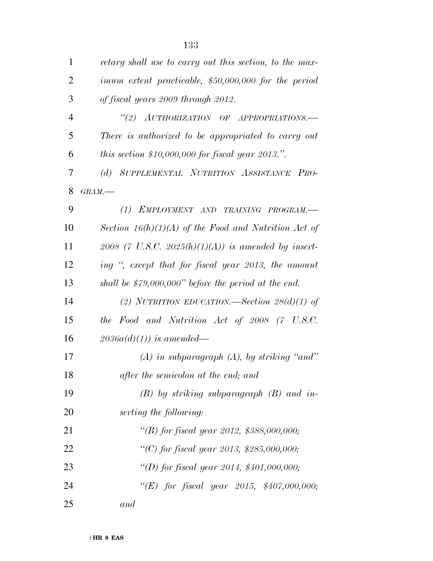| $\mathbf{1}$   | retary shall use to carry out this section, to the max- |
|----------------|---------------------------------------------------------|
| $\overline{2}$ | imum extent practicable, \$50,000,000 for the period    |
| 3              | of fiscal years 2009 through 2012.                      |
| $\overline{4}$ | "(2) AUTHORIZATION OF APPROPRIATIONS.-                  |
| 5              | There is authorized to be appropriated to carry out     |
| 6              | this section \$10,000,000 for fiscal year 2013.".       |
| 7              | (d) SUPPLEMENTAL NUTRITION ASSISTANCE PRO-              |
| 8              | $GRAM$ .                                                |
| 9              | (1)<br>EMPLOYMENT AND TRAINING PROGRAM.-                |
| 10             | Section $16(h)(1)(A)$ of the Food and Nutrition Act of  |
| 11             | 2008 (7 U.S.C. 2025(h)(1)(A)) is amended by insert-     |
| 12             | ing ", except that for fiscal year 2013, the amount     |
| 13             | shall be $$79,000,000"$ before the period at the end.   |
| 14             | (2) NUTRITION EDUCATION.—Section $28(d)(1)$ of          |
| 15             | the Food and Nutrition Act of 2008 (7 U.S.C.            |
| 16             | $2036a(d)(1)$ is amended—                               |
| 17             | $(A)$ in subparagraph $(A)$ , by striking "and"         |
| 18             | after the semicolon at the end; and                     |
| 19             | $(B)$ by striking subparagraph $(B)$ and in-            |
| 20             | serting the following:                                  |
| 21             | "(B) for fiscal year 2012, \$388,000,000;               |
| 22             | "(C) for fiscal year 2013, \$285,000,000;               |
| 23             | "(D) for fiscal year 2014, $$401,000,000;$              |
| 24             | "(E) for fiscal year 2015, $$407,000,000;$              |
| 25             | and                                                     |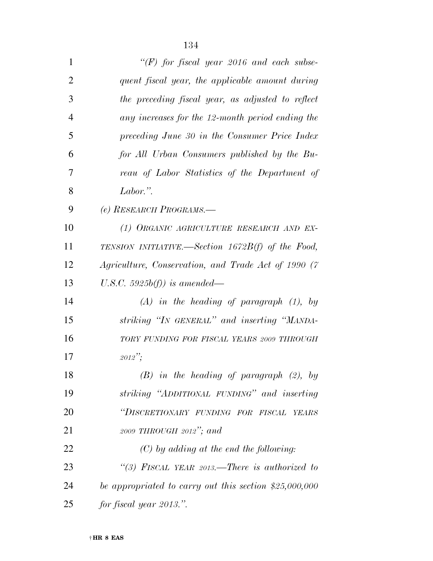| $\mathbf 1$    | "(F) for fiscal year 2016 and each subse-               |
|----------------|---------------------------------------------------------|
| 2              | quent fiscal year, the applicable amount during         |
| 3              | the preceding fiscal year, as adjusted to reflect       |
| $\overline{4}$ | any increases for the 12-month period ending the        |
| 5              | preceding June 30 in the Consumer Price Index           |
| 6              | for All Urban Consumers published by the Bu-            |
| 7              | reau of Labor Statistics of the Department of           |
| 8              | Labor.".                                                |
| 9              | (e) RESEARCH PROGRAMS.-                                 |
| 10             | (1) ORGANIC AGRICULTURE RESEARCH AND EX-                |
| 11             | TENSION INITIATIVE.—Section $1672B(f)$ of the Food,     |
| 12             | Agriculture, Conservation, and Trade Act of 1990 (7     |
| 13             | U.S.C. 5925b(f)) is amended—                            |
| 14             | $(A)$ in the heading of paragraph $(1)$ , by            |
| 15             | striking "IN GENERAL" and inserting "MANDA-             |
| 16             | TORY FUNDING FOR FISCAL YEARS 2009 THROUGH              |
| 17             | $2012$ ":                                               |
| 18             | $(B)$ in the heading of paragraph $(2)$ , by            |
| 19             | striking "ADDITIONAL FUNDING" and inserting             |
| 20             | "DISCRETIONARY FUNDING FOR FISCAL YEARS                 |
| 21             | 2009 THROUGH 2012"; and                                 |
| 22             | $(C)$ by adding at the end the following:               |
| 23             | "(3) FISCAL YEAR 2013.—There is authorized to           |
| 24             | be appropriated to carry out this section $$25,000,000$ |
| 25             | for fiscal year 2013.".                                 |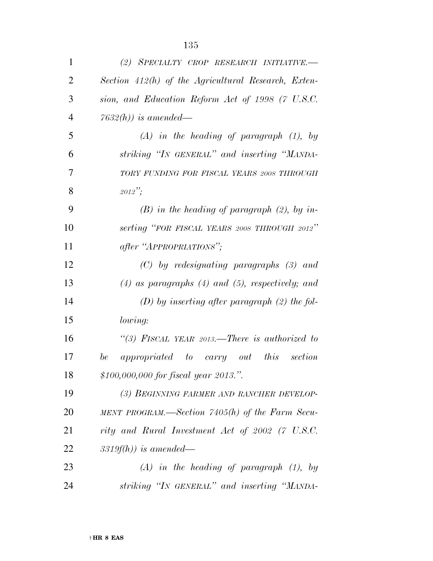| $\mathbf{1}$   | (2) SPECIALTY CROP RESEARCH INITIATIVE.                 |
|----------------|---------------------------------------------------------|
| $\overline{2}$ | Section 412(h) of the Agricultural Research, Exten-     |
| 3              | sion, and Education Reform Act of 1998 (7 U.S.C.        |
| $\overline{4}$ | $7632(h)$ ) is amended—                                 |
| 5              | $(A)$ in the heading of paragraph $(1)$ , by            |
| 6              | striking "IN GENERAL" and inserting "MANDA-             |
| 7              | TORY FUNDING FOR FISCAL YEARS 2008 THROUGH              |
| 8              | $2012$ ";                                               |
| 9              | $(B)$ in the heading of paragraph $(2)$ , by in-        |
| 10             | serting "FOR FISCAL YEARS 2008 THROUGH 2012"            |
| 11             | after "APPROPRIATIONS";                                 |
| 12             | $(C)$ by redesignating paragraphs $(3)$ and             |
| 13             | $(4)$ as paragraphs $(4)$ and $(5)$ , respectively; and |
| 14             | $(D)$ by inserting after paragraph $(2)$ the fol-       |
| 15             | lowing:                                                 |
| 16             | "(3) FISCAL YEAR 2013.—There is authorized to           |
| 17             | this<br>be<br>appropriated to carry out<br>section      |
| 18             | \$100,000,000 for fiscal year 2013.".                   |
| 19             | (3) BEGINNING FARMER AND RANCHER DEVELOP-               |
| 20             | MENT PROGRAM.—Section 7405(h) of the Farm Secu-         |
| 21             | rity and Rural Investment Act of 2002 (7 U.S.C.         |
| <u>22</u>      | $3319f(h)$ ) is amended—                                |
| 23             | $(A)$ in the heading of paragraph $(1)$ , by            |
| 24             | striking "IN GENERAL" and inserting "MANDA-             |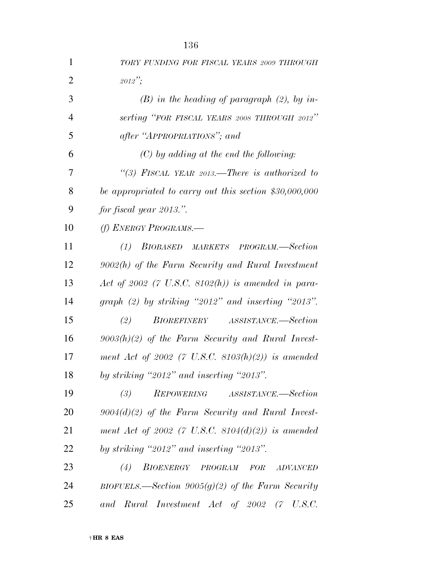| 1              | TORY FUNDING FOR FISCAL YEARS 2009 THROUGH              |
|----------------|---------------------------------------------------------|
| $\overline{2}$ | $2012$ ";                                               |
| 3              | $(B)$ in the heading of paragraph $(2)$ , by in-        |
| $\overline{4}$ | serting "FOR FISCAL YEARS 2008 THROUGH 2012"            |
| 5              | after "APPROPRIATIONS"; and                             |
| 6              | $(C)$ by adding at the end the following:               |
| 7              | "(3) FISCAL YEAR 2013.—There is authorized to           |
| 8              | be appropriated to carry out this section $$30,000,000$ |
| 9              | for fiscal year 2013.".                                 |
| 10             | (f) ENERGY PROGRAMS.-                                   |
| 11             | (1) BIOBASED MARKETS PROGRAM.—Section                   |
| 12             | $9002(h)$ of the Farm Security and Rural Investment     |
| 13             | Act of 2002 (7 U.S.C. 8102(h)) is amended in para-      |
| 14             | graph $(2)$ by striking "2012" and inserting "2013".    |
| 15             | (2)<br>BIOREFINERY ASSISTANCE.-Section                  |
| 16             | $9003(h)(2)$ of the Farm Security and Rural Invest-     |
| 17             | ment Act of 2002 (7 U.S.C. 8103(h)(2)) is amended       |
| 18             | by striking "2012" and inserting "2013".                |
| 19             | REPOWERING ASSISTANCE.—Section<br>(3)                   |
| 20             | $9004(d)(2)$ of the Farm Security and Rural Invest-     |
| 21             | ment Act of 2002 (7 U.S.C. 8104(d)(2)) is amended       |
| 22             | by striking "2012" and inserting "2013".                |
| 23             | BIOENERGY PROGRAM<br>(4)<br>FOR<br>ADVANCED             |
| 24             | BIOFUELS.—Section $9005(g)(2)$ of the Farm Security     |
| 25             | and Rural Investment Act of 2002 (7 U.S.C.              |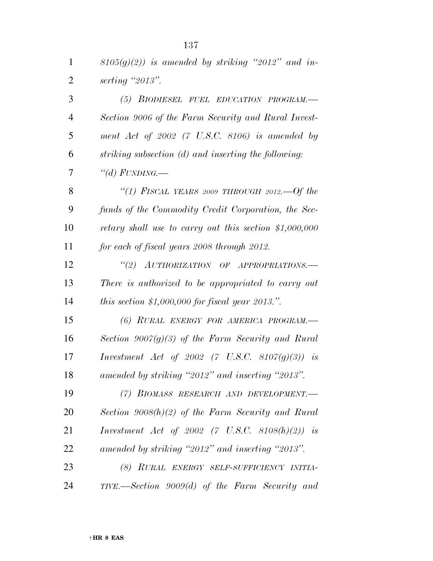| 1              | $8105(g)(2)$ ) is amended by striking "2012" and in-    |
|----------------|---------------------------------------------------------|
| $\overline{2}$ | serting $"2013"$ .                                      |
| 3              | (5) BIODIESEL FUEL EDUCATION PROGRAM.-                  |
| $\overline{4}$ | Section 9006 of the Farm Security and Rural Invest-     |
| 5              | ment Act of $2002$ (7 U.S.C. 8106) is amended by        |
| 6              | striking subsection (d) and inserting the following:    |
| 7              | "(d) $FUNDING$ .                                        |
| 8              | "(1) FISCAL YEARS 2009 THROUGH 2012.—Of the             |
| 9              | funds of the Commodity Credit Corporation, the Sec-     |
| 10             | retary shall use to carry out this section $$1,000,000$ |
| 11             | for each of fiscal years 2008 through 2012.             |
| 12             | "(2) AUTHORIZATION OF APPROPRIATIONS.—                  |
| 13             | There is authorized to be appropriated to carry out     |
| 14             | this section \$1,000,000 for fiscal year 2013.".        |
| 15             | (6) RURAL ENERGY FOR AMERICA PROGRAM.-                  |
| 16             | Section $9007(g)(3)$ of the Farm Security and Rural     |
| 17             | <i>Investment Act of 2002 (7 U.S.C. 8107(g)(3)) is</i>  |
| 18             | amended by striking "2012" and inserting "2013".        |
| 19             | (7) BIOMASS RESEARCH AND DEVELOPMENT.-                  |
| 20             | Section $9008(h)(2)$ of the Farm Security and Rural     |
| 21             | <i>Investment Act of 2002 (7 U.S.C. 8108(h)(2)) is</i>  |
| 22             | amended by striking "2012" and inserting "2013".        |
| 23             | (8) RURAL ENERGY SELF-SUFFICIENCY INITIA-               |
| 24             | TIVE.—Section 9009(d) of the Farm Security and          |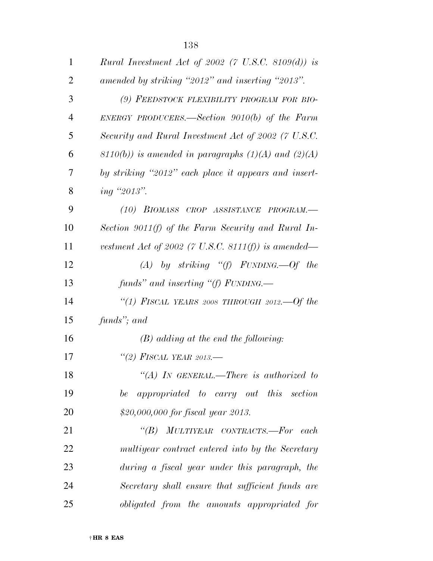| $\mathbf{1}$   | Rural Investment Act of 2002 (7 U.S.C. 8109(d)) is         |
|----------------|------------------------------------------------------------|
| $\overline{2}$ | amended by striking "2012" and inserting "2013".           |
| 3              | (9) FEEDSTOCK FLEXIBILITY PROGRAM FOR BIO-                 |
| $\overline{4}$ | ENERGY PRODUCERS.—Section $9010(b)$ of the Farm            |
| 5              | Security and Rural Investment Act of 2002 (7 U.S.C.        |
| 6              | $(3110(b))$ is amended in paragraphs $(1)(A)$ and $(2)(A)$ |
| 7              | by striking "2012" each place it appears and insert-       |
| 8              | ing "2013".                                                |
| 9              | (10) BIOMASS CROP ASSISTANCE PROGRAM.-                     |
| 10             | Section 9011(f) of the Farm Security and Rural In-         |
| 11             | vestment Act of 2002 (7 U.S.C. 8111(f)) is amended—        |
| 12             | $(A)$ by striking "(f) FUNDING.—Of the                     |
| 13             | funds" and inserting "(f) $FUNDING$ .                      |
| 14             | "(1) FISCAL YEARS 2008 THROUGH 2012.—Of the                |
| 15             | funds"; and                                                |
| 16             | $(B)$ adding at the end the following:                     |
| 17             | "(2) FISCAL YEAR 2013.—                                    |
| 18             | "(A) IN GENERAL.—There is authorized to                    |
| 19             | be appropriated to carry out this section                  |
| 20             | \$20,000,000 for fiscal year 2013.                         |
| 21             | "(B) MULTIYEAR CONTRACTS.—For each                         |
| 22             | multiyear contract entered into by the Secretary           |
| 23             | during a fiscal year under this paragraph, the             |
| 24             | Secretary shall ensure that sufficient funds are           |
| 25             | obligated from the amounts appropriated for                |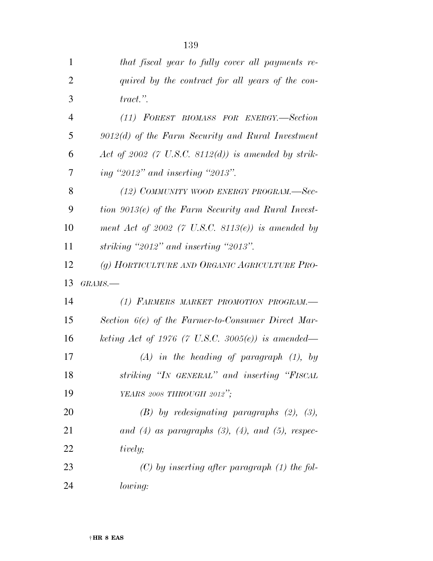| 1              | that fiscal year to fully cover all payments re-            |
|----------------|-------------------------------------------------------------|
| $\overline{2}$ | quired by the contract for all years of the con-            |
| 3              | $tract.$ ".                                                 |
| $\overline{4}$ | (11) FOREST BIOMASS FOR ENERGY.-Section                     |
| 5              | $9012(d)$ of the Farm Security and Rural Investment         |
| 6              | Act of 2002 (7 U.S.C. 8112(d)) is amended by strik-         |
| 7              | ing "2012" and inserting "2013".                            |
| 8              | (12) COMMUNITY WOOD ENERGY PROGRAM.—Sec-                    |
| 9              | tion 9013(e) of the Farm Security and Rural Invest-         |
| 10             | ment Act of 2002 (7 U.S.C. 8113 $(e)$ ) is amended by       |
| 11             | striking "2012" and inserting "2013".                       |
| 12             | (g) HORTICULTURE AND ORGANIC AGRICULTURE PRO-               |
|                |                                                             |
| 13             | $GRAMS$ .                                                   |
| 14             | (1) FARMERS MARKET PROMOTION PROGRAM.-                      |
| 15             | Section 6(e) of the Farmer-to-Consumer Direct Mar-          |
| 16             | keting Act of 1976 (7 U.S.C. 3005 $(e)$ ) is amended—       |
| 17             | $(A)$ in the heading of paragraph $(1)$ , by                |
| 18             | striking "IN GENERAL" and inserting "FISCAL                 |
| 19             | YEARS 2008 THROUGH 2012";                                   |
| 20             | $(B)$ by redesignating paragraphs $(2)$ , $(3)$ ,           |
| 21             | and $(4)$ as paragraphs $(3)$ , $(4)$ , and $(5)$ , respec- |
| 22             | tively;                                                     |
| 23             | $(C)$ by inserting after paragraph $(1)$ the fol-           |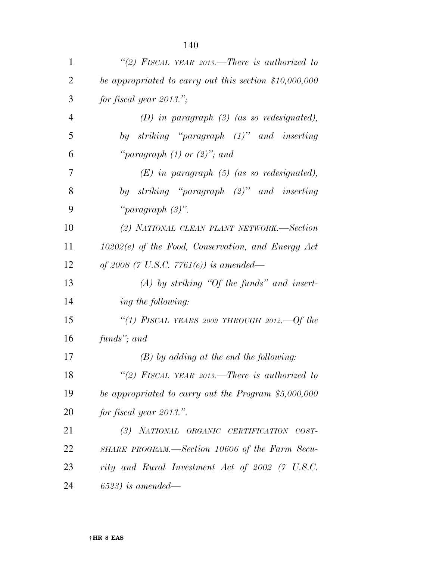| $\mathbf{1}$   | "(2) FISCAL YEAR 2013.—There is authorized to          |
|----------------|--------------------------------------------------------|
| $\overline{2}$ | be appropriated to carry out this section \$10,000,000 |
| 3              | for fiscal year $2013$ .";                             |
| $\overline{4}$ | $(D)$ in paragraph $(3)$ (as so redesignated),         |
| 5              | by striking "paragraph (1)" and inserting              |
| 6              | "paragraph $(1)$ or $(2)$ "; and                       |
| 7              | $(E)$ in paragraph $(5)$ (as so redesignated),         |
| 8              | by striking "paragraph (2)" and inserting              |
| 9              | "paragraph $(3)$ ".                                    |
| 10             | (2) NATIONAL CLEAN PLANT NETWORK.-Section              |
| 11             | $10202(e)$ of the Food, Conservation, and Energy Act   |
| 12             | of 2008 (7 U.S.C. 7761 $(e)$ ) is amended—             |
| 13             | $(A)$ by striking "Of the funds" and insert-           |
| 14             | ing the following:                                     |
| 15             | "(1) FISCAL YEARS 2009 THROUGH 2012.—Of the            |
| 16             | funds"; and                                            |
| 17             | $(B)$ by adding at the end the following:              |
| 18             | "(2) FISCAL YEAR 2013.—There is authorized to          |
| 19             | be appropriated to carry out the Program \$5,000,000   |
| 20             | for fiscal year 2013.".                                |
| 21             | (3) NATIONAL ORGANIC CERTIFICATION COST-               |
| 22             | SHARE PROGRAM.—Section 10606 of the Farm Secu-         |
| 23             | rity and Rural Investment Act of 2002 (7 U.S.C.        |
| 24             | $(6523)$ is amended—                                   |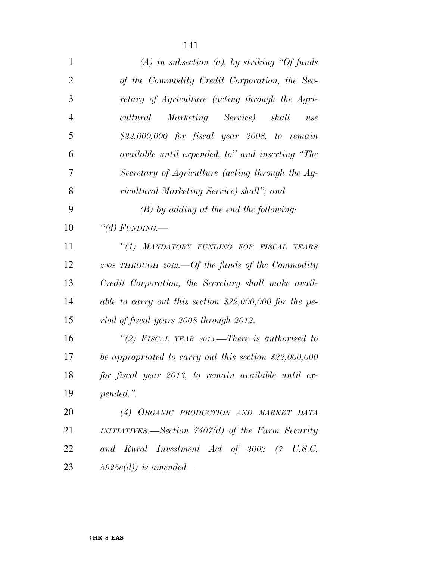| $\mathbf{1}$   | $(A)$ in subsection $(a)$ , by striking "Of funds"       |
|----------------|----------------------------------------------------------|
| $\overline{2}$ | of the Commodity Credit Corporation, the Sec-            |
| 3              | retary of Agriculture (acting through the Agri-          |
| $\overline{4}$ | Marketing Service) shall<br>cultural<br>use              |
| 5              | \$22,000,000 for fiscal year 2008, to remain             |
| 6              | available until expended, to" and inserting "The         |
| 7              | Secretary of Agriculture (acting through the Ag-         |
| 8              | ricultural Marketing Service) shall"; and                |
| 9              | $(B)$ by adding at the end the following:                |
| 10             | "(d) FUNDING.—                                           |
| 11             | "(1) MANDATORY FUNDING FOR FISCAL YEARS                  |
| 12             | 2008 THROUGH 2012.—Of the funds of the Commodity         |
| 13             | Credit Corporation, the Secretary shall make avail-      |
| 14             | able to carry out this section $$22,000,000$ for the pe- |
| 15             | riod of fiscal years 2008 through 2012.                  |
| 16             | "(2) FISCAL YEAR 2013.—There is authorized to            |
| 17             | be appropriated to carry out this section $$22,000,000$  |
| 18             | for fiscal year 2013, to remain available until ex-      |
| 19             | pended.".                                                |
| 20             | (4) ORGANIC PRODUCTION AND MARKET DATA                   |
| 21             | $INTIATIVES. - Section 7407(d)$ of the Farm Security     |
| 22             | and Rural Investment Act of 2002 (7 U.S.C.               |
| 23             | $5925c(d)$ ) is amended—                                 |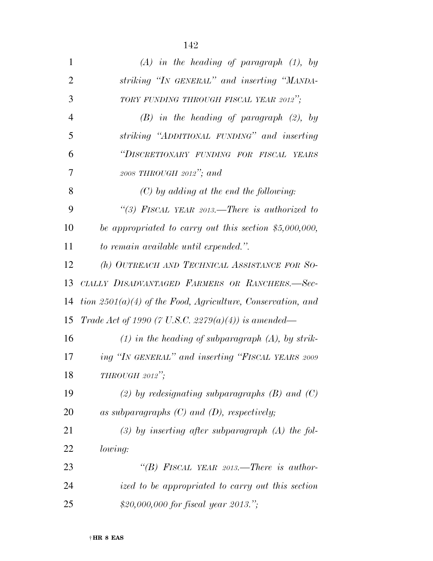| $(A)$ in the heading of paragraph $(1)$ , by                  |
|---------------------------------------------------------------|
| striking "IN GENERAL" and inserting "MANDA-                   |
| TORY FUNDING THROUGH FISCAL YEAR 2012";                       |
| $(B)$ in the heading of paragraph $(2)$ , by                  |
| striking "ADDITIONAL FUNDING" and inserting                   |
| "DISCRETIONARY FUNDING FOR FISCAL YEARS                       |
| 2008 THROUGH 2012"; and                                       |
| $(C)$ by adding at the end the following:                     |
| "(3) FISCAL YEAR 2013.—There is authorized to                 |
| be appropriated to carry out this section $$5,000,000,$       |
| to remain available until expended.".                         |
| (h) OUTREACH AND TECHNICAL ASSISTANCE FOR SO-                 |
| CIALLY DISADVANTAGED FARMERS OR RANCHERS.-Sec-                |
| tion $2501(a)(4)$ of the Food, Agriculture, Conservation, and |
| Trade Act of 1990 (7 U.S.C. 2279(a)(4)) is amended—           |
| $(1)$ in the heading of subparagraph $(A)$ , by strik-        |
| ing "IN GENERAL" and inserting "FISCAL YEARS 2009             |
| THROUGH 2012";                                                |
| (2) by redesignating subparagraphs $(B)$ and $(C)$            |
| as subparagraphs $(C)$ and $(D)$ , respectively;              |
| $(3)$ by inserting after subparagraph $(A)$ the fol-          |
| <i>lowing:</i>                                                |
| "(B) FISCAL YEAR 2013.—There is author-                       |
| ized to be appropriated to carry out this section             |
|                                                               |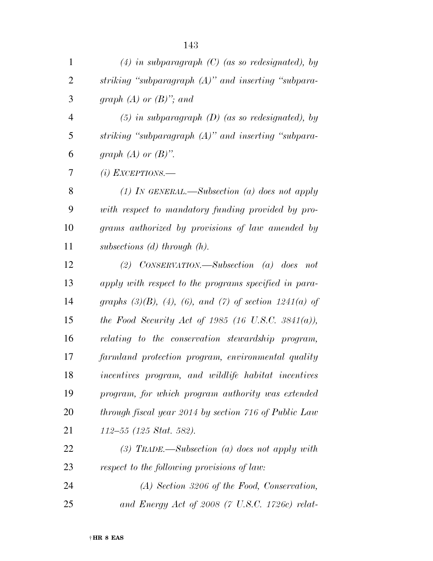| $\mathbf{1}$   | $(4)$ in subparagraph $(C)$ (as so redesignated), by              |
|----------------|-------------------------------------------------------------------|
| $\overline{2}$ | striking "subparagraph $(A)$ " and inserting "subpara-            |
| 3              | graph $(A)$ or $(B)$ "; and                                       |
| $\overline{4}$ | $(5)$ in subparagraph $(D)$ (as so redesignated), by              |
| 5              | striking "subparagraph (A)" and inserting "subpara-               |
| 6              | graph $(A)$ or $(B)$ ".                                           |
| 7              | $(i)$ EXCEPTIONS.—                                                |
| 8              | (1) IN GENERAL.—Subsection (a) does not apply                     |
| 9              | with respect to mandatory funding provided by pro-                |
| 10             | grams authorized by provisions of law amended by                  |
| 11             | subsections $(d)$ through $(h)$ .                                 |
| 12             | (2) CONSERVATION.—Subsection (a) does not                         |
| 13             | apply with respect to the programs specified in para-             |
| 14             | graphs $(3)(B)$ , $(4)$ , $(6)$ , and $(7)$ of section 1241(a) of |
| 15             | the Food Security Act of 1985 (16 U.S.C. 3841(a)),                |
| 16             | relating to the conservation stewardship program,                 |
| 17             | farmland protection program, environmental quality                |
| 18             | incentives program, and wildlife habitat incentives               |
| 19             | program, for which program authority was extended                 |
| 20             | through fiscal year 2014 by section 716 of Public Law             |
| 21             | $112-55$ (125 Stat. 582).                                         |
| 22             | (3) TRADE.—Subsection (a) does not apply with                     |
| 23             | respect to the following provisions of law:                       |
| 24             | $(A)$ Section 3206 of the Food, Conservation,                     |
| 25             | and Energy Act of 2008 (7 U.S.C. 1726c) relat-                    |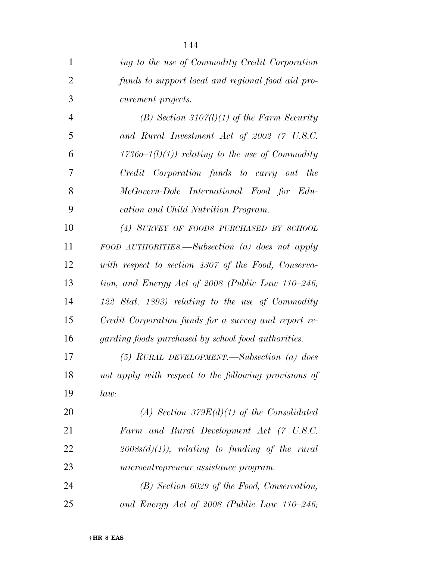| $\mathbf{1}$   | ing to the use of Commodity Credit Corporation        |
|----------------|-------------------------------------------------------|
| $\overline{2}$ | funds to support local and regional food aid pro-     |
| 3              | <i>curement projects.</i>                             |
| $\overline{4}$ | $(B)$ Section 3107(l)(1) of the Farm Security         |
| 5              | and Rural Investment Act of 2002 (7 U.S.C.            |
| 6              | $17360-1(l)(1)$ relating to the use of Commodity      |
| 7              | Credit Corporation funds to carry out the             |
| 8              | McGovern-Dole International Food for Edu-             |
| 9              | cation and Child Nutrition Program.                   |
| 10             | (4) SURVEY OF FOODS PURCHASED BY SCHOOL               |
| 11             | FOOD AUTHORITIES.—Subsection (a) does not apply       |
| 12             | with respect to section 4307 of the Food, Conserva-   |
| 13             | tion, and Energy Act of 2008 (Public Law 110–246;     |
| 14             | 122 Stat. 1893) relating to the use of Commodity      |
| 15             | Credit Corporation funds for a survey and report re-  |
| 16             | garding foods purchased by school food authorities.   |
| 17             | $(5)$ RURAL DEVELOPMENT.—Subsection (a) does          |
| 18             | not apply with respect to the following provisions of |
| 19             | law:                                                  |
| 20             | (A) Section $379E(d)(1)$ of the Consolidated          |
| 21             | Farm and Rural Development Act (7 U.S.C.              |
| 22             | $2008s(d)(1)$ , relating to funding of the rural      |
| 23             | microentrepreneur assistance program.                 |
| 24             | $(B)$ Section 6029 of the Food, Conservation,         |
| 25             | and Energy Act of 2008 (Public Law $110-246$ ;        |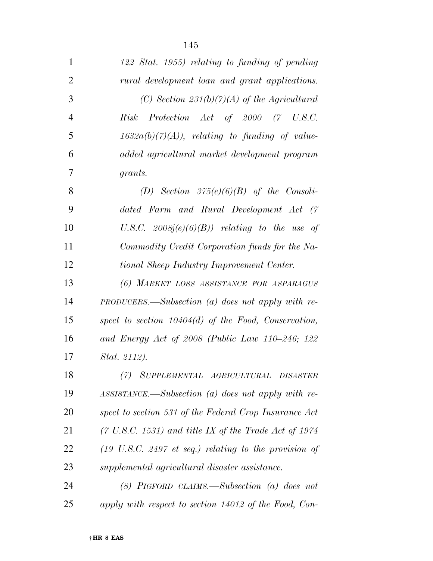| $\mathbf{1}$   | 122 Stat. 1955) relating to funding of pending                           |
|----------------|--------------------------------------------------------------------------|
| $\overline{2}$ | rural development loan and grant applications.                           |
| 3              | (C) Section $231(b)(7)(A)$ of the Agricultural                           |
| $\overline{4}$ | Risk Protection Act of 2000 (7 U.S.C.                                    |
| 5              | $1632a(b)(7)(A)$ , relating to funding of value-                         |
| 6              | added agricultural market development program                            |
| 7              | grants.                                                                  |
| 8              | (D) Section $375(e)(6)(B)$ of the Consoli-                               |
| 9              | dated Farm and Rural Development Act (7                                  |
| 10             | U.S.C. $2008j(e)(6)(B)$ relating to the use of                           |
| 11             | Commodity Credit Corporation funds for the Na-                           |
| 12             | tional Sheep Industry Improvement Center.                                |
| 13             | (6) MARKET LOSS ASSISTANCE FOR ASPARAGUS                                 |
| 14             | $PRODUCERS.$ —Subsection (a) does not apply with re-                     |
| 15             | spect to section $10404(d)$ of the Food, Conservation,                   |
| 16             | and Energy Act of 2008 (Public Law $110-246$ ; $122$                     |
| 17             | Stat. 2112).                                                             |
| 18             | (7) SUPPLEMENTAL AGRICULTURAL DISASTER                                   |
| 19             | $ASSISTANCE. \text{\textendash} Subsection$ (a) does not apply with re-  |
| 20             | spect to section 531 of the Federal Crop Insurance Act                   |
| 21             | $(7 \text{ U.S.C. } 1531)$ and title IX of the Trade Act of 1974         |
| 22             | $(19 \text{ U.S.C. } 2497 \text{ et seq.})$ relating to the provision of |
| 23             | supplemental agricultural disaster assistance.                           |
| 24             | $(8)$ PIGFORD CLAIMS.—Subsection $(a)$ does not                          |
| 25             | apply with respect to section 14012 of the Food, Con-                    |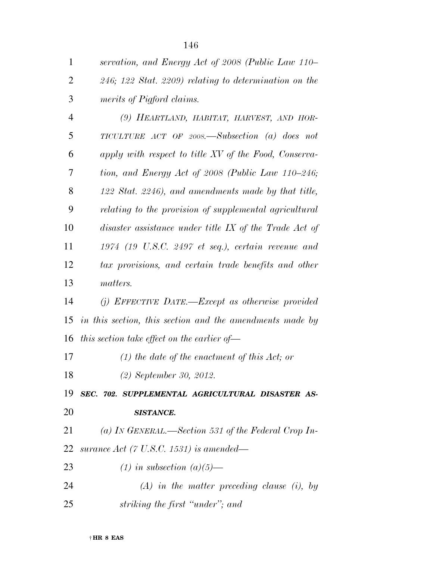| $\mathbf{1}$   | servation, and Energy Act of 2008 (Public Law 110–            |
|----------------|---------------------------------------------------------------|
| $\overline{2}$ | $246$ ; $122$ Stat. $2209$ ) relating to determination on the |
| 3              | merits of Pigford claims.                                     |
| $\overline{4}$ | (9) HEARTLAND, HABITAT, HARVEST, AND HOR-                     |
| 5              | TICULTURE ACT OF 2008.—Subsection (a) does not                |
| 6              | apply with respect to title XV of the Food, Conserva-         |
| 7              | tion, and Energy Act of 2008 (Public Law 110–246;             |
| 8              | 122 Stat. 2246), and amendments made by that title,           |
| 9              | relating to the provision of supplemental agricultural        |
| 10             | disaster assistance under title IX of the Trade Act of        |
| 11             | $1974$ (19 U.S.C. 2497 et seq.), certain revenue and          |
| 12             | tax provisions, and certain trade benefits and other          |
| 13             | matters.                                                      |
| 14             | (j) EFFECTIVE DATE.—Except as otherwise provided              |
| 15             | in this section, this section and the amendments made by      |
| 16             | this section take effect on the earlier of $-$                |
| 17             | $(1)$ the date of the enactment of this Act; or               |
| 18             | $(2)$ September 30, 2012.                                     |
| 19             | SEC. 702. SUPPLEMENTAL AGRICULTURAL DISASTER AS-              |
| 20             | <b>SISTANCE.</b>                                              |
| 21             | (a) IN GENERAL.—Section 531 of the Federal Crop In-           |
| 22             | surance Act (7 U.S.C. 1531) is amended—                       |
| 23             | $(1)$ in subsection $(a)(5)$ —                                |
| 24             | $(A)$ in the matter preceding clause (i), by                  |
| 25             | striking the first "under"; and                               |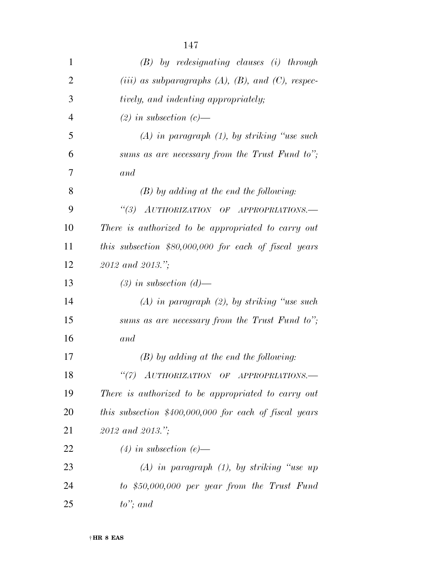| $\mathbf{1}$   | $(B)$ by redesignating clauses (i) through                 |
|----------------|------------------------------------------------------------|
| $\overline{2}$ | (iii) as subparagraphs $(A)$ , $(B)$ , and $(C)$ , respec- |
| 3              | tively, and indenting appropriately;                       |
| $\overline{4}$ | $(2)$ in subsection $(c)$ —                                |
| 5              | $(A)$ in paragraph $(1)$ , by striking "use such           |
| 6              | sums as are necessary from the Trust Fund to";             |
| 7              | and                                                        |
| 8              | $(B)$ by adding at the end the following:                  |
| 9              | "(3) AUTHORIZATION OF APPROPRIATIONS.-                     |
| 10             | There is authorized to be appropriated to carry out        |
| 11             | this subsection $$80,000,000$ for each of fiscal years     |
| 12             | 2012 and 2013.";                                           |
| 13             | $(3)$ in subsection $(d)$ —                                |
| 14             | $(A)$ in paragraph $(2)$ , by striking "use such           |
| 15             | sums as are necessary from the Trust Fund to";             |
| 16             | and                                                        |
| 17             | $(B)$ by adding at the end the following:                  |
| 18             | "(7) AUTHORIZATION OF APPROPRIATIONS.-                     |
| 19             | There is authorized to be appropriated to carry out        |
| 20             | this subsection $$400,000,000$ for each of fiscal years    |
| 21             | 2012 and 2013.";                                           |
| 22             | $(4)$ in subsection $(e)$ —                                |
| 23             | $(A)$ in paragraph $(1)$ , by striking "use up             |
| 24             | $to$ \$50,000,000 per year from the Trust Fund             |
| 25             | $to$ "; and                                                |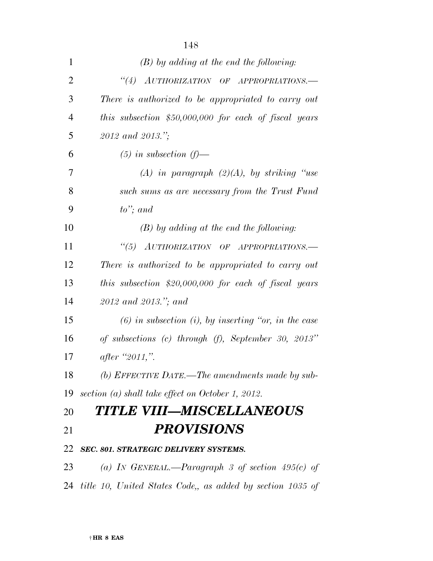| $\mathbf{1}$   | $(B)$ by adding at the end the following:                 |
|----------------|-----------------------------------------------------------|
| $\overline{2}$ | "(4) AUTHORIZATION OF APPROPRIATIONS.-                    |
| 3              | There is authorized to be appropriated to carry out       |
| $\overline{4}$ | this subsection $$50,000,000$ for each of fiscal years    |
| 5              | 2012 and 2013.";                                          |
| 6              | $(5)$ in subsection $(f)$ —                               |
| 7              | (A) in paragraph $(2)(A)$ , by striking "use              |
| 8              | such sums as are necessary from the Trust Fund            |
| 9              | $to$ "; and                                               |
| 10             | $(B)$ by adding at the end the following:                 |
| 11             | "(5) AUTHORIZATION OF APPROPRIATIONS.-                    |
| 12             | There is authorized to be appropriated to carry out       |
| 13             | this subsection $$20,000,000$ for each of fiscal years    |
| 14             | 2012 and 2013."; and                                      |
| 15             | $(6)$ in subsection (i), by inserting "or, in the case    |
| 16             | of subsections (c) through (f), September 30, 2013"       |
| 17             | after "2011,".                                            |
| 18             | (b) EFFECTIVE DATE.—The amendments made by sub-           |
| 19             | section (a) shall take effect on October 1, 2012.         |
| 20             | TITLE VIII—MISCELLANEOUS                                  |
| 21             | <b>PROVISIONS</b>                                         |
| 22             | SEC. 801. STRATEGIC DELIVERY SYSTEMS.                     |
| 23             | (a) IN GENERAL.—Paragraph 3 of section $495(c)$ of        |
| 24             | title 10, United States Code, as added by section 1035 of |
|                |                                                           |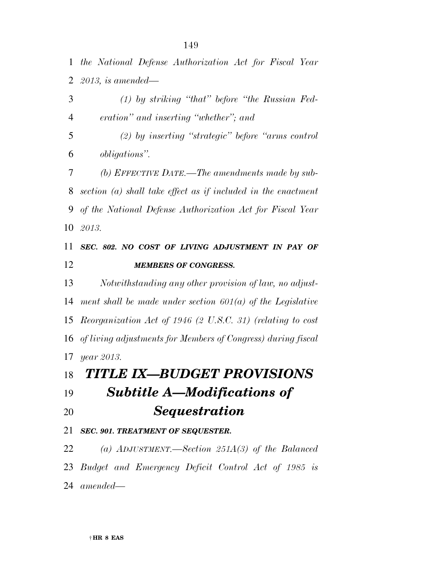*the National Defense Authorization Act for Fiscal Year 2013, is amended—* 

 *(1) by striking ''that'' before ''the Russian Fed- eration'' and inserting ''whether''; and (2) by inserting ''strategic'' before ''arms control obligations''. (b) EFFECTIVE DATE.—The amendments made by sub- section (a) shall take effect as if included in the enactment of the National Defense Authorization Act for Fiscal Year 2013.* 

# *SEC. 802. NO COST OF LIVING ADJUSTMENT IN PAY OF MEMBERS OF CONGRESS.*

 *Notwithstanding any other provision of law, no adjust- ment shall be made under section 601(a) of the Legislative Reorganization Act of 1946 (2 U.S.C. 31) (relating to cost of living adjustments for Members of Congress) during fiscal year 2013.* 

# *TITLE IX—BUDGET PROVISIONS*

*Subtitle A—Modifications of* 

*Sequestration* 

## *SEC. 901. TREATMENT OF SEQUESTER.*

 *(a) ADJUSTMENT.—Section 251A(3) of the Balanced Budget and Emergency Deficit Control Act of 1985 is* 

*amended—*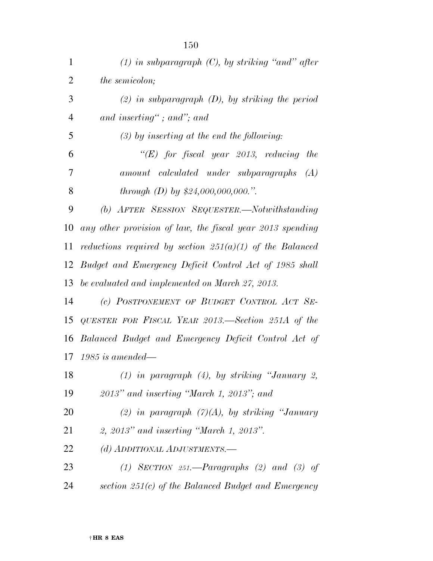| $\mathbf{1}$   | $(1)$ in subparagraph $(C)$ , by striking "and" after       |
|----------------|-------------------------------------------------------------|
| $\overline{2}$ | the semicolon;                                              |
| 3              | $(2)$ in subparagraph $(D)$ , by striking the period        |
| $\overline{4}$ | and inserting"; and"; and                                   |
| 5              | $(3)$ by inserting at the end the following:                |
| 6              | $\lq\lq (E)$ for fiscal year 2013, reducing<br>the          |
| 7              | $amount \cal_ \cal_$ called \textit{under subparagnaps (A)} |
| 8              | through $(D)$ by \$24,000,000,000.".                        |
| 9              | (b) AFTER SESSION SEQUESTER.—Notwithstanding                |
| 10             | any other provision of law, the fiscal year 2013 spending   |
| 11             | reductions required by section $251(a)(1)$ of the Balanced  |
| 12             | Budget and Emergency Deficit Control Act of 1985 shall      |
|                | 13 be evaluated and implemented on March 27, 2013.          |
| 14             | (c) POSTPONEMENT OF BUDGET CONTROL ACT SE-                  |
| 15             | QUESTER FOR FISCAL YEAR 2013.—Section 251A of the           |
| 16             | Balanced Budget and Emergency Deficit Control Act of        |
| 17             | $1985$ is amended—                                          |
| 18             | $(1)$ in paragraph $(4)$ , by striking "January 2,          |
| 19             | $2013"$ and inserting "March 1, 2013"; and                  |
| 20             | (2) in paragraph $(7)(A)$ , by striking "January            |
| 21             | $2, 2013"$ and inserting "March 1, 2013".                   |
| 22             | (d) ADDITIONAL ADJUSTMENTS.-                                |
| 23             | (1) SECTION 251.—Paragraphs (2) and (3) of                  |
| 24             | section $251(c)$ of the Balanced Budget and Emergency       |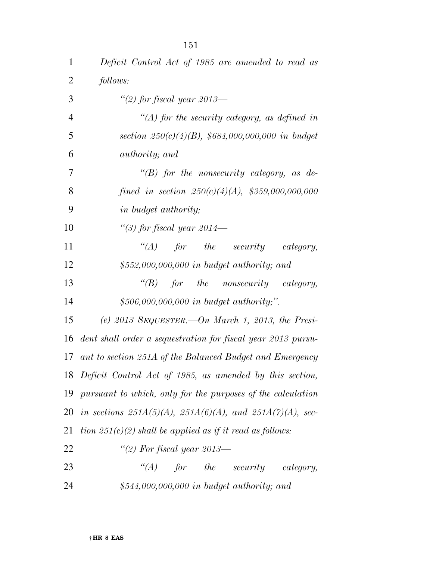| $\mathbf 1$    | Deficit Control Act of 1985 are amended to read as                   |
|----------------|----------------------------------------------------------------------|
| $\overline{2}$ | follows:                                                             |
| 3              | "(2) for fiscal year 2013—                                           |
| $\overline{4}$ | "(A) for the security category, as defined in                        |
| 5              | section $250(c)(4)(B)$ , \$684,000,000,000 in budget                 |
| 6              | authority; and                                                       |
| 7              | " $(B)$ for the nonsecurity category, as de-                         |
| 8              | fined in section $250(c)(4)(A)$ , \$359,000,000,000                  |
| 9              | in budget authority;                                                 |
| 10             | "(3) for fiscal year $2014-$                                         |
| 11             | for the security<br>$\lq(A)$<br>category,                            |
| 12             | $$552,000,000,000$ in budget authority; and                          |
| 13             | "(B) for the nonsecurity category,                                   |
| 14             | $$506,000,000,000$ in budget authority,".                            |
| 15             | (e) 2013 SEQUESTER. On March 1, 2013, the Presi-                     |
| 16             | dent shall order a sequestration for fiscal year 2013 pursu-         |
| 17             | ant to section 251A of the Balanced Budget and Emergency             |
|                | 18 Deficit Control Act of 1985, as amended by this section,          |
| 19             | pursuant to which, only for the purposes of the calculation          |
|                | 20 in sections $251A(5)(A)$ , $251A(6)(A)$ , and $251A(7)(A)$ , sec- |
| 21             | tion $251(c)(2)$ shall be applied as if it read as follows:          |
| 22             | "(2) For fiscal year 2013—                                           |
| 23             | $for$ the security<br>$\lq (A)$<br>category,                         |
| 24             | \$544,000,000,000 in budget authority; and                           |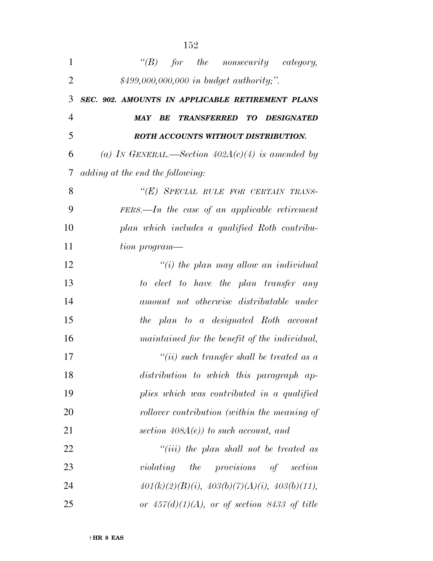| 1              | "(B) for the nonsecurity category,                              |
|----------------|-----------------------------------------------------------------|
| $\overline{2}$ | \$499,000,000,000 in budget authority;".                        |
| 3              | SEC. 902. AMOUNTS IN APPLICABLE RETIREMENT PLANS                |
| 4              | <b>DESIGNATED</b><br>BE<br><b>TRANSFERRED</b><br>TO DOM:<br>MAY |
| 5              | ROTH ACCOUNTS WITHOUT DISTRIBUTION.                             |
| 6              | (a) IN GENERAL.—Section $402A(c)(4)$ is amended by              |
| 7              | adding at the end the following:                                |
| 8              | "(E) SPECIAL RULE FOR CERTAIN TRANS-                            |
| 9              | $FERS.$ —In the case of an applicable retirement                |
| 10             | plan which includes a qualified Roth contribu-                  |
| 11             | tion program—                                                   |
| 12             | $\lq\lq(i)$ the plan may allow an individual                    |
| 13             | to elect to have the plan transfer any                          |
| 14             | amount not otherwise distributable under                        |
| 15             | the plan to a designated Roth account                           |
| 16             | maintained for the benefit of the individual,                   |
| 17             | $``(ii)$ such transfer shall be treated as a                    |
| 18             | distribution to which this paragraph ap-                        |
| 19             | plies which was contributed in a qualified                      |
| 20             | rollover contribution (within the meaning of                    |
| 21             | section $408A(e)$ to such account, and                          |
| 22             | $``(iii)$ the plan shall not be treated as                      |
| 23             | violating the provisions of section                             |
| 24             | $401(k)(2)(B)(i), 403(b)(7)(A)(i), 403(b)(11),$                 |
| 25             | or $457(d)(1)(A)$ , or of section 8433 of title                 |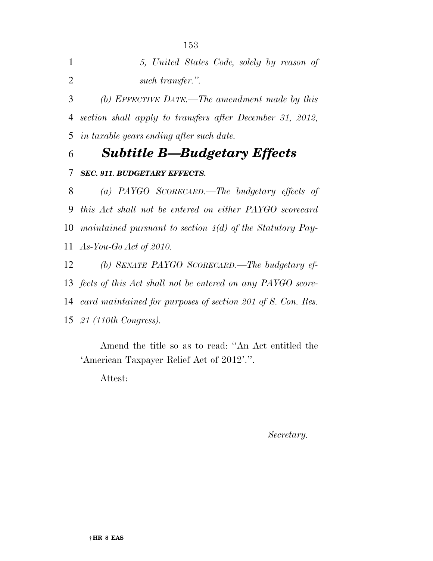| 5, United States Code, solely by reason of |  |
|--------------------------------------------|--|
| such transfer.".                           |  |

 *(b) EFFECTIVE DATE.—The amendment made by this section shall apply to transfers after December 31, 2012, in taxable years ending after such date.* 

*Subtitle B—Budgetary Effects* 

### *SEC. 911. BUDGETARY EFFECTS.*

 *(a) PAYGO SCORECARD.—The budgetary effects of this Act shall not be entered on either PAYGO scorecard maintained pursuant to section 4(d) of the Statutory Pay-As-You-Go Act of 2010.* 

 *(b) SENATE PAYGO SCORECARD.—The budgetary ef- fects of this Act shall not be entered on any PAYGO score- card maintained for purposes of section 201 of S. Con. Res. 21 (110th Congress).* 

Amend the title so as to read: ''An Act entitled the 'American Taxpayer Relief Act of 2012'.''.

Attest:

*Secretary.*